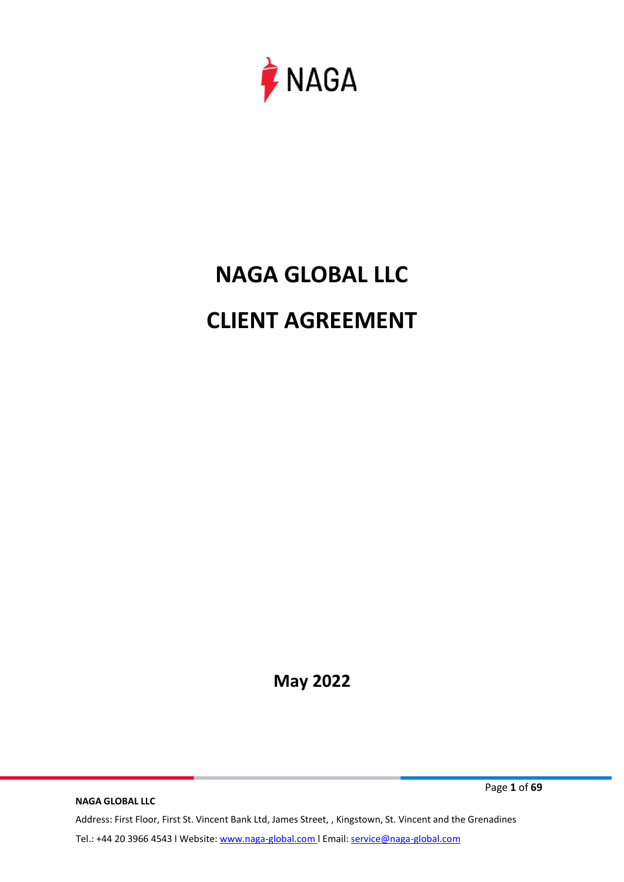

# **NAGA GLOBAL LLC CLIENT AGREEMENT**

**May 2022**

**NAGA GLOBAL LLC** Address: First Floor, First St. Vincent Bank Ltd, James Street, , Kingstown, St. Vincent and the Grenadines Tel.: +44 20 3966 4543 l Website: www.naga-global.com | Email: [service@naga-global.com](mailto:service@naga-global.com)

Page **1** of **69**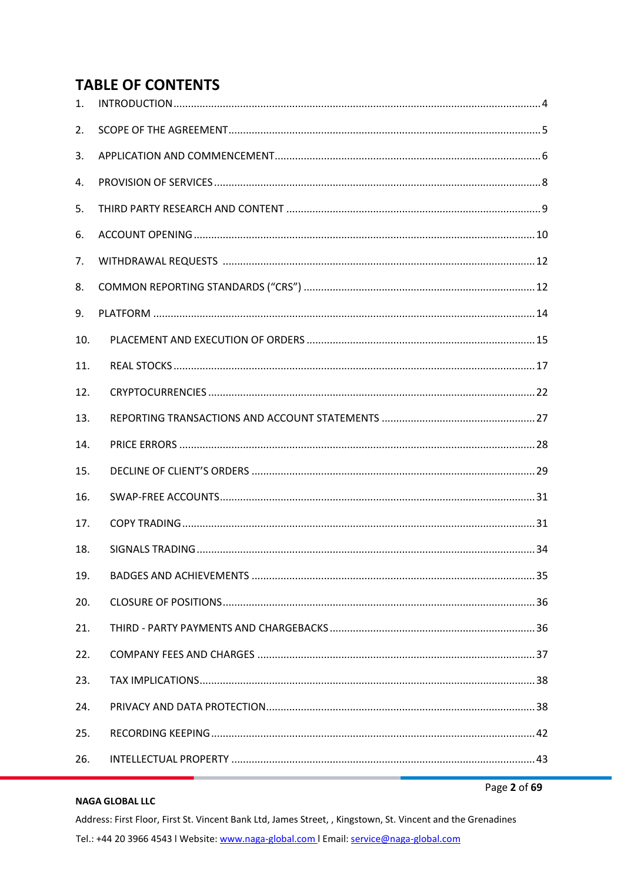# **TABLE OF CONTENTS**

| 1.  |  |
|-----|--|
| 2.  |  |
| 3.  |  |
| 4.  |  |
| 5.  |  |
| 6.  |  |
| 7.  |  |
| 8.  |  |
| 9.  |  |
| 10. |  |
| 11. |  |
| 12. |  |
| 13. |  |
|     |  |
| 14. |  |
| 15. |  |
| 16. |  |
| 17. |  |
| 18. |  |
| 19. |  |
| 20. |  |
| 21. |  |
| 22. |  |
| 23. |  |
| 24. |  |
| 25. |  |

#### **NAGA GLOBAL LLC**

Page 2 of 69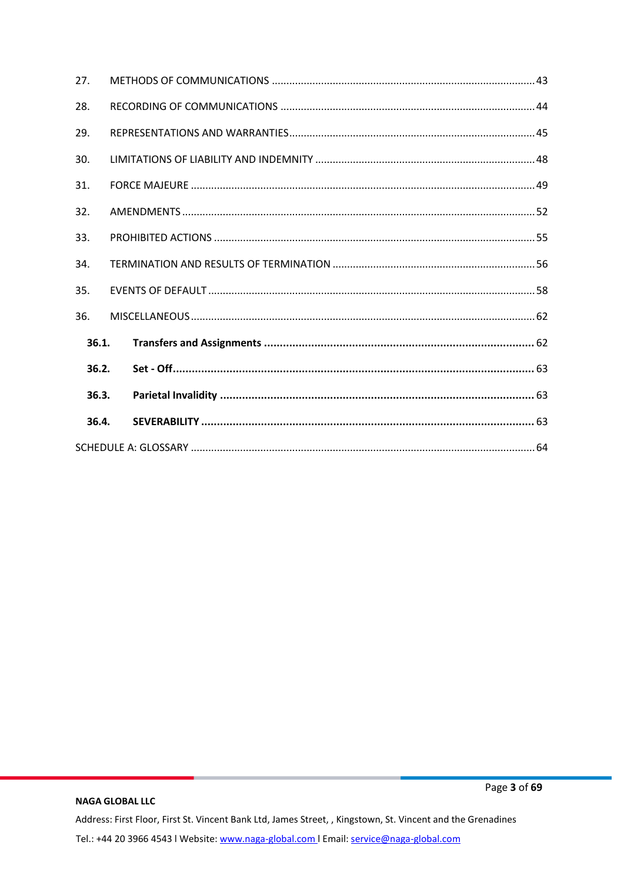| 27.   |  |  |
|-------|--|--|
| 28.   |  |  |
| 29.   |  |  |
| 30.   |  |  |
| 31.   |  |  |
| 32.   |  |  |
| 33.   |  |  |
| 34.   |  |  |
| 35.   |  |  |
| 36.   |  |  |
| 36.1. |  |  |
| 36.2. |  |  |
| 36.3. |  |  |
| 36.4. |  |  |
|       |  |  |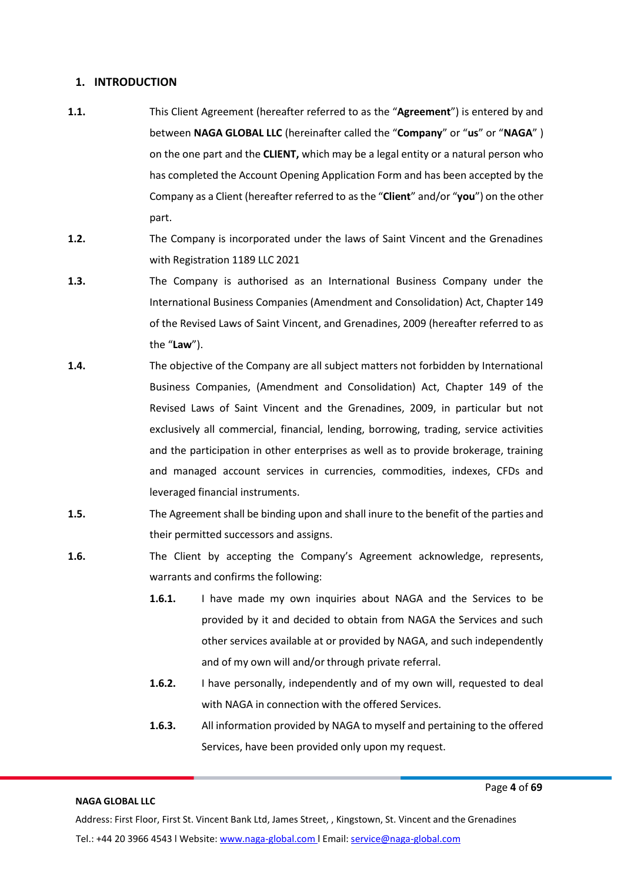# <span id="page-3-0"></span>**1. INTRODUCTION**

- **1.1.** This Client Agreement (hereafter referred to as the "**Agreement**") is entered by and between **NAGA GLOBAL LLC** (hereinafter called the "**Company**" or "**us**" or "**NAGA**" ) on the one part and the **CLIENT,** which may be a legal entity or a natural person who has completed the Account Opening Application Form and has been accepted by the Company as a Client (hereafter referred to as the "**Client**" and/or "**you**") on the other part.
- **1.2.** The Company is incorporated under the laws of Saint Vincent and the Grenadines with Registration 1189 LLC 2021
- **1.3.** The Company is authorised as an International Business Company under the International Business Companies (Amendment and Consolidation) Act, Chapter 149 of the Revised Laws of Saint Vincent, and Grenadines, 2009 (hereafter referred to as the "**Law**").
- **1.4.** The objective of the Company are all subject matters not forbidden by International Business Companies, (Amendment and Consolidation) Act, Chapter 149 of the Revised Laws of Saint Vincent and the Grenadines, 2009, in particular but not exclusively all commercial, financial, lending, borrowing, trading, service activities and the participation in other enterprises as well as to provide brokerage, training and managed account services in currencies, commodities, indexes, CFDs and leveraged financial instruments.
- **1.5.** The Agreement shall be binding upon and shall inure to the benefit of the parties and their permitted successors and assigns.
- **1.6.** The Client by accepting the Company's Agreement acknowledge, represents, warrants and confirms the following:
	- **1.6.1.** I have made my own inquiries about NAGA and the Services to be provided by it and decided to obtain from NAGA the Services and such other services available at or provided by NAGA, and such independently and of my own will and/or through private referral.
	- **1.6.2.** I have personally, independently and of my own will, requested to deal with NAGA in connection with the offered Services.
	- **1.6.3.** All information provided by NAGA to myself and pertaining to the offered Services, have been provided only upon my request.

#### **NAGA GLOBAL LLC**

Page **4** of **69**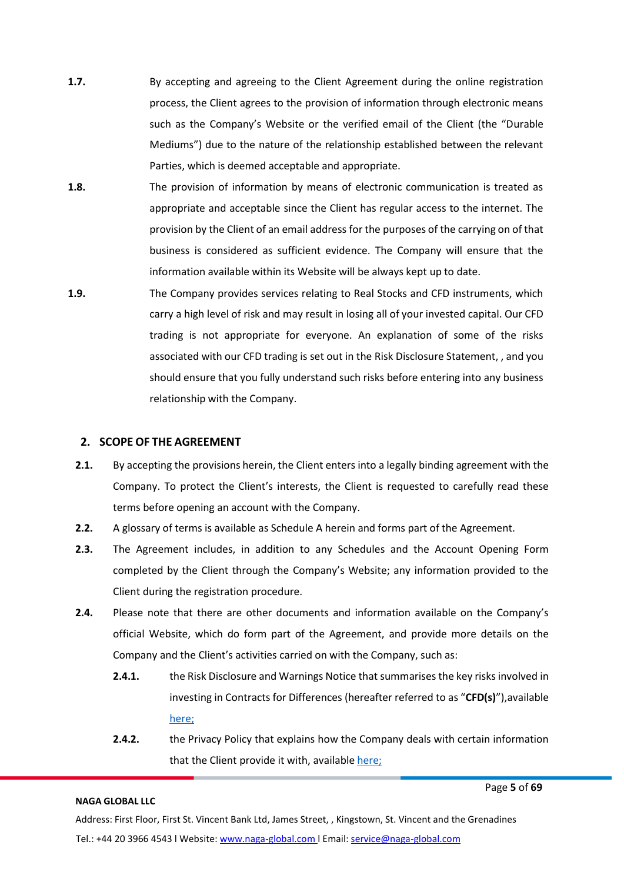- **1.7.** By accepting and agreeing to the Client Agreement during the online registration process, the Client agrees to the provision of information through electronic means such as the Company's Website or the verified email of the Client (the "Durable Mediums") due to the nature of the relationship established between the relevant Parties, which is deemed acceptable and appropriate.
- **1.8.** The provision of information by means of electronic communication is treated as appropriate and acceptable since the Client has regular access to the internet. The provision by the Client of an email address for the purposes of the carrying on of that business is considered as sufficient evidence. The Company will ensure that the information available within its Website will be always kept up to date.
- **1.9.** The Company provides services relating to Real Stocks and CFD instruments, which carry a high level of risk and may result in losing all of your invested capital. Our CFD trading is not appropriate for everyone. An explanation of some of the risks associated with our CFD trading is set out in the Risk Disclosure Statement, , and you should ensure that you fully understand such risks before entering into any business relationship with the Company.

### <span id="page-4-0"></span>**2. SCOPE OF THE AGREEMENT**

- **2.1.** By accepting the provisions herein, the Client enters into a legally binding agreement with the Company. To protect the Client's interests, the Client is requested to carefully read these terms before opening an account with the Company.
- **2.2.** A glossary of terms is available as Schedule A herein and forms part of the Agreement.
- **2.3.** The Agreement includes, in addition to any Schedules and the Account Opening Form completed by the Client through the Company's Website; any information provided to the Client during the registration procedure.
- **2.4.** Please note that there are other documents and information available on the Company's official Website, which do form part of the Agreement, and provide more details on the Company and the Client's activities carried on with the Company, such as:
	- **2.4.1.** the Risk Disclosure and Warnings Notice that summarises the key risks involved in investing in Contracts for Differences (hereafter referred to as "**CFD(s)**"),available [here;](https://files.naga.com/RISK%20DISCLOSURE%20_NG.pdf)
	- **2.4.2.** the Privacy Policy that explains how the Company deals with certain information that the Client provide it with, available [here;](https://files.naga.com/Privary%20Policy_NG.pdf)

#### **NAGA GLOBAL LLC**

Page **5** of **69**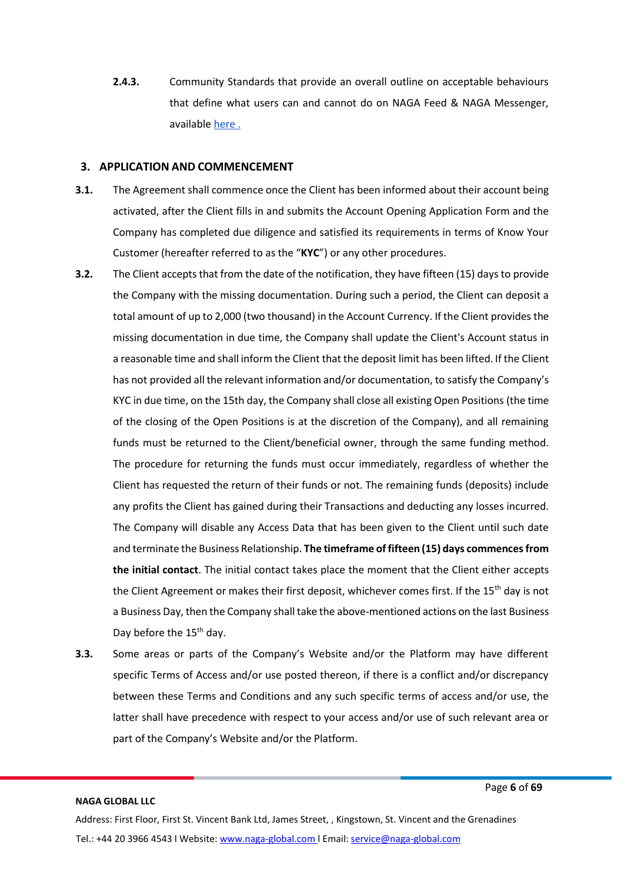**2.4.3.** Community Standards that provide an overall outline on acceptable behaviours that define what users can and cannot do on NAGA Feed & NAGA Messenger, available [here](https://naga.com/community-guidelines) .

#### <span id="page-5-0"></span>**3. APPLICATION AND COMMENCEMENT**

- **3.1.** The Agreement shall commence once the Client has been informed about their account being activated, after the Client fills in and submits the Account Opening Application Form and the Company has completed due diligence and satisfied its requirements in terms of Know Your Customer (hereafter referred to as the "**KYC**") or any other procedures.
- **3.2.** The Client accepts that from the date of the notification, they have fifteen (15) days to provide the Company with the missing documentation. During such a period, the Client can deposit a total amount of up to 2,000 (two thousand) in the Account Currency. If the Client provides the missing documentation in due time, the Company shall update the Client's Account status in a reasonable time and shall inform the Client that the deposit limit has been lifted. If the Client has not provided all the relevant information and/or documentation, to satisfy the Company's KYC in due time, on the 15th day, the Company shall close all existing Open Positions (the time of the closing of the Open Positions is at the discretion of the Company), and all remaining funds must be returned to the Client/beneficial owner, through the same funding method. The procedure for returning the funds must occur immediately, regardless of whether the Client has requested the return of their funds or not. The remaining funds (deposits) include any profits the Client has gained during their Transactions and deducting any losses incurred. The Company will disable any Access Data that has been given to the Client until such date and terminate the Business Relationship. **The timeframe of fifteen (15) days commencesfrom the initial contact**. The initial contact takes place the moment that the Client either accepts the Client Agreement or makes their first deposit, whichever comes first. If the 15<sup>th</sup> day is not a Business Day, then the Company shall take the above-mentioned actions on the last Business Day before the 15<sup>th</sup> day.
- **3.3.** Some areas or parts of the Company's Website and/or the Platform may have different specific Terms of Access and/or use posted thereon, if there is a conflict and/or discrepancy between these Terms and Conditions and any such specific terms of access and/or use, the latter shall have precedence with respect to your access and/or use of such relevant area or part of the Company's Website and/or the Platform.

#### **NAGA GLOBAL LLC**

Page **6** of **69**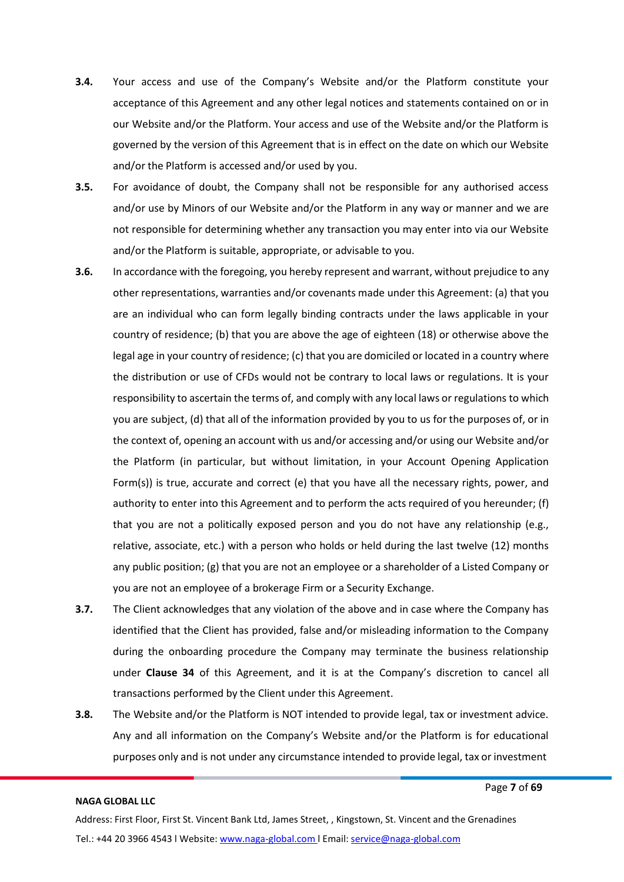- **3.4.** Your access and use of the Company's Website and/or the Platform constitute your acceptance of this Agreement and any other legal notices and statements contained on or in our Website and/or the Platform. Your access and use of the Website and/or the Platform is governed by the version of this Agreement that is in effect on the date on which our Website and/or the Platform is accessed and/or used by you.
- **3.5.** For avoidance of doubt, the Company shall not be responsible for any authorised access and/or use by Minors of our Website and/or the Platform in any way or manner and we are not responsible for determining whether any transaction you may enter into via our Website and/or the Platform is suitable, appropriate, or advisable to you.
- **3.6.** In accordance with the foregoing, you hereby represent and warrant, without prejudice to any other representations, warranties and/or covenants made under this Agreement: (a) that you are an individual who can form legally binding contracts under the laws applicable in your country of residence; (b) that you are above the age of eighteen (18) or otherwise above the legal age in your country ofresidence; (c) that you are domiciled or located in a country where the distribution or use of CFDs would not be contrary to local laws or regulations. It is your responsibility to ascertain the terms of, and comply with any local laws or regulations to which you are subject, (d) that all of the information provided by you to us for the purposes of, or in the context of, opening an account with us and/or accessing and/or using our Website and/or the Platform (in particular, but without limitation, in your Account Opening Application Form(s)) is true, accurate and correct (e) that you have all the necessary rights, power, and authority to enter into this Agreement and to perform the acts required of you hereunder; (f) that you are not a politically exposed person and you do not have any relationship (e.g., relative, associate, etc.) with a person who holds or held during the last twelve (12) months any public position; (g) that you are not an employee or a shareholder of a Listed Company or you are not an employee of a brokerage Firm or a Security Exchange.
- **3.7.** The Client acknowledges that any violation of the above and in case where the Company has identified that the Client has provided, false and/or misleading information to the Company during the onboarding procedure the Company may terminate the business relationship under **Clause 34** of this Agreement, and it is at the Company's discretion to cancel all transactions performed by the Client under this Agreement.
- **3.8.** The Website and/or the Platform is NOT intended to provide legal, tax or investment advice. Any and all information on the Company's Website and/or the Platform is for educational purposes only and is not under any circumstance intended to provide legal, tax or investment

Page **7** of **69**

Address: First Floor, First St. Vincent Bank Ltd, James Street, , Kingstown, St. Vincent and the Grenadines Tel.: +44 20 3966 4543 l Website: www.naga-global.com | Email: [service@naga-global.com](mailto:service@naga-global.com)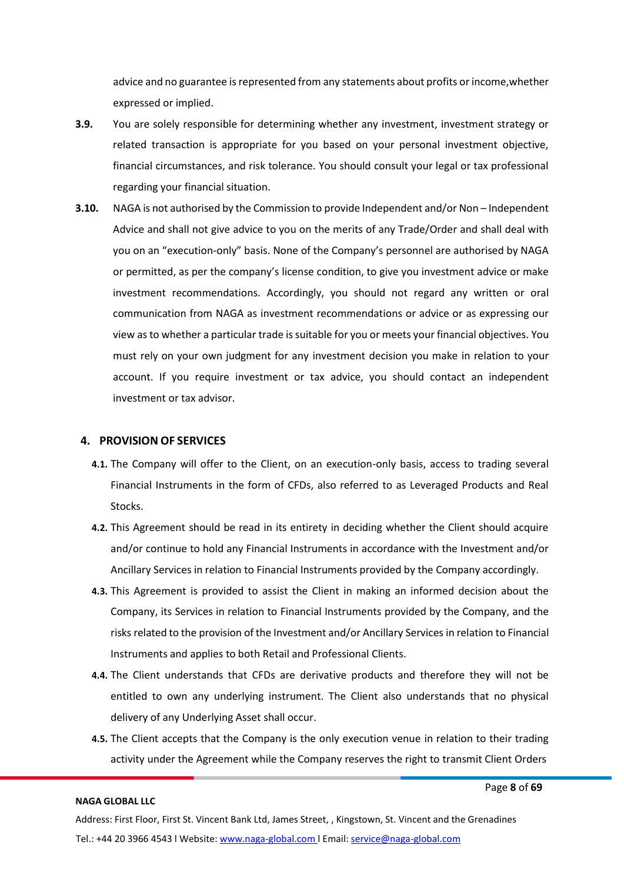advice and no guarantee is represented from any statements about profits or income, whether expressed or implied.

- **3.9.** You are solely responsible for determining whether any investment, investment strategy or related transaction is appropriate for you based on your personal investment objective, financial circumstances, and risk tolerance. You should consult your legal or tax professional regarding your financial situation.
- **3.10.** NAGA is not authorised by the Commission to provide Independent and/or Non Independent Advice and shall not give advice to you on the merits of any Trade/Order and shall deal with you on an "execution-only" basis. None of the Company's personnel are authorised by NAGA or permitted, as per the company's license condition, to give you investment advice or make investment recommendations. Accordingly, you should not regard any written or oral communication from NAGA as investment recommendations or advice or as expressing our view as to whether a particular trade is suitable for you or meets your financial objectives. You must rely on your own judgment for any investment decision you make in relation to your account. If you require investment or tax advice, you should contact an independent investment or tax advisor.

#### <span id="page-7-0"></span>**4. PROVISION OF SERVICES**

- **4.1.** The Company will offer to the Client, on an execution-only basis, access to trading several Financial Instruments in the form of CFDs, also referred to as Leveraged Products and Real Stocks.
- **4.2.** This Agreement should be read in its entirety in deciding whether the Client should acquire and/or continue to hold any Financial Instruments in accordance with the Investment and/or Ancillary Services in relation to Financial Instruments provided by the Company accordingly.
- **4.3.** This Agreement is provided to assist the Client in making an informed decision about the Company, its Services in relation to Financial Instruments provided by the Company, and the risksrelated to the provision of the Investment and/or Ancillary Services in relation to Financial Instruments and applies to both Retail and Professional Clients.
- **4.4.** The Client understands that CFDs are derivative products and therefore they will not be entitled to own any underlying instrument. The Client also understands that no physical delivery of any Underlying Asset shall occur.
- **4.5.** The Client accepts that the Company is the only execution venue in relation to their trading activity under the Agreement while the Company reserves the right to transmit Client Orders

#### **NAGA GLOBAL LLC**

Page **8** of **69**

Address: First Floor, First St. Vincent Bank Ltd, James Street, , Kingstown, St. Vincent and the Grenadines Tel.: +44 20 3966 4543 l Website: www.naga-global.com | Email: [service@naga-global.com](mailto:service@naga-global.com)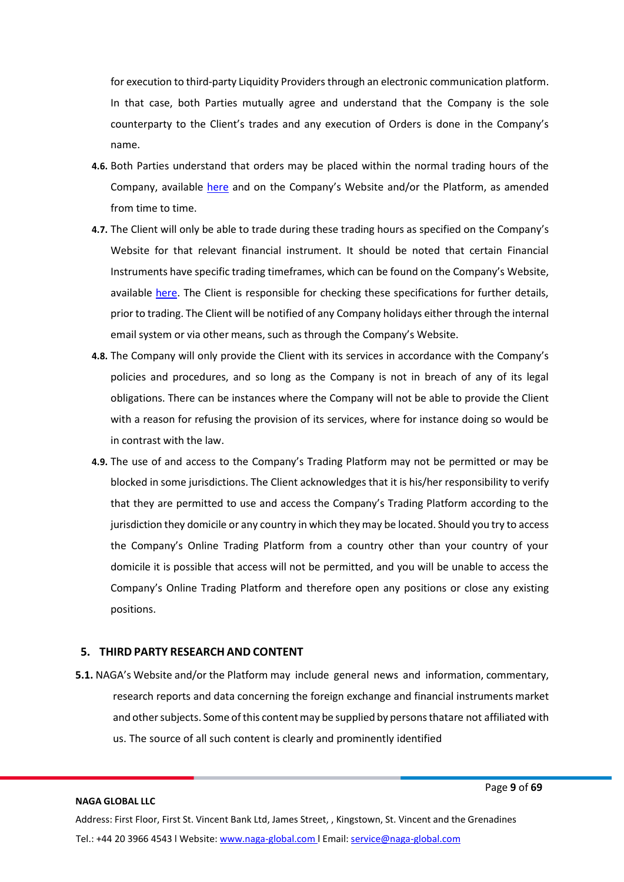for execution to third-party Liquidity Providers through an electronic communication platform. In that case, both Parties mutually agree and understand that the Company is the sole counterparty to the Client's trades and any execution of Orders is done in the Company's name.

- **4.6.** Both Parties understand that orders may be placed within the normal trading hours of the Company, available [here](https://naga.com/global/trading/hours-and-fees) and on the Company's Website and/or the Platform, as amended from time to time.
- **4.7.** The Client will only be able to trade during these trading hours as specified on the Company's Website for that relevant financial instrument. It should be noted that certain Financial Instruments have specific trading timeframes, which can be found on the Company's Website, available [here.](https://naga.com/global/trading/hours-and-fees) The Client is responsible for checking these specifications for further details, prior to trading. The Client will be notified of any Company holidays either through the internal email system or via other means, such as through the Company's Website.
- **4.8.** The Company will only provide the Client with its services in accordance with the Company's policies and procedures, and so long as the Company is not in breach of any of its legal obligations. There can be instances where the Company will not be able to provide the Client with a reason for refusing the provision of its services, where for instance doing so would be in contrast with the law.
- **4.9.** The use of and access to the Company's Trading Platform may not be permitted or may be blocked in some jurisdictions. The Client acknowledges that it is his/her responsibility to verify that they are permitted to use and access the Company's Trading Platform according to the jurisdiction they domicile or any country in which they may be located. Should you try to access the Company's Online Trading Platform from a country other than your country of your domicile it is possible that access will not be permitted, and you will be unable to access the Company's Online Trading Platform and therefore open any positions or close any existing positions.

# <span id="page-8-0"></span>**5. THIRD PARTY RESEARCH AND CONTENT**

**5.1.** NAGA's Website and/or the Platform may include general news and information, commentary, research reports and data concerning the foreign exchange and financial instruments market and other subjects. Some of this content may be supplied by persons thatare not affiliated with us. The source of all such content is clearly and prominently identified

#### **NAGA GLOBAL LLC**

Page **9** of **69**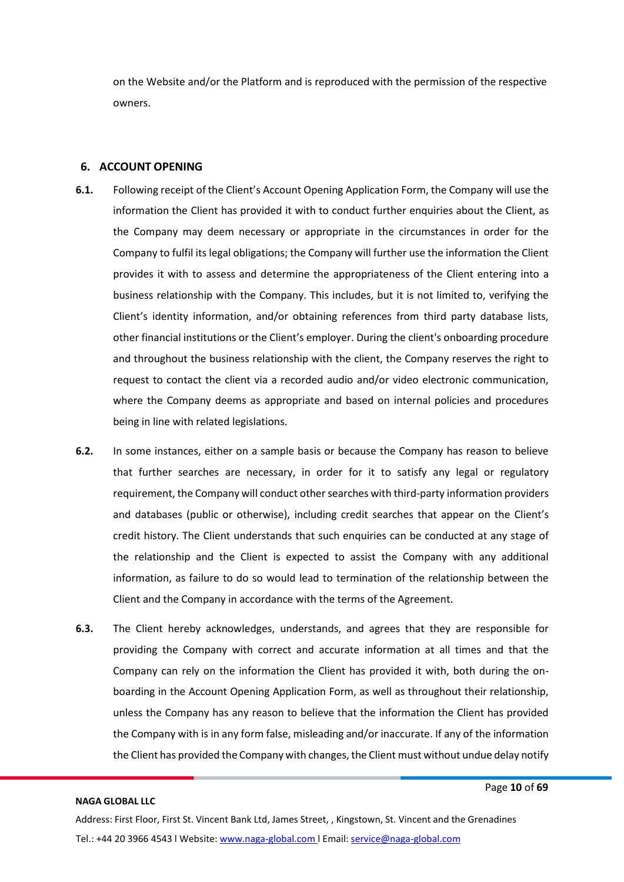on the Website and/or the Platform and is reproduced with the permission of the respective owners.

# <span id="page-9-0"></span>**6. ACCOUNT OPENING**

- **6.1.** Following receipt of the Client's Account Opening Application Form, the Company will use the information the Client has provided it with to conduct further enquiries about the Client, as the Company may deem necessary or appropriate in the circumstances in order for the Company to fulfil its legal obligations; the Company will further use the information the Client provides it with to assess and determine the appropriateness of the Client entering into a business relationship with the Company. This includes, but it is not limited to, verifying the Client's identity information, and/or obtaining references from third party database lists, other financial institutions or the Client's employer. During the client's onboarding procedure and throughout the business relationship with the client, the Company reserves the right to request to contact the client via a recorded audio and/or video electronic communication, where the Company deems as appropriate and based on internal policies and procedures being in line with related legislations.
- **6.2.** In some instances, either on a sample basis or because the Company has reason to believe that further searches are necessary, in order for it to satisfy any legal or regulatory requirement, the Company will conduct other searches with third-party information providers and databases (public or otherwise), including credit searches that appear on the Client's credit history. The Client understands that such enquiries can be conducted at any stage of the relationship and the Client is expected to assist the Company with any additional information, as failure to do so would lead to termination of the relationship between the Client and the Company in accordance with the terms of the Agreement.
- **6.3.** The Client hereby acknowledges, understands, and agrees that they are responsible for providing the Company with correct and accurate information at all times and that the Company can rely on the information the Client has provided it with, both during the onboarding in the Account Opening Application Form, as well as throughout their relationship, unless the Company has any reason to believe that the information the Client has provided the Company with is in any form false, misleading and/or inaccurate. If any of the information the Client has provided the Company with changes, the Client must without undue delay notify

#### **NAGA GLOBAL LLC**

Page **10** of **69**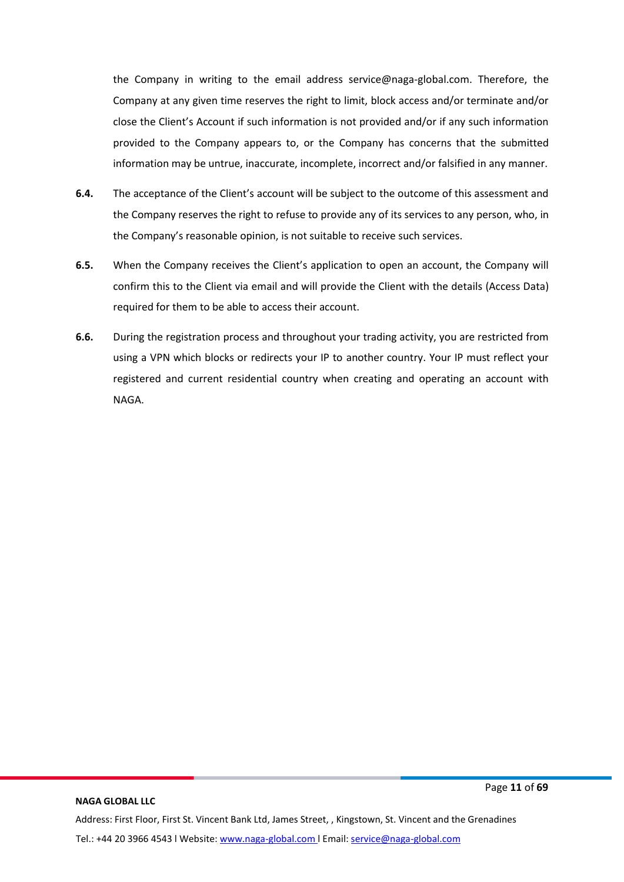the Company in writing to the email address service@naga-global.com. Therefore, the Company at any given time reserves the right to limit, block access and/or terminate and/or close the Client's Account if such information is not provided and/or if any such information provided to the Company appears to, or the Company has concerns that the submitted information may be untrue, inaccurate, incomplete, incorrect and/or falsified in any manner.

- **6.4.** The acceptance of the Client's account will be subject to the outcome of this assessment and the Company reserves the right to refuse to provide any of its services to any person, who, in the Company's reasonable opinion, is not suitable to receive such services.
- **6.5.** When the Company receives the Client's application to open an account, the Company will confirm this to the Client via email and will provide the Client with the details (Access Data) required for them to be able to access their account.
- **6.6.** During the registration process and throughout your trading activity, you are restricted from using a VPN which blocks or redirects your IP to another country. Your IP must reflect your registered and current residential country when creating and operating an account with NAGA.

#### **NAGA GLOBAL LLC**

Page **11** of **69**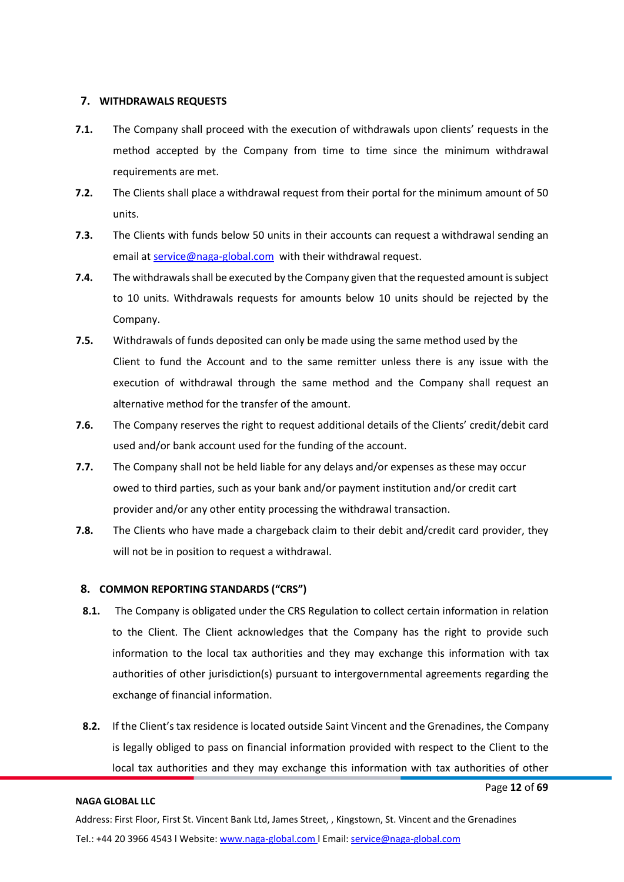# <span id="page-11-0"></span>**7. WITHDRAWALS REQUESTS**

- **7.1.** The Company shall proceed with the execution of withdrawals upon clients' requests in the method accepted by the Company from time to time since the minimum withdrawal requirements are met.
- **7.2.** The Clients shall place a withdrawal request from their portal for the minimum amount of 50 units.
- **7.3.** The Clients with funds below 50 units in their accounts can request a withdrawal sending an email at [service@naga-global.com](mailto:service@naga-global.com) with their withdrawal request.
- **7.4.** The withdrawals shall be executed by the Company given that the requested amount is subject to 10 units. Withdrawals requests for amounts below 10 units should be rejected by the Company.
- **7.5.** Withdrawals of funds deposited can only be made using the same method used by the Client to fund the Account and to the same remitter unless there is any issue with the execution of withdrawal through the same method and the Company shall request an alternative method for the transfer of the amount.
- **7.6.** The Company reserves the right to request additional details of the Clients' credit/debit card used and/or bank account used for the funding of the account.
- **7.7.** The Company shall not be held liable for any delays and/or expenses as these may occur owed to third parties, such as your bank and/or payment institution and/or credit cart provider and/or any other entity processing the withdrawal transaction.
- **7.8.** The Clients who have made a chargeback claim to their debit and/credit card provider, they will not be in position to request a withdrawal.

# **8. COMMON REPORTING STANDARDS ("CRS")**

- **8.1.** The Company is obligated under the CRS Regulation to collect certain information in relation to the Client. The Client acknowledges that the Company has the right to provide such information to the local tax authorities and they may exchange this information with tax authorities of other jurisdiction(s) pursuant to intergovernmental agreements regarding the exchange of financial information.
- **8.2.** If the Client's tax residence is located outside Saint Vincent and the Grenadines, the Company is legally obliged to pass on financial information provided with respect to the Client to the local tax authorities and they may exchange this information with tax authorities of other

#### **NAGA GLOBAL LLC**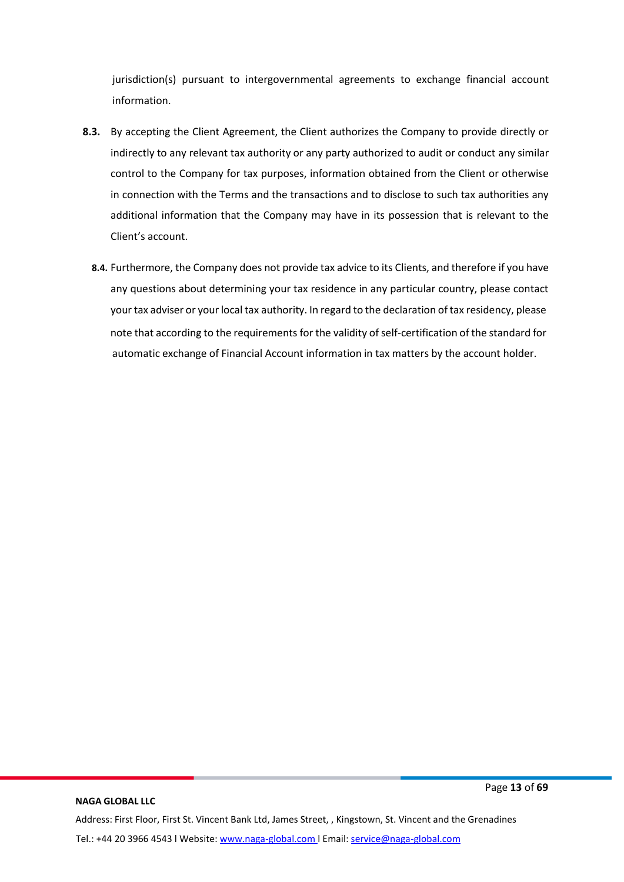jurisdiction(s) pursuant to intergovernmental agreements to exchange financial account information.

- **8.3.** By accepting the Client Agreement, the Client authorizes the Company to provide directly or indirectly to any relevant tax authority or any party authorized to audit or conduct any similar control to the Company for tax purposes, information obtained from the Client or otherwise in connection with the Terms and the transactions and to disclose to such tax authorities any additional information that the Company may have in its possession that is relevant to the Client's account.
	- **8.4.** Furthermore, the Company does not provide tax advice to its Clients, and therefore if you have any questions about determining your tax residence in any particular country, please contact your tax adviser or your local tax authority. In regard to the declaration of tax residency, please note that according to the requirements for the validity of self-certification of the standard for automatic exchange of Financial Account information in tax matters by the account holder.

Page **13** of **69**

Address: First Floor, First St. Vincent Bank Ltd, James Street, , Kingstown, St. Vincent and the Grenadines Tel.: +44 20 3966 4543 l Website: www.naga-global.com | Email: [service@naga-global.com](mailto:service@naga-global.com)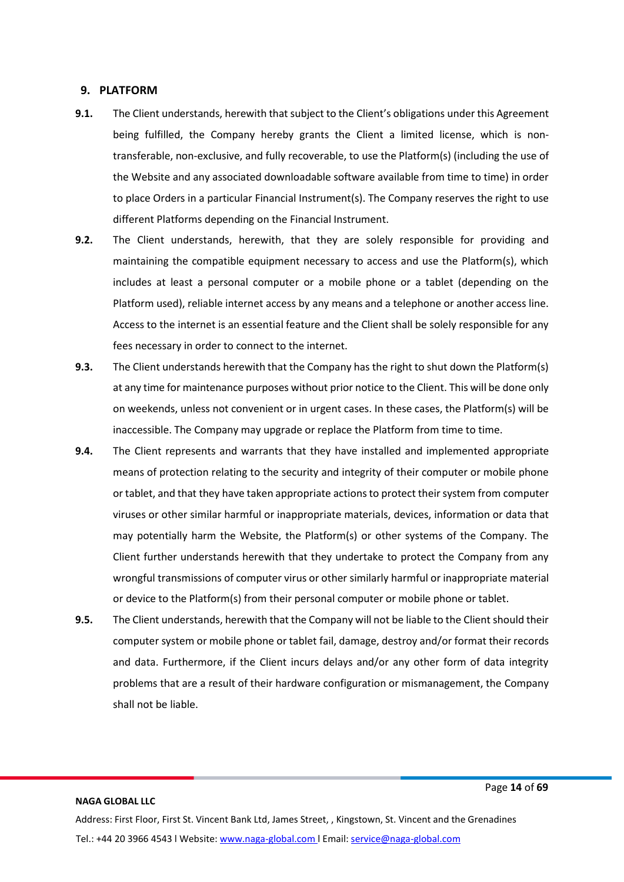#### <span id="page-13-0"></span>**9. PLATFORM**

- **9.1.** The Client understands, herewith that subject to the Client's obligations under this Agreement being fulfilled, the Company hereby grants the Client a limited license, which is nontransferable, non-exclusive, and fully recoverable, to use the Platform(s) (including the use of the Website and any associated downloadable software available from time to time) in order to place Orders in a particular Financial Instrument(s). The Company reserves the right to use different Platforms depending on the Financial Instrument.
- **9.2.** The Client understands, herewith, that they are solely responsible for providing and maintaining the compatible equipment necessary to access and use the Platform(s), which includes at least a personal computer or a mobile phone or a tablet (depending on the Platform used), reliable internet access by any means and a telephone or another access line. Access to the internet is an essential feature and the Client shall be solely responsible for any fees necessary in order to connect to the internet.
- **9.3.** The Client understands herewith that the Company has the right to shut down the Platform(s) at any time for maintenance purposes without prior notice to the Client. This will be done only on weekends, unless not convenient or in urgent cases. In these cases, the Platform(s) will be inaccessible. The Company may upgrade or replace the Platform from time to time.
- **9.4.** The Client represents and warrants that they have installed and implemented appropriate means of protection relating to the security and integrity of their computer or mobile phone or tablet, and that they have taken appropriate actionsto protect theirsystem from computer viruses or other similar harmful or inappropriate materials, devices, information or data that may potentially harm the Website, the Platform(s) or other systems of the Company. The Client further understands herewith that they undertake to protect the Company from any wrongful transmissions of computer virus or other similarly harmful or inappropriate material or device to the Platform(s) from their personal computer or mobile phone or tablet.
- **9.5.** The Client understands, herewith that the Company will not be liable to the Client should their computer system or mobile phone or tablet fail, damage, destroy and/or format their records and data. Furthermore, if the Client incurs delays and/or any other form of data integrity problems that are a result of their hardware configuration or mismanagement, the Company shall not be liable.

#### Page **14** of **69**

# **NAGA GLOBAL LLC**

Address: First Floor, First St. Vincent Bank Ltd, James Street, , Kingstown, St. Vincent and the Grenadines Tel.: +44 20 3966 4543 l Website: www.naga-global.com | Email: [service@naga-global.com](mailto:service@naga-global.com)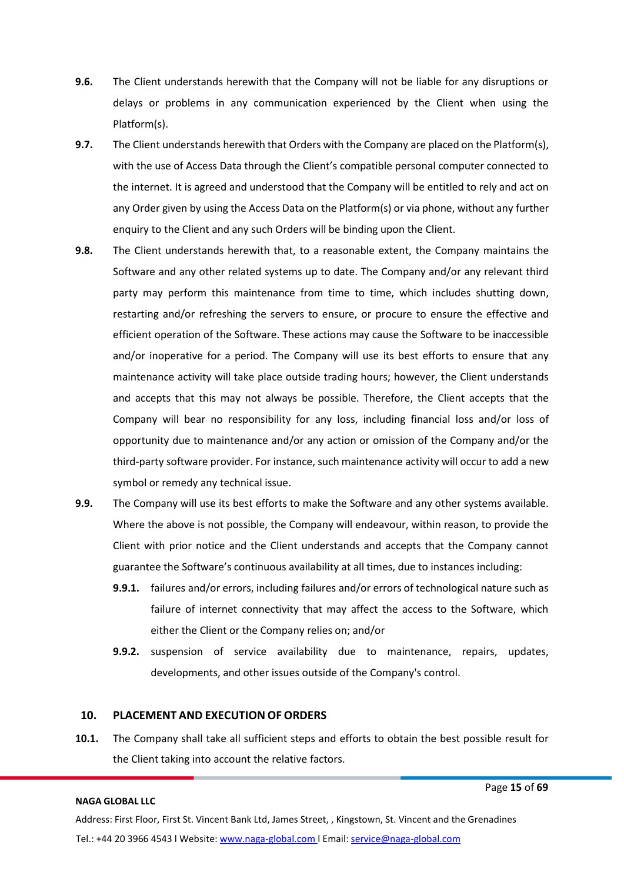- **9.6.** The Client understands herewith that the Company will not be liable for any disruptions or delays or problems in any communication experienced by the Client when using the Platform(s).
- **9.7.** The Client understands herewith that Orders with the Company are placed on the Platform(s), with the use of Access Data through the Client's compatible personal computer connected to the internet. It is agreed and understood that the Company will be entitled to rely and act on any Order given by using the Access Data on the Platform(s) or via phone, without any further enquiry to the Client and any such Orders will be binding upon the Client.
- **9.8.** The Client understands herewith that, to a reasonable extent, the Company maintains the Software and any other related systems up to date. The Company and/or any relevant third party may perform this maintenance from time to time, which includes shutting down, restarting and/or refreshing the servers to ensure, or procure to ensure the effective and efficient operation of the Software. These actions may cause the Software to be inaccessible and/or inoperative for a period. The Company will use its best efforts to ensure that any maintenance activity will take place outside trading hours; however, the Client understands and accepts that this may not always be possible. Therefore, the Client accepts that the Company will bear no responsibility for any loss, including financial loss and/or loss of opportunity due to maintenance and/or any action or omission of the Company and/or the third-party software provider. For instance, such maintenance activity will occur to add a new symbol or remedy any technical issue.
- **9.9.** The Company will use its best efforts to make the Software and any other systems available. Where the above is not possible, the Company will endeavour, within reason, to provide the Client with prior notice and the Client understands and accepts that the Company cannot guarantee the Software's continuous availability at all times, due to instances including:
	- **9.9.1.** failures and/or errors, including failures and/or errors of technological nature such as failure of internet connectivity that may affect the access to the Software, which either the Client or the Company relies on; and/or
	- **9.9.2.** suspension of service availability due to maintenance, repairs, updates, developments, and other issues outside of the Company's control.

# **10. PLACEMENT AND EXECUTION OF ORDERS**

<span id="page-14-0"></span>**10.1.** The Company shall take all sufficient steps and efforts to obtain the best possible result for the Client taking into account the relative factors.

#### **NAGA GLOBAL LLC**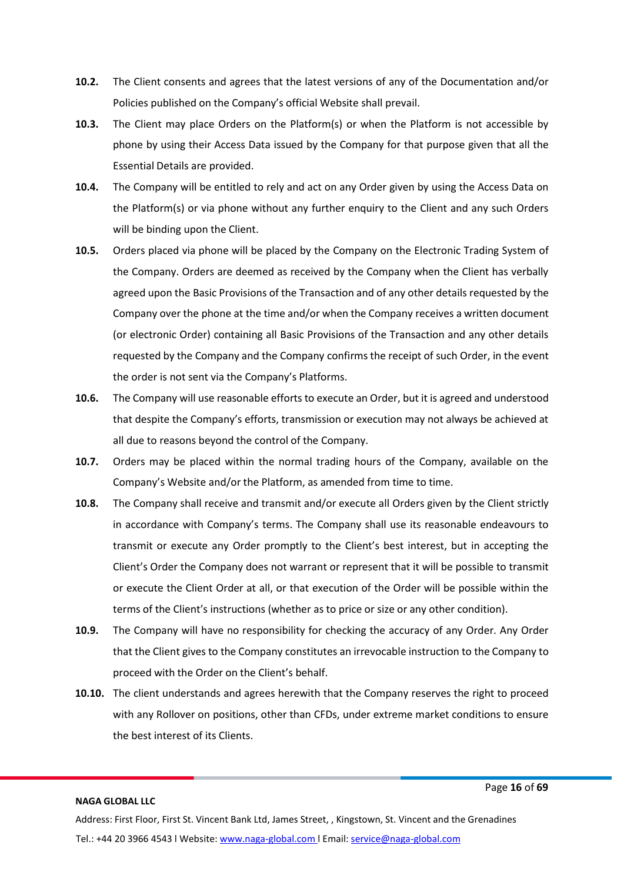- **10.2.** The Client consents and agrees that the latest versions of any of the Documentation and/or Policies published on the Company's official Website shall prevail.
- **10.3.** The Client may place Orders on the Platform(s) or when the Platform is not accessible by phone by using their Access Data issued by the Company for that purpose given that all the Essential Details are provided.
- **10.4.** The Company will be entitled to rely and act on any Order given by using the Access Data on the Platform(s) or via phone without any further enquiry to the Client and any such Orders will be binding upon the Client.
- **10.5.** Orders placed via phone will be placed by the Company on the Electronic Trading System of the Company. Orders are deemed as received by the Company when the Client has verbally agreed upon the Basic Provisions of the Transaction and of any other details requested by the Company over the phone at the time and/or when the Company receives a written document (or electronic Order) containing all Basic Provisions of the Transaction and any other details requested by the Company and the Company confirms the receipt of such Order, in the event the order is not sent via the Company's Platforms.
- **10.6.** The Company will use reasonable efforts to execute an Order, but it is agreed and understood that despite the Company's efforts, transmission or execution may not always be achieved at all due to reasons beyond the control of the Company.
- **10.7.** Orders may be placed within the normal trading hours of the Company, available on the Company's Website and/or the Platform, as amended from time to time.
- **10.8.** The Company shall receive and transmit and/or execute all Orders given by the Client strictly in accordance with Company's terms. The Company shall use its reasonable endeavours to transmit or execute any Order promptly to the Client's best interest, but in accepting the Client's Order the Company does not warrant or represent that it will be possible to transmit or execute the Client Order at all, or that execution of the Order will be possible within the terms of the Client's instructions (whether as to price or size or any other condition).
- **10.9.** The Company will have no responsibility for checking the accuracy of any Order. Any Order that the Client gives to the Company constitutes an irrevocable instruction to the Company to proceed with the Order on the Client's behalf.
- **10.10.** The client understands and agrees herewith that the Company reserves the right to proceed with any Rollover on positions, other than CFDs, under extreme market conditions to ensure the best interest of its Clients.

Page **16** of **69**

Address: First Floor, First St. Vincent Bank Ltd, James Street, , Kingstown, St. Vincent and the Grenadines Tel.: +44 20 3966 4543 l Website: www.naga-global.com | Email: [service@naga-global.com](mailto:service@naga-global.com)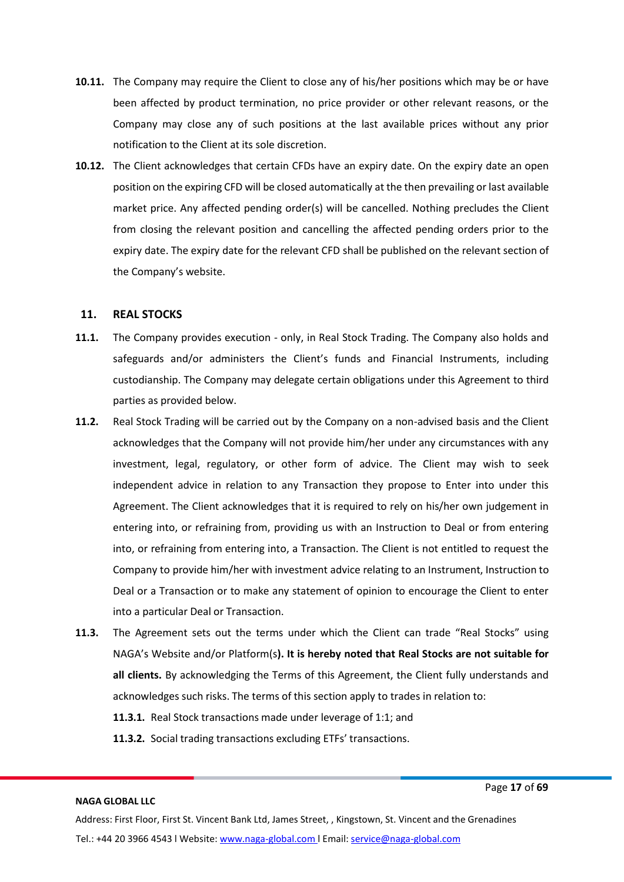- **10.11.** The Company may require the Client to close any of his/her positions which may be or have been affected by product termination, no price provider or other relevant reasons, or the Company may close any of such positions at the last available prices without any prior notification to the Client at its sole discretion.
- **10.12.** The Client acknowledges that certain CFDs have an expiry date. On the expiry date an open position on the expiring CFD will be closed automatically at the then prevailing or last available market price. Any affected pending order(s) will be cancelled. Nothing precludes the Client from closing the relevant position and cancelling the affected pending orders prior to the expiry date. The expiry date for the relevant CFD shall be published on the relevant section of the Company's website.

# <span id="page-16-0"></span>**11. REAL STOCKS**

- **11.1.** The Company provides execution only, in Real Stock Trading. The Company also holds and safeguards and/or administers the Client's funds and Financial Instruments, including custodianship. The Company may delegate certain obligations under this Agreement to third parties as provided below.
- **11.2.** Real Stock Trading will be carried out by the Company on a non-advised basis and the Client acknowledges that the Company will not provide him/her under any circumstances with any investment, legal, regulatory, or other form of advice. The Client may wish to seek independent advice in relation to any Transaction they propose to Enter into under this Agreement. The Client acknowledges that it is required to rely on his/her own judgement in entering into, or refraining from, providing us with an Instruction to Deal or from entering into, or refraining from entering into, a Transaction. The Client is not entitled to request the Company to provide him/her with investment advice relating to an Instrument, Instruction to Deal or a Transaction or to make any statement of opinion to encourage the Client to enter into a particular Deal or Transaction.
- **11.3.** The Agreement sets out the terms under which the Client can trade "Real Stocks" using NAGA's Website and/or Platform(s**). It is hereby noted that Real Stocks are not suitable for all clients.** By acknowledging the Terms of this Agreement, the Client fully understands and acknowledges such risks. The terms of this section apply to trades in relation to:
	- **11.3.1.** Real Stock transactions made under leverage of 1:1; and
	- **11.3.2.** Social trading transactions excluding ETFs' transactions.

#### **NAGA GLOBAL LLC**

Page **17** of **69**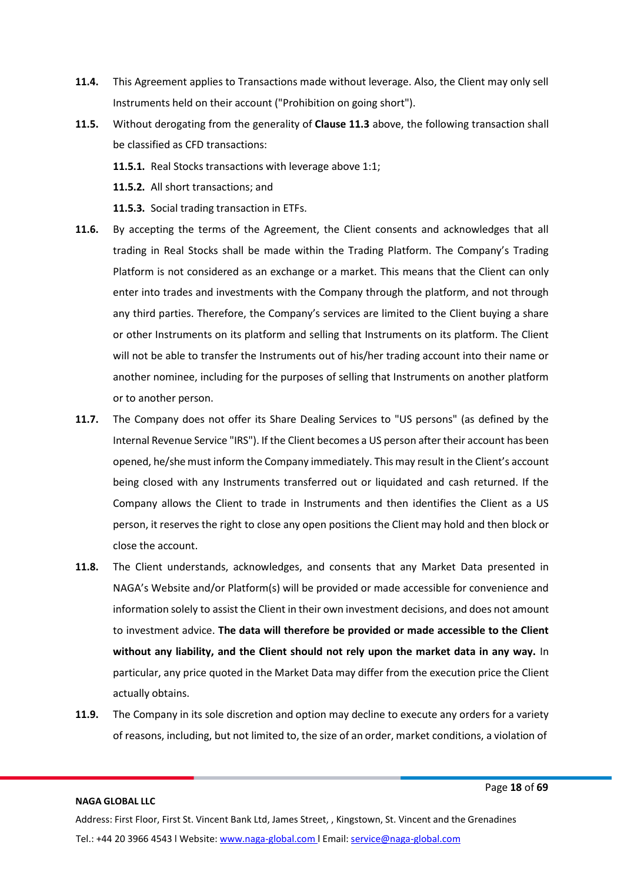- **11.4.** This Agreement applies to Transactions made without leverage. Also, the Client may only sell Instruments held on their account ("Prohibition on going short").
- **11.5.** Without derogating from the generality of **Clause 11.3** above, the following transaction shall be classified as CFD transactions:
	- **11.5.1.** Real Stocks transactions with leverage above 1:1;
	- **11.5.2.** All short transactions; and
	- **11.5.3.** Social trading transaction in ETFs.
- **11.6.** By accepting the terms of the Agreement, the Client consents and acknowledges that all trading in Real Stocks shall be made within the Trading Platform. The Company's Trading Platform is not considered as an exchange or a market. This means that the Client can only enter into trades and investments with the Company through the platform, and not through any third parties. Therefore, the Company's services are limited to the Client buying a share or other Instruments on its platform and selling that Instruments on its platform. The Client will not be able to transfer the Instruments out of his/her trading account into their name or another nominee, including for the purposes of selling that Instruments on another platform or to another person.
- **11.7.** The Company does not offer its Share Dealing Services to "US persons" (as defined by the Internal Revenue Service "IRS"). If the Client becomes a US person after their account has been opened, he/she must inform the Company immediately. This may result in the Client's account being closed with any Instruments transferred out or liquidated and cash returned. If the Company allows the Client to trade in Instruments and then identifies the Client as a US person, it reserves the right to close any open positions the Client may hold and then block or close the account.
- **11.8.** The Client understands, acknowledges, and consents that any Market Data presented in NAGA's Website and/or Platform(s) will be provided or made accessible for convenience and information solely to assist the Client in their own investment decisions, and does not amount to investment advice. **The data will therefore be provided or made accessible to the Client without any liability, and the Client should not rely upon the market data in any way.** In particular, any price quoted in the Market Data may differ from the execution price the Client actually obtains.
- **11.9.** The Company in its sole discretion and option may decline to execute any orders for a variety of reasons, including, but not limited to, the size of an order, market conditions, a violation of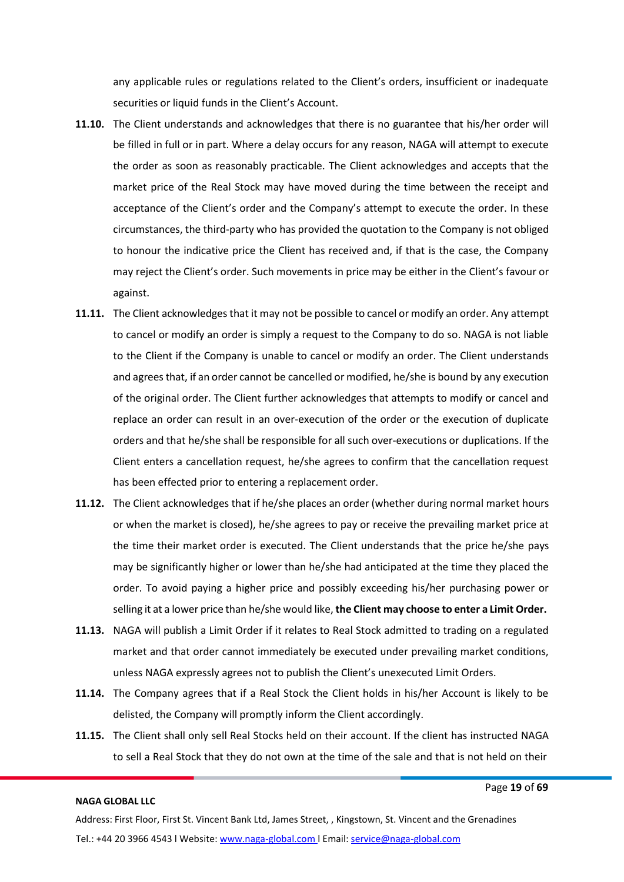any applicable rules or regulations related to the Client's orders, insufficient or inadequate securities or liquid funds in the Client's Account.

- **11.10.** The Client understands and acknowledges that there is no guarantee that his/her order will be filled in full or in part. Where a delay occurs for any reason, NAGA will attempt to execute the order as soon as reasonably practicable. The Client acknowledges and accepts that the market price of the Real Stock may have moved during the time between the receipt and acceptance of the Client's order and the Company's attempt to execute the order. In these circumstances, the third-party who has provided the quotation to the Company is not obliged to honour the indicative price the Client has received and, if that is the case, the Company may reject the Client's order. Such movements in price may be either in the Client's favour or against.
- **11.11.** The Client acknowledges that it may not be possible to cancel or modify an order. Any attempt to cancel or modify an order is simply a request to the Company to do so. NAGA is not liable to the Client if the Company is unable to cancel or modify an order. The Client understands and agreesthat, if an order cannot be cancelled or modified, he/she is bound by any execution of the original order. The Client further acknowledges that attempts to modify or cancel and replace an order can result in an over-execution of the order or the execution of duplicate orders and that he/she shall be responsible for all such over-executions or duplications. If the Client enters a cancellation request, he/she agrees to confirm that the cancellation request has been effected prior to entering a replacement order.
- **11.12.** The Client acknowledges that if he/she places an order (whether during normal market hours or when the market is closed), he/she agrees to pay or receive the prevailing market price at the time their market order is executed. The Client understands that the price he/she pays may be significantly higher or lower than he/she had anticipated at the time they placed the order. To avoid paying a higher price and possibly exceeding his/her purchasing power or selling it at a lower price than he/she would like, **the Client may choose to enter a Limit Order.**
- **11.13.** NAGA will publish a Limit Order if it relates to Real Stock admitted to trading on a regulated market and that order cannot immediately be executed under prevailing market conditions, unless NAGA expressly agrees not to publish the Client's unexecuted Limit Orders.
- **11.14.** The Company agrees that if a Real Stock the Client holds in his/her Account is likely to be delisted, the Company will promptly inform the Client accordingly.
- **11.15.** The Client shall only sell Real Stocks held on their account. If the client has instructed NAGA to sell a Real Stock that they do not own at the time of the sale and that is not held on their

#### Page **19** of **69**

# **NAGA GLOBAL LLC**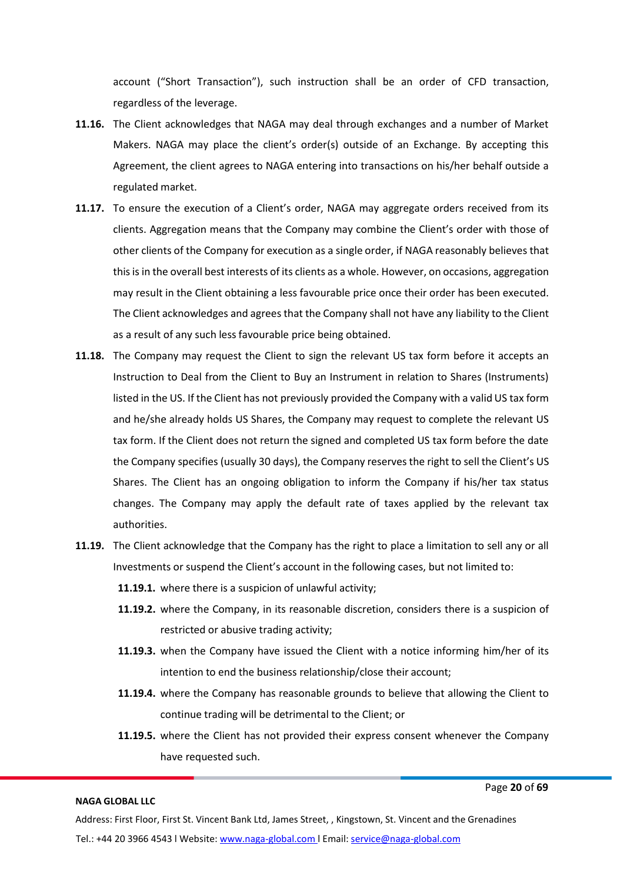account ("Short Transaction"), such instruction shall be an order of CFD transaction, regardless of the leverage.

- **11.16.** The Client acknowledges that NAGA may deal through exchanges and a number of Market Makers. NAGA may place the client's order(s) outside of an Exchange. By accepting this Agreement, the client agrees to NAGA entering into transactions on his/her behalf outside a regulated market.
- **11.17.** To ensure the execution of a Client's order, NAGA may aggregate orders received from its clients. Aggregation means that the Company may combine the Client's order with those of other clients of the Company for execution as a single order, if NAGA reasonably believes that thisis in the overall best interests of its clients as a whole. However, on occasions, aggregation may result in the Client obtaining a less favourable price once their order has been executed. The Client acknowledges and agrees that the Company shall not have any liability to the Client as a result of any such lessfavourable price being obtained.
- **11.18.** The Company may request the Client to sign the relevant US tax form before it accepts an Instruction to Deal from the Client to Buy an Instrument in relation to Shares (Instruments) listed in the US. If the Client has not previously provided the Company with a valid US tax form and he/she already holds US Shares, the Company may request to complete the relevant US tax form. If the Client does not return the signed and completed US tax form before the date the Company specifies (usually 30 days), the Company reserves the right to sell the Client's US Shares. The Client has an ongoing obligation to inform the Company if his/her tax status changes. The Company may apply the default rate of taxes applied by the relevant tax authorities.
- **11.19.** The Client acknowledge that the Company has the right to place a limitation to sell any or all Investments or suspend the Client's account in the following cases, but not limited to:
	- **11.19.1.** where there is a suspicion of unlawful activity;
	- **11.19.2.** where the Company, in its reasonable discretion, considers there is a suspicion of restricted or abusive trading activity;
	- **11.19.3.** when the Company have issued the Client with a notice informing him/her of its intention to end the business relationship/close their account;
	- **11.19.4.** where the Company has reasonable grounds to believe that allowing the Client to continue trading will be detrimental to the Client; or
	- **11.19.5.** where the Client has not provided their express consent whenever the Company have requested such.

#### **NAGA GLOBAL LLC**

Page **20** of **69**

Address: First Floor, First St. Vincent Bank Ltd, James Street, , Kingstown, St. Vincent and the Grenadines Tel.: +44 20 3966 4543 l Website: www.naga-global.com | Email: [service@naga-global.com](mailto:service@naga-global.com)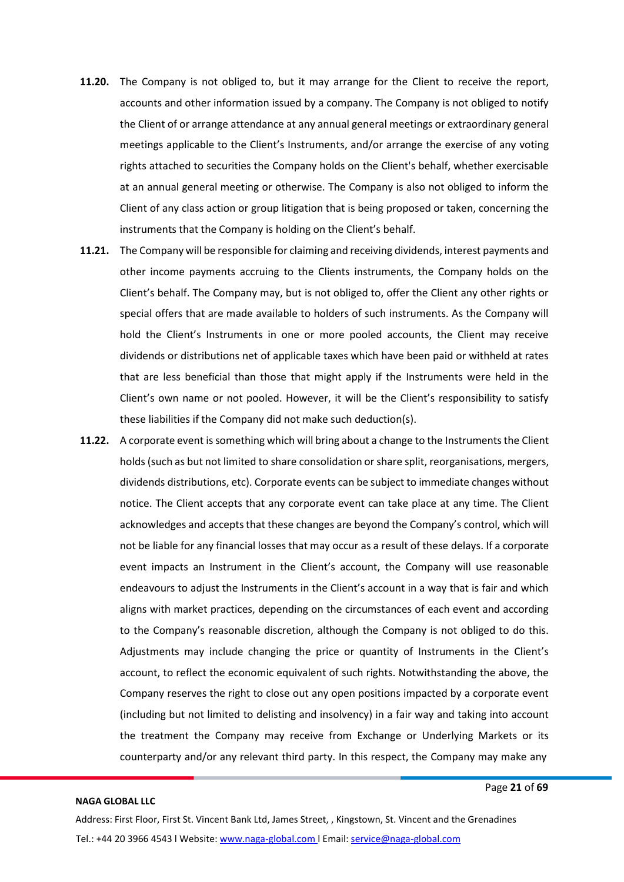- **11.20.** The Company is not obliged to, but it may arrange for the Client to receive the report, accounts and other information issued by a company. The Company is not obliged to notify the Client of or arrange attendance at any annual general meetings or extraordinary general meetings applicable to the Client's Instruments, and/or arrange the exercise of any voting rights attached to securities the Company holds on the Client's behalf, whether exercisable at an annual general meeting or otherwise. The Company is also not obliged to inform the Client of any class action or group litigation that is being proposed or taken, concerning the instruments that the Company is holding on the Client's behalf.
- **11.21.** The Company will be responsible for claiming and receiving dividends, interest payments and other income payments accruing to the Clients instruments, the Company holds on the Client's behalf. The Company may, but is not obliged to, offer the Client any other rights or special offers that are made available to holders of such instruments. As the Company will hold the Client's Instruments in one or more pooled accounts, the Client may receive dividends or distributions net of applicable taxes which have been paid or withheld at rates that are less beneficial than those that might apply if the Instruments were held in the Client's own name or not pooled. However, it will be the Client's responsibility to satisfy these liabilities if the Company did not make such deduction(s).
- **11.22.** A corporate event is something which will bring about a change to the Instruments the Client holds (such as but not limited to share consolidation or share split, reorganisations, mergers, dividends distributions, etc). Corporate events can be subject to immediate changes without notice. The Client accepts that any corporate event can take place at any time. The Client acknowledges and accepts that these changes are beyond the Company's control, which will not be liable for any financial losses that may occur as a result of these delays. If a corporate event impacts an Instrument in the Client's account, the Company will use reasonable endeavours to adjust the Instruments in the Client's account in a way that is fair and which aligns with market practices, depending on the circumstances of each event and according to the Company's reasonable discretion, although the Company is not obliged to do this. Adjustments may include changing the price or quantity of Instruments in the Client's account, to reflect the economic equivalent of such rights. Notwithstanding the above, the Company reserves the right to close out any open positions impacted by a corporate event (including but not limited to delisting and insolvency) in a fair way and taking into account the treatment the Company may receive from Exchange or Underlying Markets or its counterparty and/or any relevant third party. In this respect, the Company may make any

Page **21** of **69**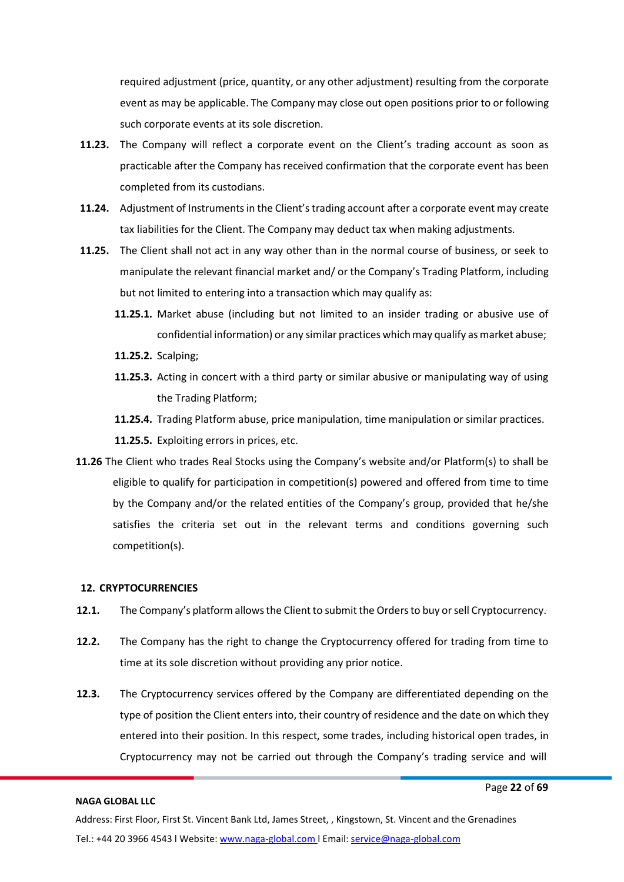required adjustment (price, quantity, or any other adjustment) resulting from the corporate event as may be applicable. The Company may close out open positions prior to or following such corporate events at its sole discretion.

- **11.23.** The Company will reflect a corporate event on the Client's trading account as soon as practicable after the Company has received confirmation that the corporate event has been completed from its custodians.
- **11.24.** Adjustment of Instrumentsin the Client'strading account after a corporate event may create tax liabilities for the Client. The Company may deduct tax when making adjustments.
- **11.25.** The Client shall not act in any way other than in the normal course of business, or seek to manipulate the relevant financial market and/ or the Company's Trading Platform, including but not limited to entering into a transaction which may qualify as:
	- **11.25.1.** Market abuse (including but not limited to an insider trading or abusive use of confidential information) or any similar practices which may qualify as market abuse;
	- **11.25.2.** Scalping;
	- **11.25.3.** Acting in concert with a third party or similar abusive or manipulating way of using the Trading Platform;
	- **11.25.4.** Trading Platform abuse, price manipulation, time manipulation or similar practices.
	- **11.25.5.** Exploiting errors in prices, etc.
- **11.26** The Client who trades Real Stocks using the Company's website and/or Platform(s) to shall be eligible to qualify for participation in competition(s) powered and offered from time to time by the Company and/or the related entities of the Company's group, provided that he/she satisfies the criteria set out in the relevant terms and conditions governing such competition(s).

#### <span id="page-21-0"></span>**12. CRYPTOCURRENCIES**

- **12.1.** The Company's platform allows the Client to submit the Orders to buy or sell Cryptocurrency.
- **12.2.** The Company has the right to change the Cryptocurrency offered for trading from time to time at its sole discretion without providing any prior notice.
- **12.3.** The Cryptocurrency services offered by the Company are differentiated depending on the type of position the Client enters into, their country of residence and the date on which they entered into their position. In this respect, some trades, including historical open trades, in Cryptocurrency may not be carried out through the Company's trading service and will

#### **NAGA GLOBAL LLC**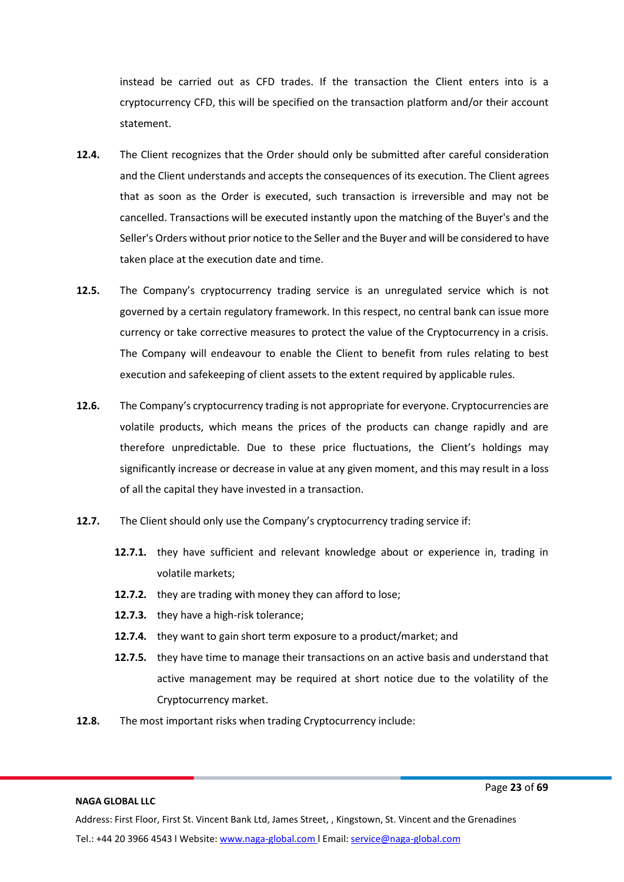instead be carried out as CFD trades. If the transaction the Client enters into is a cryptocurrency CFD, this will be specified on the transaction platform and/or their account statement.

- **12.4.** The Client recognizes that the Order should only be submitted after careful consideration and the Client understands and accepts the consequences of its execution. The Client agrees that as soon as the Order is executed, such transaction is irreversible and may not be cancelled. Transactions will be executed instantly upon the matching of the Buyer's and the Seller's Orders without prior notice to the Seller and the Buyer and will be considered to have taken place at the execution date and time.
- **12.5.** The Company's cryptocurrency trading service is an unregulated service which is not governed by a certain regulatory framework. In this respect, no central bank can issue more currency or take corrective measures to protect the value of the Cryptocurrency in a crisis. The Company will endeavour to enable the Client to benefit from rules relating to best execution and safekeeping of client assets to the extent required by applicable rules.
- **12.6.** The Company's cryptocurrency trading is not appropriate for everyone. Cryptocurrencies are volatile products, which means the prices of the products can change rapidly and are therefore unpredictable. Due to these price fluctuations, the Client's holdings may significantly increase or decrease in value at any given moment, and this may result in a loss of all the capital they have invested in a transaction.
- **12.7.** The Client should only use the Company's cryptocurrency trading service if:
	- **12.7.1.** they have sufficient and relevant knowledge about or experience in, trading in volatile markets;
	- **12.7.2.** they are trading with money they can afford to lose;
	- **12.7.3.** they have a high-risk tolerance;
	- **12.7.4.** they want to gain short term exposure to a product/market; and
	- **12.7.5.** they have time to manage their transactions on an active basis and understand that active management may be required at short notice due to the volatility of the Cryptocurrency market.
- **12.8.** The most important risks when trading Cryptocurrency include:

#### **NAGA GLOBAL LLC**

Page **23** of **69**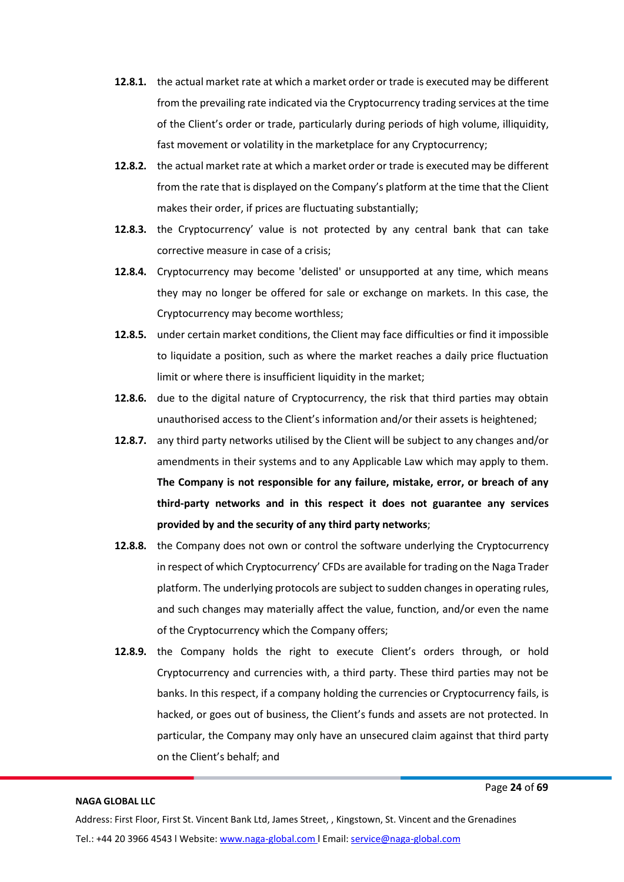- **12.8.1.** the actual market rate at which a market order or trade is executed may be different from the prevailing rate indicated via the Cryptocurrency trading services at the time of the Client's order or trade, particularly during periods of high volume, illiquidity, fast movement or volatility in the marketplace for any Cryptocurrency;
- **12.8.2.** the actual market rate at which a market order or trade is executed may be different from the rate that is displayed on the Company's platform at the time that the Client makes their order, if prices are fluctuating substantially;
- **12.8.3.** the Cryptocurrency' value is not protected by any central bank that can take corrective measure in case of a crisis;
- **12.8.4.** Cryptocurrency may become 'delisted' or unsupported at any time, which means they may no longer be offered for sale or exchange on markets. In this case, the Cryptocurrency may become worthless;
- **12.8.5.** under certain market conditions, the Client may face difficulties or find it impossible to liquidate a position, such as where the market reaches a daily price fluctuation limit or where there is insufficient liquidity in the market;
- **12.8.6.** due to the digital nature of Cryptocurrency, the risk that third parties may obtain unauthorised access to the Client's information and/or their assets is heightened;
- **12.8.7.** any third party networks utilised by the Client will be subject to any changes and/or amendments in their systems and to any Applicable Law which may apply to them. **The Company is not responsible for any failure, mistake, error, or breach of any third-party networks and in this respect it does not guarantee any services provided by and the security of any third party networks**;
- **12.8.8.** the Company does not own or control the software underlying the Cryptocurrency in respect of which Cryptocurrency' CFDs are available for trading on the Naga Trader platform. The underlying protocols are subject to sudden changesin operating rules, and such changes may materially affect the value, function, and/or even the name of the Cryptocurrency which the Company offers;
- **12.8.9.** the Company holds the right to execute Client's orders through, or hold Cryptocurrency and currencies with, a third party. These third parties may not be banks. In this respect, if a company holding the currencies or Cryptocurrency fails, is hacked, or goes out of business, the Client's funds and assets are not protected. In particular, the Company may only have an unsecured claim against that third party on the Client's behalf; and

Page **24** of **69**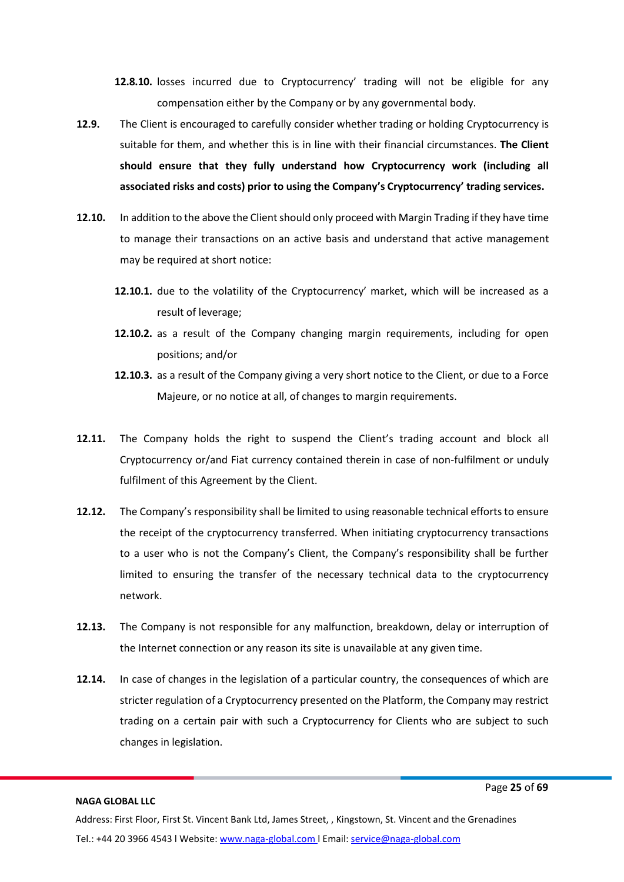**12.8.10.** losses incurred due to Cryptocurrency' trading will not be eligible for any compensation either by the Company or by any governmental body.

- **12.9.** The Client is encouraged to carefully consider whether trading or holding Cryptocurrency is suitable for them, and whether this is in line with their financial circumstances. **The Client should ensure that they fully understand how Cryptocurrency work (including all associated risks and costs) prior to using the Company's Cryptocurrency' trading services.**
- **12.10.** In addition to the above the Client should only proceed with Margin Trading if they have time to manage their transactions on an active basis and understand that active management may be required at short notice:
	- **12.10.1.** due to the volatility of the Cryptocurrency' market, which will be increased as a result of leverage;
	- **12.10.2.** as a result of the Company changing margin requirements, including for open positions; and/or
	- **12.10.3.** as a result of the Company giving a very short notice to the Client, or due to a Force Majeure, or no notice at all, of changes to margin requirements.
- **12.11.** The Company holds the right to suspend the Client's trading account and block all Cryptocurrency or/and Fiat currency contained therein in case of non-fulfilment or unduly fulfilment of this Agreement by the Client.
- **12.12.** The Company's responsibility shall be limited to using reasonable technical efforts to ensure the receipt of the cryptocurrency transferred. When initiating cryptocurrency transactions to a user who is not the Company's Client, the Company's responsibility shall be further limited to ensuring the transfer of the necessary technical data to the cryptocurrency network.
- **12.13.** The Company is not responsible for any malfunction, breakdown, delay or interruption of the Internet connection or any reason its site is unavailable at any given time.
- **12.14.** In case of changes in the legislation of a particular country, the consequences of which are stricter regulation of a Cryptocurrency presented on the Platform, the Company may restrict trading on a certain pair with such a Cryptocurrency for Clients who are subject to such changes in legislation.

#### **NAGA GLOBAL LLC**

Page **25** of **69**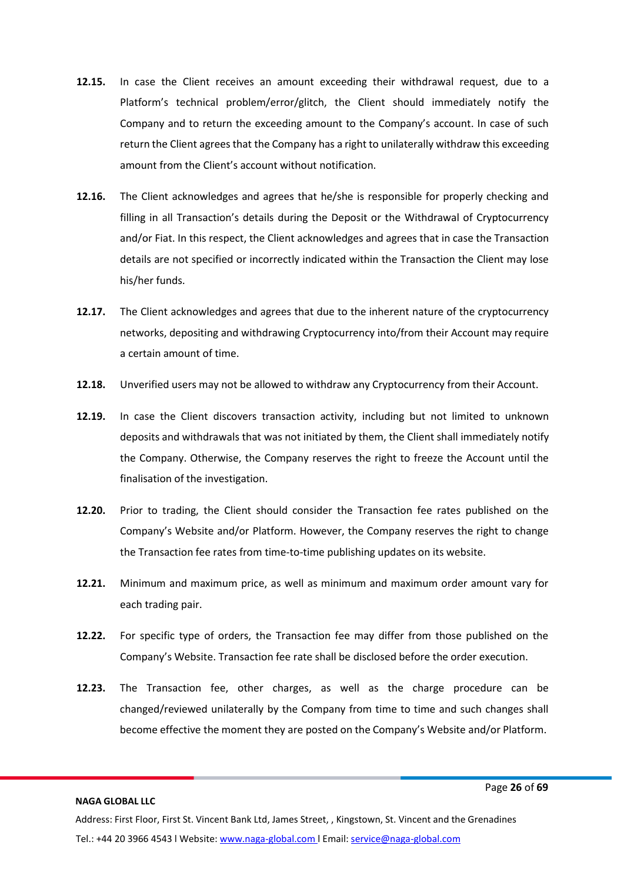- **12.15.** In case the Client receives an amount exceeding their withdrawal request, due to a Platform's technical problem/error/glitch, the Client should immediately notify the Company and to return the exceeding amount to the Company's account. In case of such return the Client agrees that the Company has a right to unilaterally withdraw this exceeding amount from the Client's account without notification.
- **12.16.** The Client acknowledges and agrees that he/she is responsible for properly checking and filling in all Transaction's details during the Deposit or the Withdrawal of Cryptocurrency and/or Fiat. In this respect, the Client acknowledges and agrees that in case the Transaction details are not specified or incorrectly indicated within the Transaction the Client may lose his/her funds.
- **12.17.** The Client acknowledges and agrees that due to the inherent nature of the cryptocurrency networks, depositing and withdrawing Cryptocurrency into/from their Account may require a certain amount of time.
- **12.18.** Unverified users may not be allowed to withdraw any Cryptocurrency from their Account.
- **12.19.** In case the Client discovers transaction activity, including but not limited to unknown deposits and withdrawals that was not initiated by them, the Client shall immediately notify the Company. Otherwise, the Company reserves the right to freeze the Account until the finalisation of the investigation.
- **12.20.** Prior to trading, the Client should consider the Transaction fee rates published on the Company's Website and/or Platform. However, the Company reserves the right to change the Transaction fee rates from time-to-time publishing updates on its website.
- **12.21.** Minimum and maximum price, as well as minimum and maximum order amount vary for each trading pair.
- **12.22.** For specific type of orders, the Transaction fee may differ from those published on the Company's Website. Transaction fee rate shall be disclosed before the order execution.
- **12.23.** The Transaction fee, other charges, as well as the charge procedure can be changed/reviewed unilaterally by the Company from time to time and such changes shall become effective the moment they are posted on the Company's Website and/or Platform.

Page **26** of **69**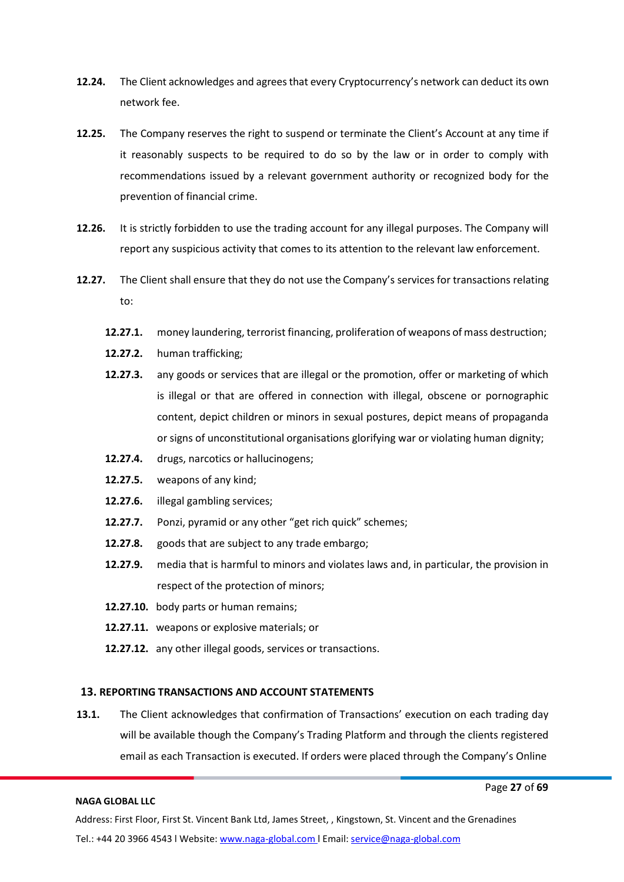- **12.24.** The Client acknowledges and agreesthat every Cryptocurrency's network can deduct its own network fee.
- **12.25.** The Company reserves the right to suspend or terminate the Client's Account at any time if it reasonably suspects to be required to do so by the law or in order to comply with recommendations issued by a relevant government authority or recognized body for the prevention of financial crime.
- **12.26.** It is strictly forbidden to use the trading account for any illegal purposes. The Company will report any suspicious activity that comes to its attention to the relevant law enforcement.
- **12.27.** The Client shall ensure that they do not use the Company's services for transactions relating to:
	- **12.27.1.** money laundering, terrorist financing, proliferation of weapons of mass destruction;
	- **12.27.2.** human trafficking;
	- **12.27.3.** any goods or services that are illegal or the promotion, offer or marketing of which is illegal or that are offered in connection with illegal, obscene or pornographic content, depict children or minors in sexual postures, depict means of propaganda or signs of unconstitutional organisations glorifying war or violating human dignity;
	- **12.27.4.** drugs, narcotics or hallucinogens;
	- **12.27.5.** weapons of any kind;
	- **12.27.6.** illegal gambling services;
	- **12.27.7.** Ponzi, pyramid or any other "get rich quick" schemes;
	- **12.27.8.** goods that are subject to any trade embargo;
	- **12.27.9.** media that is harmful to minors and violates laws and, in particular, the provision in respect of the protection of minors;
	- **12.27.10.** body parts or human remains;
	- **12.27.11.** weapons or explosive materials; or
	- **12.27.12.** any other illegal goods, services or transactions.

#### <span id="page-26-0"></span>**13. REPORTING TRANSACTIONS AND ACCOUNT STATEMENTS**

**13.1.** The Client acknowledges that confirmation of Transactions' execution on each trading day will be available though the Company's Trading Platform and through the clients registered email as each Transaction is executed. If orders were placed through the Company's Online

#### **NAGA GLOBAL LLC**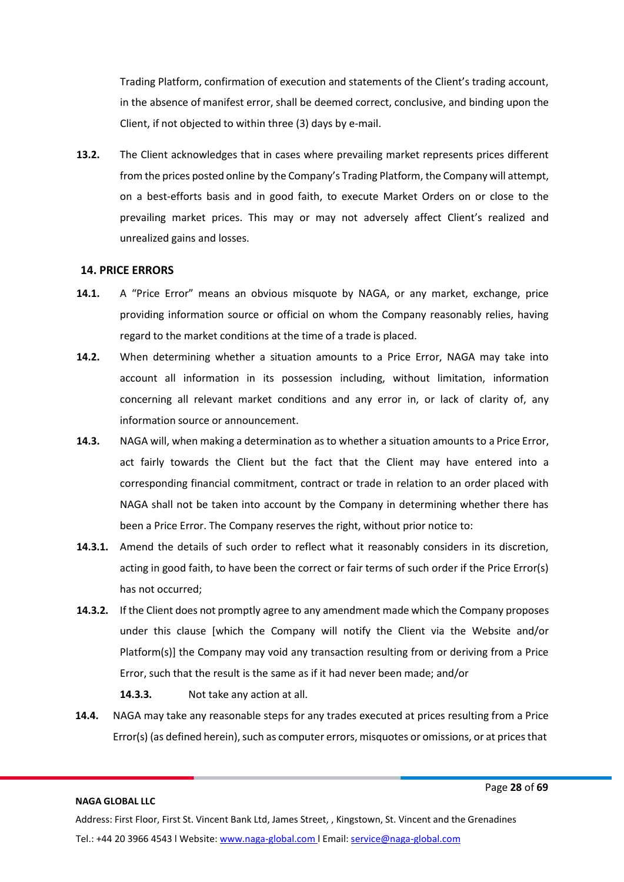Trading Platform, confirmation of execution and statements of the Client's trading account, in the absence of manifest error, shall be deemed correct, conclusive, and binding upon the Client, if not objected to within three (3) days by e-mail.

**13.2.** The Client acknowledges that in cases where prevailing market represents prices different from the prices posted online by the Company's Trading Platform, the Company will attempt, on a best-efforts basis and in good faith, to execute Market Orders on or close to the prevailing market prices. This may or may not adversely affect Client's realized and unrealized gains and losses.

#### <span id="page-27-0"></span>**14. PRICE ERRORS**

- **14.1.** A "Price Error" means an obvious misquote by NAGA, or any market, exchange, price providing information source or official on whom the Company reasonably relies, having regard to the market conditions at the time of a trade is placed.
- **14.2.** When determining whether a situation amounts to a Price Error, NAGA may take into account all information in its possession including, without limitation, information concerning all relevant market conditions and any error in, or lack of clarity of, any information source or announcement.
- **14.3.** NAGA will, when making a determination as to whether a situation amounts to a Price Error, act fairly towards the Client but the fact that the Client may have entered into a corresponding financial commitment, contract or trade in relation to an order placed with NAGA shall not be taken into account by the Company in determining whether there has been a Price Error. The Company reserves the right, without prior notice to:
- **14.3.1.** Amend the details of such order to reflect what it reasonably considers in its discretion, acting in good faith, to have been the correct or fair terms of such order if the Price Error(s) has not occurred;
- **14.3.2.** If the Client does not promptly agree to any amendment made which the Company proposes under this clause [which the Company will notify the Client via the Website and/or Platform(s)] the Company may void any transaction resulting from or deriving from a Price Error, such that the result is the same as if it had never been made; and/or

**14.3.3.** Not take any action at all.

**14.4.** NAGA may take any reasonable steps for any trades executed at prices resulting from a Price Error(s) (as defined herein), such as computer errors, misquotes or omissions, or at prices that

#### **NAGA GLOBAL LLC**

Page **28** of **69**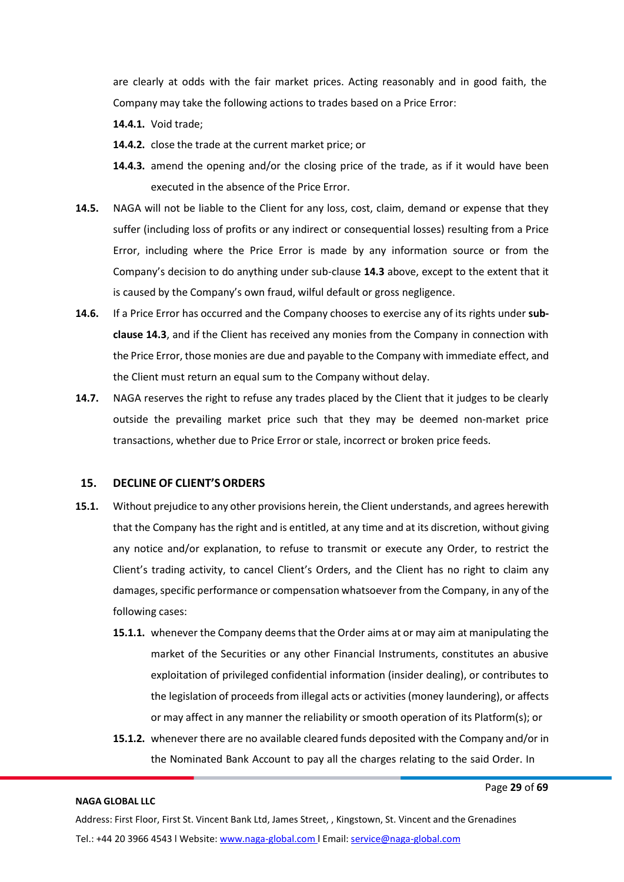are clearly at odds with the fair market prices. Acting reasonably and in good faith, the Company may take the following actions to trades based on a Price Error:

- **14.4.1.** Void trade;
- **14.4.2.** close the trade at the current market price; or
- **14.4.3.** amend the opening and/or the closing price of the trade, as if it would have been executed in the absence of the Price Error.
- **14.5.** NAGA will not be liable to the Client for any loss, cost, claim, demand or expense that they suffer (including loss of profits or any indirect or consequential losses) resulting from a Price Error, including where the Price Error is made by any information source or from the Company's decision to do anything under sub-clause **14.3** above, except to the extent that it is caused by the Company's own fraud, wilful default or gross negligence.
- **14.6.** If a Price Error has occurred and the Company chooses to exercise any of its rights under **subclause 14.3**, and if the Client has received any monies from the Company in connection with the Price Error, those monies are due and payable to the Company with immediate effect, and the Client must return an equal sum to the Company without delay.
- **14.7.** NAGA reserves the right to refuse any trades placed by the Client that it judges to be clearly outside the prevailing market price such that they may be deemed non-market price transactions, whether due to Price Error or stale, incorrect or broken price feeds.

#### <span id="page-28-0"></span>**15. DECLINE OF CLIENT'S ORDERS**

- **15.1.** Without prejudice to any other provisions herein, the Client understands, and agrees herewith that the Company hasthe right and is entitled, at any time and at its discretion, without giving any notice and/or explanation, to refuse to transmit or execute any Order, to restrict the Client's trading activity, to cancel Client's Orders, and the Client has no right to claim any damages, specific performance or compensation whatsoever from the Company, in any of the following cases:
	- **15.1.1.** whenever the Company deemsthat the Order aims at or may aim at manipulating the market of the Securities or any other Financial Instruments, constitutes an abusive exploitation of privileged confidential information (insider dealing), or contributes to the legislation of proceeds from illegal acts or activities (money laundering), or affects or may affect in any manner the reliability or smooth operation of its Platform(s); or
	- **15.1.2.** whenever there are no available cleared funds deposited with the Company and/or in the Nominated Bank Account to pay all the charges relating to the said Order. In

#### **NAGA GLOBAL LLC**

Page **29** of **69**

Address: First Floor, First St. Vincent Bank Ltd, James Street, , Kingstown, St. Vincent and the Grenadines Tel.: +44 20 3966 4543 l Website: www.naga-global.com | Email: [service@naga-global.com](mailto:service@naga-global.com)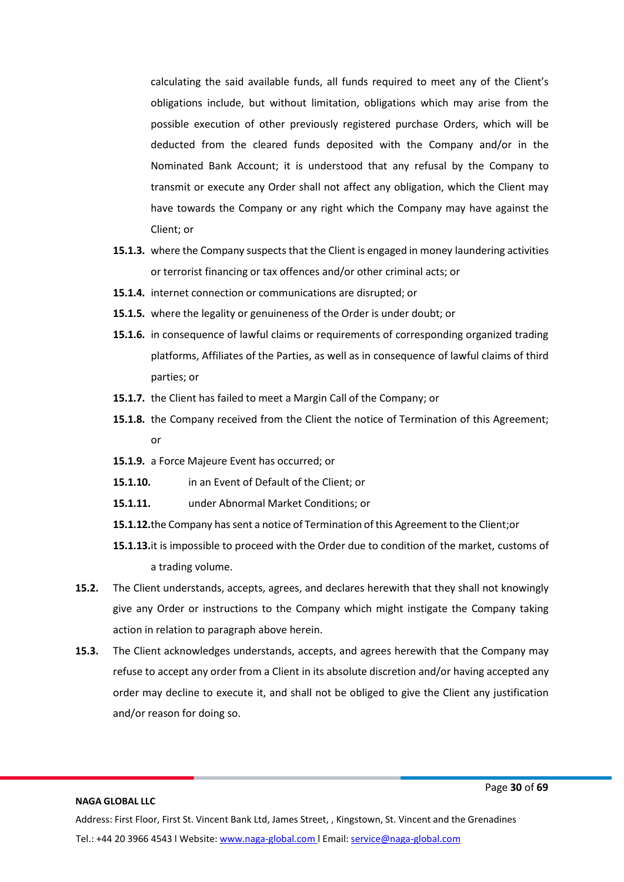calculating the said available funds, all funds required to meet any of the Client's obligations include, but without limitation, obligations which may arise from the possible execution of other previously registered purchase Orders, which will be deducted from the cleared funds deposited with the Company and/or in the Nominated Bank Account; it is understood that any refusal by the Company to transmit or execute any Order shall not affect any obligation, which the Client may have towards the Company or any right which the Company may have against the Client; or

- **15.1.3.** where the Company suspects that the Client is engaged in money laundering activities or terrorist financing or tax offences and/or other criminal acts; or
- **15.1.4.** internet connection or communications are disrupted; or
- **15.1.5.** where the legality or genuineness of the Order is under doubt; or
- **15.1.6.** in consequence of lawful claims or requirements of corresponding organized trading platforms, Affiliates of the Parties, as well as in consequence of lawful claims of third parties; or
- **15.1.7.** the Client has failed to meet a Margin Call of the Company; or
- **15.1.8.** the Company received from the Client the notice of Termination of this Agreement; or
- **15.1.9.** a Force Majeure Event has occurred; or
- **15.1.10.** in an Event of Default of the Client; or
- **15.1.11.** under Abnormal Market Conditions; or
- **15.1.12.**the Company hassent a notice of Termination ofthis Agreement to the Client;or
- **15.1.13.**it is impossible to proceed with the Order due to condition of the market, customs of a trading volume.
- **15.2.** The Client understands, accepts, agrees, and declares herewith that they shall not knowingly give any Order or instructions to the Company which might instigate the Company taking action in relation to paragraph above herein.
- **15.3.** The Client acknowledges understands, accepts, and agrees herewith that the Company may refuse to accept any order from a Client in its absolute discretion and/or having accepted any order may decline to execute it, and shall not be obliged to give the Client any justification and/or reason for doing so.

#### **NAGA GLOBAL LLC**

Page **30** of **69**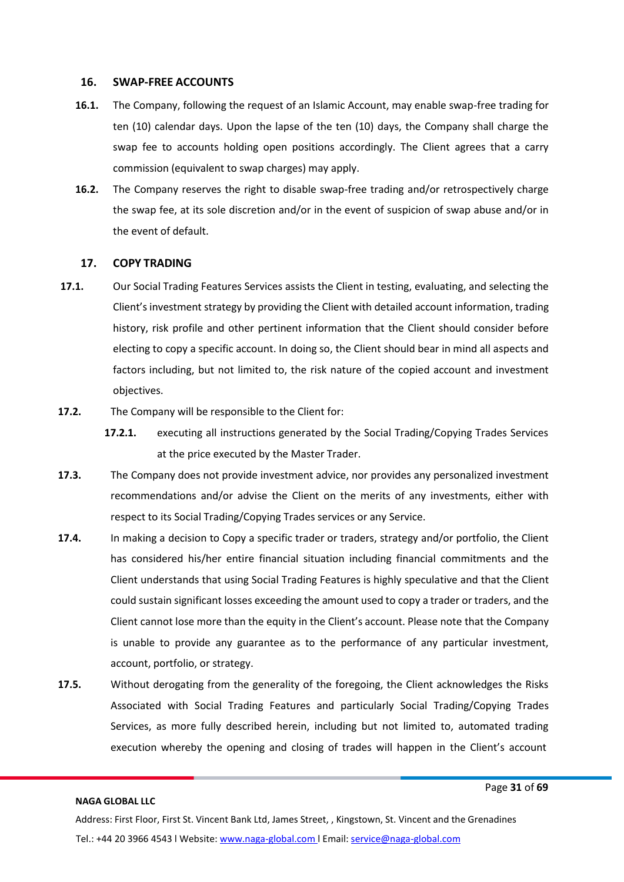#### <span id="page-30-0"></span>**16. SWAP-FREE ACCOUNTS**

- **16.1.** The Company, following the request of an Islamic Account, may enable swap-free trading for ten (10) calendar days. Upon the lapse of the ten (10) days, the Company shall charge the swap fee to accounts holding open positions accordingly. The Client agrees that a carry commission (equivalent to swap charges) may apply.
- **16.2.** The Company reserves the right to disable swap-free trading and/or retrospectively charge the swap fee, at its sole discretion and/or in the event of suspicion of swap abuse and/or in the event of default.

#### **17. COPY TRADING**

- <span id="page-30-1"></span>**17.1.** Our Social Trading Features Services assists the Client in testing, evaluating, and selecting the Client's investment strategy by providing the Client with detailed account information, trading history, risk profile and other pertinent information that the Client should consider before electing to copy a specific account. In doing so, the Client should bear in mind all aspects and factors including, but not limited to, the risk nature of the copied account and investment objectives.
- **17.2.** The Company will be responsible to the Client for:
	- **17.2.1.** executing all instructions generated by the Social Trading/Copying Trades Services at the price executed by the Master Trader.
- **17.3.** The Company does not provide investment advice, nor provides any personalized investment recommendations and/or advise the Client on the merits of any investments, either with respect to its Social Trading/Copying Trades services or any Service.
- **17.4.** In making a decision to Copy a specific trader or traders, strategy and/or portfolio, the Client has considered his/her entire financial situation including financial commitments and the Client understands that using Social Trading Features is highly speculative and that the Client could sustain significant losses exceeding the amount used to copy a trader or traders, and the Client cannot lose more than the equity in the Client's account. Please note that the Company is unable to provide any guarantee as to the performance of any particular investment, account, portfolio, or strategy.
- **17.5.** Without derogating from the generality of the foregoing, the Client acknowledges the Risks Associated with Social Trading Features and particularly Social Trading/Copying Trades Services, as more fully described herein, including but not limited to, automated trading execution whereby the opening and closing of trades will happen in the Client's account

#### **NAGA GLOBAL LLC**

Page **31** of **69**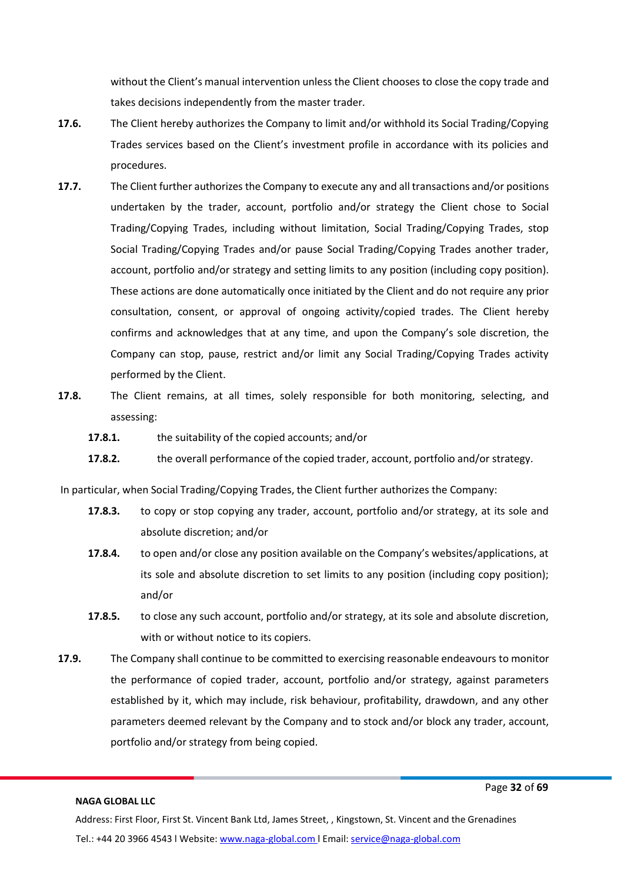without the Client's manual intervention unless the Client chooses to close the copy trade and takes decisions independently from the master trader.

- **17.6.** The Client hereby authorizes the Company to limit and/or withhold its Social Trading/Copying Trades services based on the Client's investment profile in accordance with its policies and procedures.
- **17.7.** The Client further authorizes the Company to execute any and all transactions and/or positions undertaken by the trader, account, portfolio and/or strategy the Client chose to Social Trading/Copying Trades, including without limitation, Social Trading/Copying Trades, stop Social Trading/Copying Trades and/or pause Social Trading/Copying Trades another trader, account, portfolio and/or strategy and setting limits to any position (including copy position). These actions are done automatically once initiated by the Client and do not require any prior consultation, consent, or approval of ongoing activity/copied trades. The Client hereby confirms and acknowledges that at any time, and upon the Company's sole discretion, the Company can stop, pause, restrict and/or limit any Social Trading/Copying Trades activity performed by the Client.
- **17.8.** The Client remains, at all times, solely responsible for both monitoring, selecting, and assessing:
	- **17.8.1.** the suitability of the copied accounts; and/or
	- **17.8.2.** the overall performance of the copied trader, account, portfolio and/or strategy.

In particular, when Social Trading/Copying Trades, the Client further authorizes the Company:

- **17.8.3.** to copy or stop copying any trader, account, portfolio and/or strategy, at its sole and absolute discretion; and/or
- **17.8.4.** to open and/or close any position available on the Company's websites/applications, at its sole and absolute discretion to set limits to any position (including copy position); and/or
- **17.8.5.** to close any such account, portfolio and/or strategy, at its sole and absolute discretion, with or without notice to its copiers.
- **17.9.** The Company shall continue to be committed to exercising reasonable endeavours to monitor the performance of copied trader, account, portfolio and/or strategy, against parameters established by it, which may include, risk behaviour, profitability, drawdown, and any other parameters deemed relevant by the Company and to stock and/or block any trader, account, portfolio and/or strategy from being copied.

#### **NAGA GLOBAL LLC**

Page **32** of **69**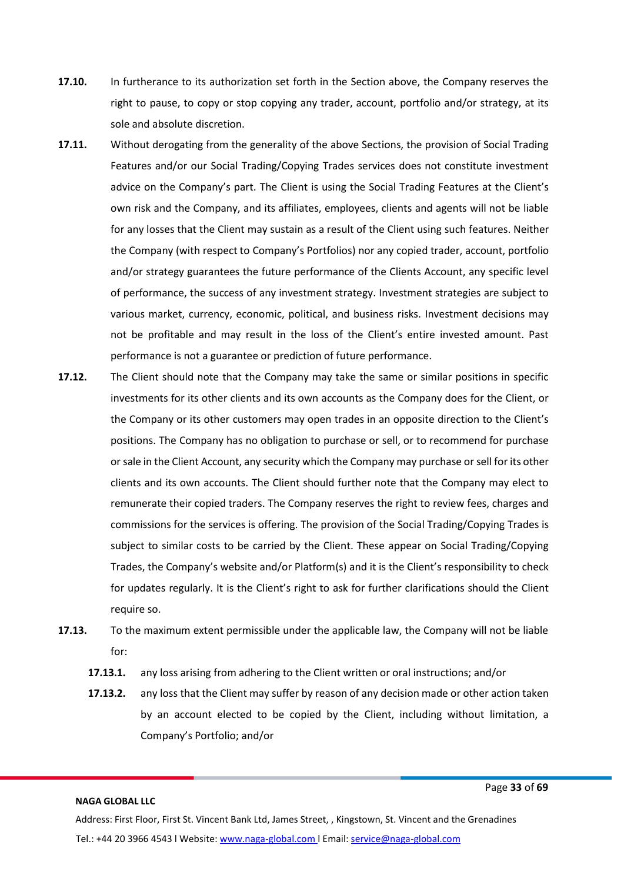- **17.10.** In furtherance to its authorization set forth in the Section above, the Company reserves the right to pause, to copy or stop copying any trader, account, portfolio and/or strategy, at its sole and absolute discretion.
- **17.11.** Without derogating from the generality of the above Sections, the provision of Social Trading Features and/or our Social Trading/Copying Trades services does not constitute investment advice on the Company's part. The Client is using the Social Trading Features at the Client's own risk and the Company, and its affiliates, employees, clients and agents will not be liable for any losses that the Client may sustain as a result of the Client using such features. Neither the Company (with respect to Company's Portfolios) nor any copied trader, account, portfolio and/or strategy guarantees the future performance of the Clients Account, any specific level of performance, the success of any investment strategy. Investment strategies are subject to various market, currency, economic, political, and business risks. Investment decisions may not be profitable and may result in the loss of the Client's entire invested amount. Past performance is not a guarantee or prediction of future performance.
- **17.12.** The Client should note that the Company may take the same or similar positions in specific investments for its other clients and its own accounts as the Company does for the Client, or the Company or its other customers may open trades in an opposite direction to the Client's positions. The Company has no obligation to purchase or sell, or to recommend for purchase orsale in the Client Account, any security which the Company may purchase orsell for its other clients and its own accounts. The Client should further note that the Company may elect to remunerate their copied traders. The Company reserves the right to review fees, charges and commissions for the services is offering. The provision of the Social Trading/Copying Trades is subject to similar costs to be carried by the Client. These appear on Social Trading/Copying Trades, the Company's website and/or Platform(s) and it is the Client's responsibility to check for updates regularly. It is the Client's right to ask for further clarifications should the Client require so.
- **17.13.** To the maximum extent permissible under the applicable law, the Company will not be liable for:
	- **17.13.1.** any loss arising from adhering to the Client written or oral instructions; and/or
	- **17.13.2.** any loss that the Client may suffer by reason of any decision made or other action taken by an account elected to be copied by the Client, including without limitation, a Company's Portfolio; and/or

Page **33** of **69**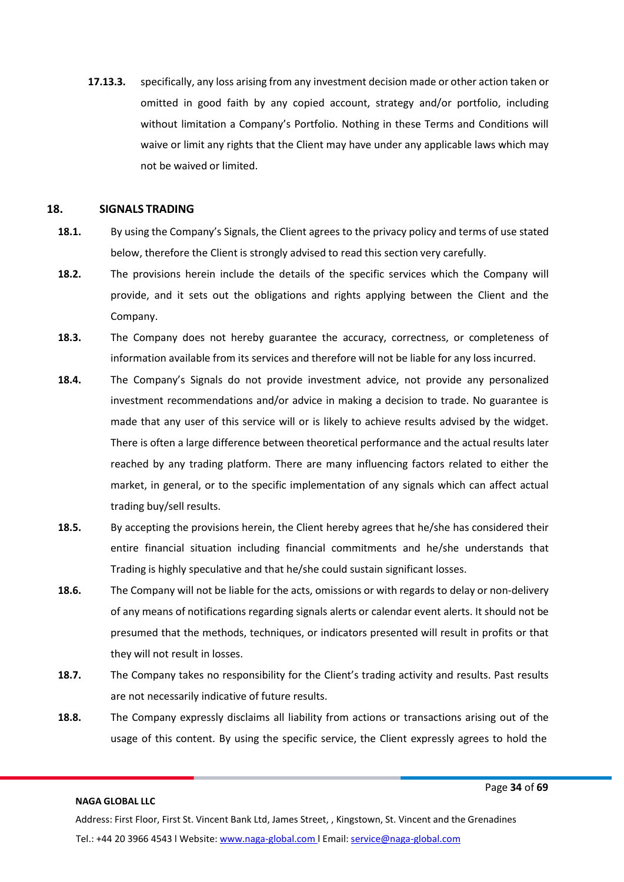**17.13.3.** specifically, any loss arising from any investment decision made or other action taken or omitted in good faith by any copied account, strategy and/or portfolio, including without limitation a Company's Portfolio. Nothing in these Terms and Conditions will waive or limit any rights that the Client may have under any applicable laws which may not be waived or limited.

#### <span id="page-33-0"></span>**18. SIGNALS TRADING**

- **18.1.** By using the Company's Signals, the Client agrees to the privacy policy and terms of use stated below, therefore the Client is strongly advised to read this section very carefully.
- **18.2.** The provisions herein include the details of the specific services which the Company will provide, and it sets out the obligations and rights applying between the Client and the Company.
- **18.3.** The Company does not hereby guarantee the accuracy, correctness, or completeness of information available from its services and therefore will not be liable for any loss incurred.
- **18.4.** The Company's Signals do not provide investment advice, not provide any personalized investment recommendations and/or advice in making a decision to trade. No guarantee is made that any user of this service will or is likely to achieve results advised by the widget. There is often a large difference between theoretical performance and the actual results later reached by any trading platform. There are many influencing factors related to either the market, in general, or to the specific implementation of any signals which can affect actual trading buy/sell results.
- **18.5.** By accepting the provisions herein, the Client hereby agrees that he/she has considered their entire financial situation including financial commitments and he/she understands that Trading is highly speculative and that he/she could sustain significant losses.
- **18.6.** The Company will not be liable for the acts, omissions or with regards to delay or non-delivery of any means of notifications regarding signals alerts or calendar event alerts. It should not be presumed that the methods, techniques, or indicators presented will result in profits or that they will not result in losses.
- **18.7.** The Company takes no responsibility for the Client's trading activity and results. Past results are not necessarily indicative of future results.
- **18.8.** The Company expressly disclaims all liability from actions or transactions arising out of the usage of this content. By using the specific service, the Client expressly agrees to hold the

#### **NAGA GLOBAL LLC**

Page **34** of **69**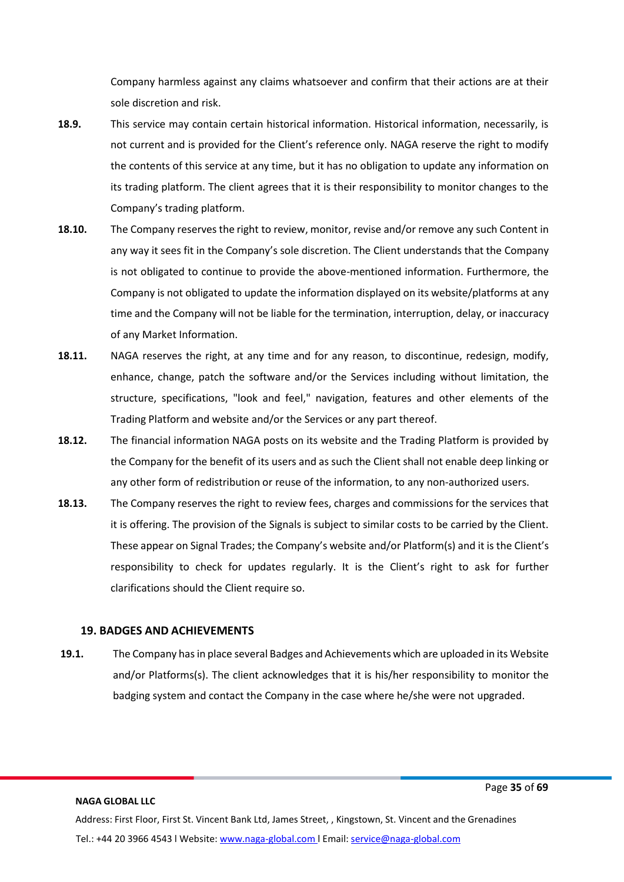Company harmless against any claims whatsoever and confirm that their actions are at their sole discretion and risk.

- **18.9.** This service may contain certain historical information. Historical information, necessarily, is not current and is provided for the Client's reference only. NAGA reserve the right to modify the contents of this service at any time, but it has no obligation to update any information on its trading platform. The client agrees that it is their responsibility to monitor changes to the Company's trading platform.
- **18.10.** The Company reserves the right to review, monitor, revise and/or remove any such Content in any way it sees fit in the Company's sole discretion. The Client understands that the Company is not obligated to continue to provide the above-mentioned information. Furthermore, the Company is not obligated to update the information displayed on its website/platforms at any time and the Company will not be liable for the termination, interruption, delay, or inaccuracy of any Market Information.
- **18.11.** NAGA reserves the right, at any time and for any reason, to discontinue, redesign, modify, enhance, change, patch the software and/or the Services including without limitation, the structure, specifications, "look and feel," navigation, features and other elements of the Trading Platform and website and/or the Services or any part thereof.
- **18.12.** The financial information NAGA posts on its website and the Trading Platform is provided by the Company for the benefit of its users and as such the Client shall not enable deep linking or any other form of redistribution or reuse of the information, to any non-authorized users.
- **18.13.** The Company reserves the right to review fees, charges and commissions for the services that it is offering. The provision of the Signals is subject to similar costs to be carried by the Client. These appear on Signal Trades; the Company's website and/or Platform(s) and it is the Client's responsibility to check for updates regularly. It is the Client's right to ask for further clarifications should the Client require so.

# **19. BADGES AND ACHIEVEMENTS**

<span id="page-34-0"></span>**19.1.** The Company has in place several Badges and Achievements which are uploaded in its Website and/or Platforms(s). The client acknowledges that it is his/her responsibility to monitor the badging system and contact the Company in the case where he/she were not upgraded.

**NAGA GLOBAL LLC**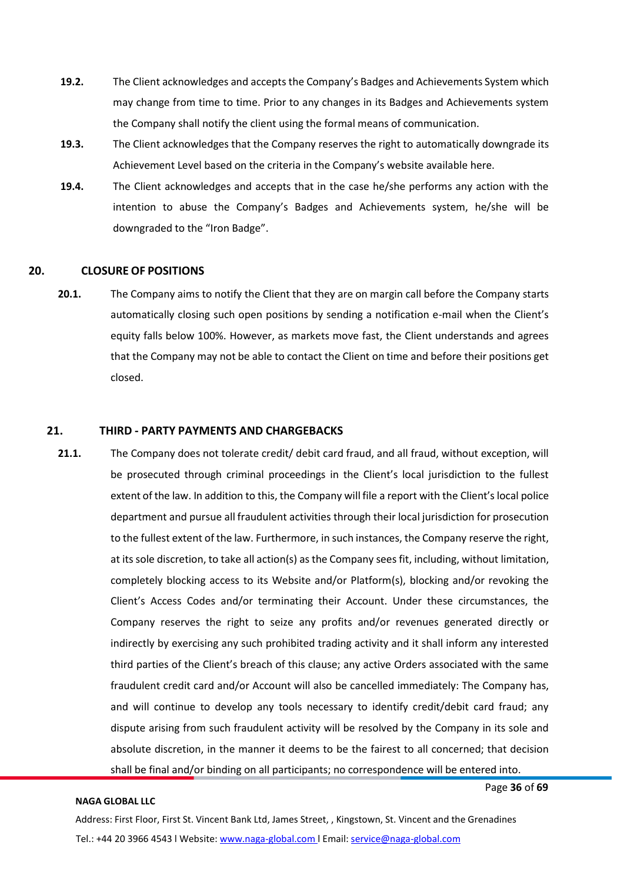- **19.2.** The Client acknowledges and accepts the Company's Badges and Achievements System which may change from time to time. Prior to any changes in its Badges and Achievements system the Company shall notify the client using the formal means of communication.
- **19.3.** The Client acknowledges that the Company reserves the right to automatically downgrade its Achievement Level based on the criteria in the Company's website available [here.](https://naga.com/europe/achievements)
- **19.4.** The Client acknowledges and accepts that in the case he/she performs any action with the intention to abuse the Company's Badges and Achievements system, he/she will be downgraded to the "Iron Badge".

#### <span id="page-35-0"></span>**20. CLOSURE OF POSITIONS**

**20.1.** The Company aims to notify the Client that they are on margin call before the Company starts automatically closing such open positions by sending a notification e-mail when the Client's equity falls below 100%. However, as markets move fast, the Client understands and agrees that the Company may not be able to contact the Client on time and before their positions get closed.

# <span id="page-35-1"></span>**21. THIRD - PARTY PAYMENTS AND CHARGEBACKS**

**21.1.** The Company does not tolerate credit/ debit card fraud, and all fraud, without exception, will be prosecuted through criminal proceedings in the Client's local jurisdiction to the fullest extent of the law. In addition to this, the Company will file a report with the Client'slocal police department and pursue all fraudulent activities through their local jurisdiction for prosecution to the fullest extent of the law. Furthermore, in such instances, the Company reserve the right, at its sole discretion, to take all action(s) as the Company sees fit, including, without limitation, completely blocking access to its Website and/or Platform(s), blocking and/or revoking the Client's Access Codes and/or terminating their Account. Under these circumstances, the Company reserves the right to seize any profits and/or revenues generated directly or indirectly by exercising any such prohibited trading activity and it shall inform any interested third parties of the Client's breach of this clause; any active Orders associated with the same fraudulent credit card and/or Account will also be cancelled immediately: The Company has, and will continue to develop any tools necessary to identify credit/debit card fraud; any dispute arising from such fraudulent activity will be resolved by the Company in its sole and absolute discretion, in the manner it deems to be the fairest to all concerned; that decision shall be final and/or binding on all participants; no correspondence will be entered into.

#### **NAGA GLOBAL LLC**

Page **36** of **69**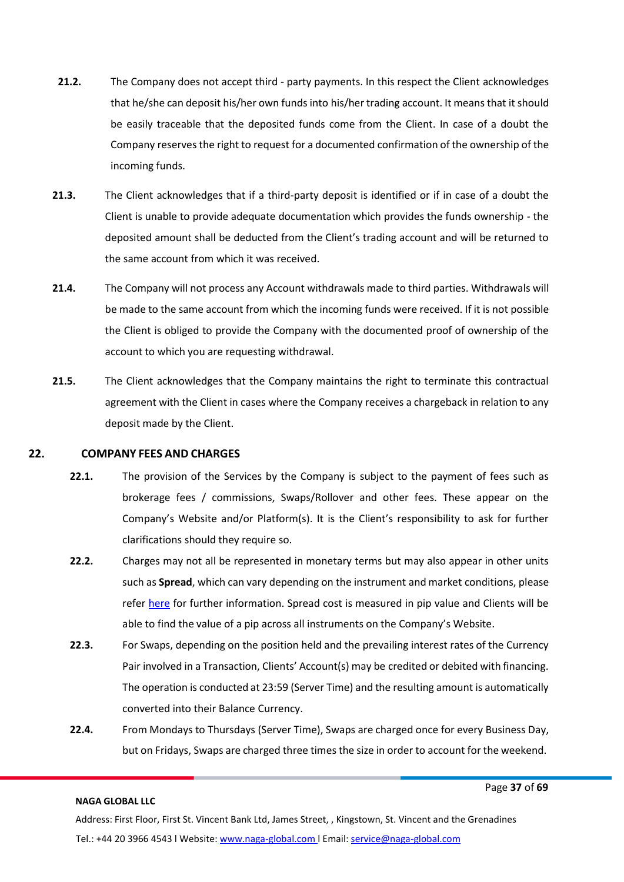- **21.2.** The Company does not accept third party payments. In this respect the Client acknowledges that he/she can deposit his/her own funds into his/her trading account. It means that it should be easily traceable that the deposited funds come from the Client. In case of a doubt the Company reservesthe right to request for a documented confirmation of the ownership of the incoming funds.
- **21.3.** The Client acknowledges that if a third-party deposit is identified or if in case of a doubt the Client is unable to provide adequate documentation which provides the funds ownership - the deposited amount shall be deducted from the Client's trading account and will be returned to the same account from which it was received.
- **21.4.** The Company will not process any Account withdrawals made to third parties. Withdrawals will be made to the same account from which the incoming funds were received. If it is not possible the Client is obliged to provide the Company with the documented proof of ownership of the account to which you are requesting withdrawal.
- **21.5.** The Client acknowledges that the Company maintains the right to terminate this contractual agreement with the Client in cases where the Company receives a chargeback in relation to any deposit made by the Client.

#### <span id="page-36-0"></span>**22. COMPANY FEES AND CHARGES**

- **22.1.** The provision of the Services by the Company is subject to the payment of fees such as brokerage fees / commissions, Swaps/Rollover and other fees. These appear on the Company's Website and/or Platform(s). It is the Client's responsibility to ask for further clarifications should they require so.
- **22.2.** Charges may not all be represented in monetary terms but may also appear in other units such as **Spread**, which can vary depending on the instrument and market conditions, please refer [here](https://naga.com/global/trading/hours-and-fees) for further information. Spread cost is measured in pip value and Clients will be able to find the value of a pip across all instruments on the Company's Website.
- **22.3.** For Swaps, depending on the position held and the prevailing interest rates of the Currency Pair involved in a Transaction, Clients' Account(s) may be credited or debited with financing. The operation is conducted at 23:59 (Server Time) and the resulting amount is automatically converted into their Balance Currency.
- **22.4.** From Mondays to Thursdays (Server Time), Swaps are charged once for every Business Day, but on Fridays, Swaps are charged three times the size in order to account for the weekend.

#### **NAGA GLOBAL LLC**

Page **37** of **69**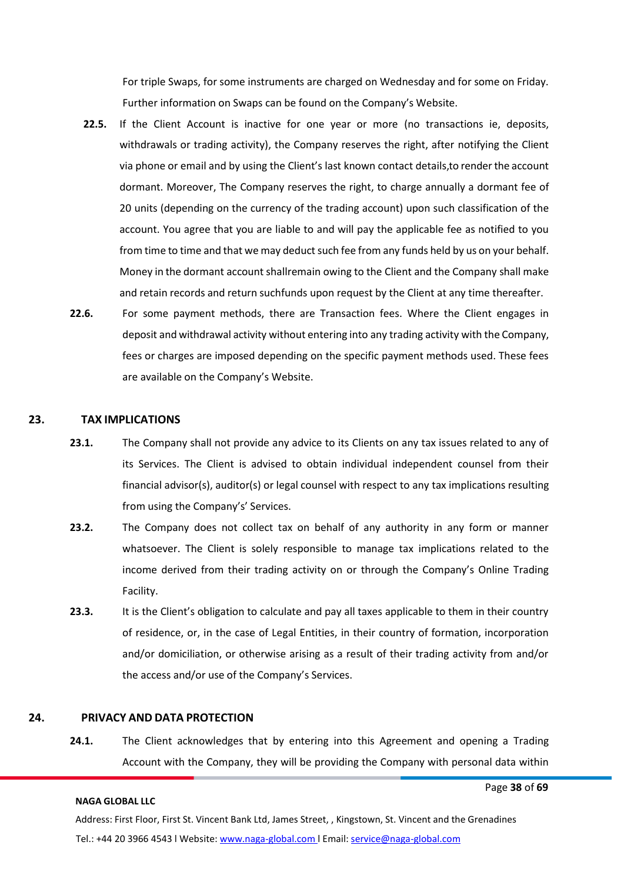For triple Swaps, for some instruments are charged on Wednesday and for some on Friday. Further information on Swaps can be found on the Company's Website.

- **22.5.** If the Client Account is inactive for one year or more (no transactions ie, deposits, withdrawals or trading activity), the Company reserves the right, after notifying the Client via phone or email and by using the Client's last known contact details, to renderthe account dormant. Moreover, The Company reserves the right, to charge annually a dormant fee of 20 units (depending on the currency of the trading account) upon such classification of the account. You agree that you are liable to and will pay the applicable fee as notified to you from time to time and that we may deduct such fee from any funds held by us on your behalf. Money in the dormant account shallremain owing to the Client and the Company shall make and retain records and return suchfunds upon request by the Client at any time thereafter.
- **22.6.** For some payment methods, there are Transaction fees. Where the Client engages in deposit and withdrawal activity without entering into any trading activity with the Company, fees or charges are imposed depending on the specific payment methods used. These fees are available on the Company's Website.

#### <span id="page-37-0"></span>**23. TAX IMPLICATIONS**

- **23.1.** The Company shall not provide any advice to its Clients on any tax issues related to any of its Services. The Client is advised to obtain individual independent counsel from their financial advisor(s), auditor(s) or legal counsel with respect to any tax implications resulting from using the Company's' Services.
- **23.2.** The Company does not collect tax on behalf of any authority in any form or manner whatsoever. The Client is solely responsible to manage tax implications related to the income derived from their trading activity on or through the Company's Online Trading Facility.
- **23.3.** It is the Client's obligation to calculate and pay all taxes applicable to them in their country of residence, or, in the case of Legal Entities, in their country of formation, incorporation and/or domiciliation, or otherwise arising as a result of their trading activity from and/or the access and/or use of the Company's Services.

#### <span id="page-37-1"></span>**24. PRIVACY AND DATA PROTECTION**

**24.1.** The Client acknowledges that by entering into this Agreement and opening a Trading Account with the Company, they will be providing the Company with personal data within

#### **NAGA GLOBAL LLC**

Page **38** of **69**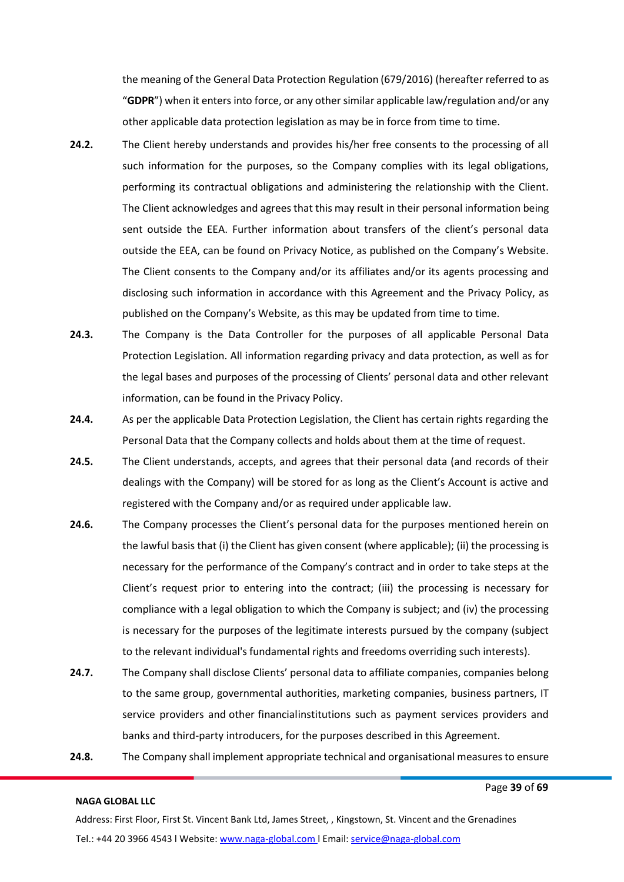the meaning of the General Data Protection Regulation (679/2016) (hereafter referred to as "**GDPR**") when it entersinto force, or any other similar applicable law/regulation and/or any other applicable data protection legislation as may be in force from time to time.

- **24.2.** The Client hereby understands and provides his/her free consents to the processing of all such information for the purposes, so the Company complies with its legal obligations, performing its contractual obligations and administering the relationship with the Client. The Client acknowledges and agrees that this may result in their personal information being sent outside the EEA. Further information about transfers of the client's personal data outside the EEA, can be found on Privacy Notice, as published on the Company's Website. The Client consents to the Company and/or its affiliates and/or its agents processing and disclosing such information in accordance with this Agreement and the Privacy Policy, as published on the Company's Website, as this may be updated from time to time.
- **24.3.** The Company is the Data Controller for the purposes of all applicable Personal Data Protection Legislation. All information regarding privacy and data protection, as well as for the legal bases and purposes of the processing of Clients' personal data and other relevant information, can be found in the Privacy Policy.
- **24.4.** As per the applicable Data Protection Legislation, the Client has certain rights regarding the Personal Data that the Company collects and holds about them at the time of request.
- **24.5.** The Client understands, accepts, and agrees that their personal data (and records of their dealings with the Company) will be stored for as long as the Client's Account is active and registered with the Company and/or as required under applicable law.
- **24.6.** The Company processes the Client's personal data for the purposes mentioned herein on the lawful basis that (i) the Client has given consent (where applicable); (ii) the processing is necessary for the performance of the Company's contract and in order to take steps at the Client's request prior to entering into the contract; (iii) the processing is necessary for compliance with a legal obligation to which the Company is subject; and (iv) the processing is necessary for the purposes of the legitimate interests pursued by the company (subject to the relevant individual's fundamental rights and freedoms overriding such interests).
- **24.7.** The Company shall disclose Clients' personal data to affiliate companies, companies belong to the same group, governmental authorities, marketing companies, business partners, IT service providers and other financialinstitutions such as payment services providers and banks and third-party introducers, for the purposes described in this Agreement.
- 24.8. The Company shall implement appropriate technical and organisational measures to ensure

#### **NAGA GLOBAL LLC**

Page **39** of **69**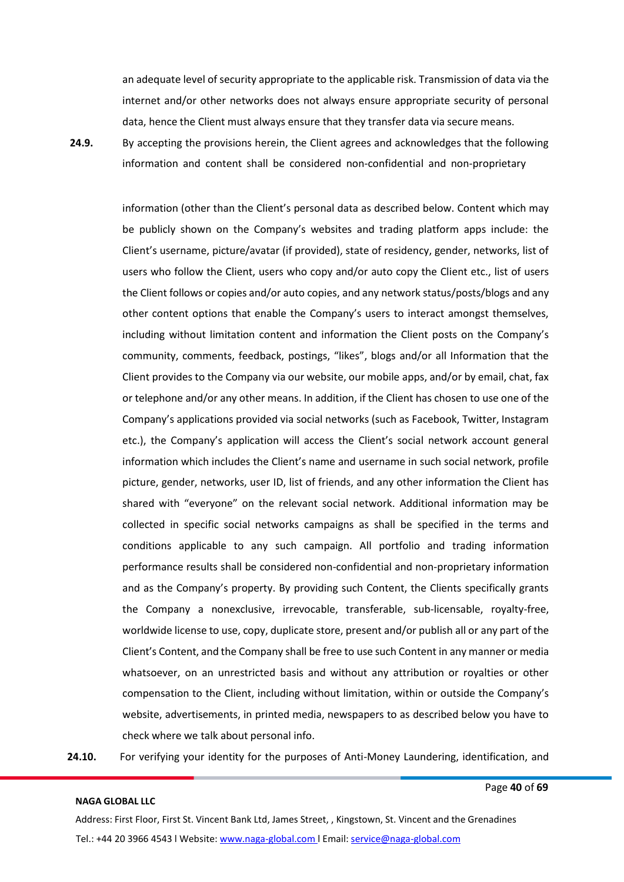an adequate level of security appropriate to the applicable risk. Transmission of data via the internet and/or other networks does not always ensure appropriate security of personal data, hence the Client must always ensure that they transfer data via secure means.

**24.9.** By accepting the provisions herein, the Client agrees and acknowledges that the following information and content shall be considered non-confidential and non-proprietary

> information (other than the Client's personal data as described below. Content which may be publicly shown on the Company's websites and trading platform apps include: the Client's username, picture/avatar (if provided), state of residency, gender, networks, list of users who follow the Client, users who copy and/or auto copy the Client etc., list of users the Client follows or copies and/or auto copies, and any network status/posts/blogs and any other content options that enable the Company's users to interact amongst themselves, including without limitation content and information the Client posts on the Company's community, comments, feedback, postings, "likes", blogs and/or all Information that the Client provides to the Company via our website, our mobile apps, and/or by email, chat, fax or telephone and/or any other means. In addition, if the Client has chosen to use one of the Company's applications provided via social networks (such as Facebook, Twitter, Instagram etc.), the Company's application will access the Client's social network account general information which includes the Client's name and username in such social network, profile picture, gender, networks, user ID, list of friends, and any other information the Client has shared with "everyone" on the relevant social network. Additional information may be collected in specific social networks campaigns as shall be specified in the terms and conditions applicable to any such campaign. All portfolio and trading information performance results shall be considered non-confidential and non-proprietary information and as the Company's property. By providing such Content, the Clients specifically grants the Company a nonexclusive, irrevocable, transferable, sub-licensable, royalty-free, worldwide license to use, copy, duplicate store, present and/or publish all or any part of the Client's Content, and the Company shall be free to use such Content in any manner or media whatsoever, on an unrestricted basis and without any attribution or royalties or other compensation to the Client, including without limitation, within or outside the Company's website, advertisements, in printed media, newspapers to as described below you have to check where we talk about personal info.

**24.10.** For verifying your identity for the purposes of Anti-Money Laundering, identification, and

#### **NAGA GLOBAL LLC**

Page **40** of **69**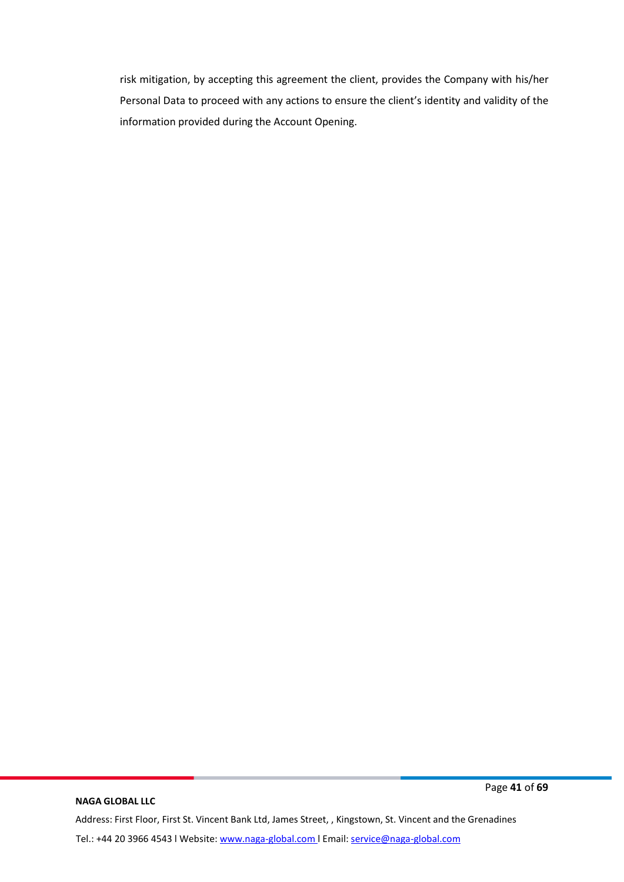risk mitigation, by accepting this agreement the client, provides the Company with his/her Personal Data to proceed with any actions to ensure the client's identity and validity of the information provided during the Account Opening.

#### **NAGA GLOBAL LLC**

Page **41** of **69**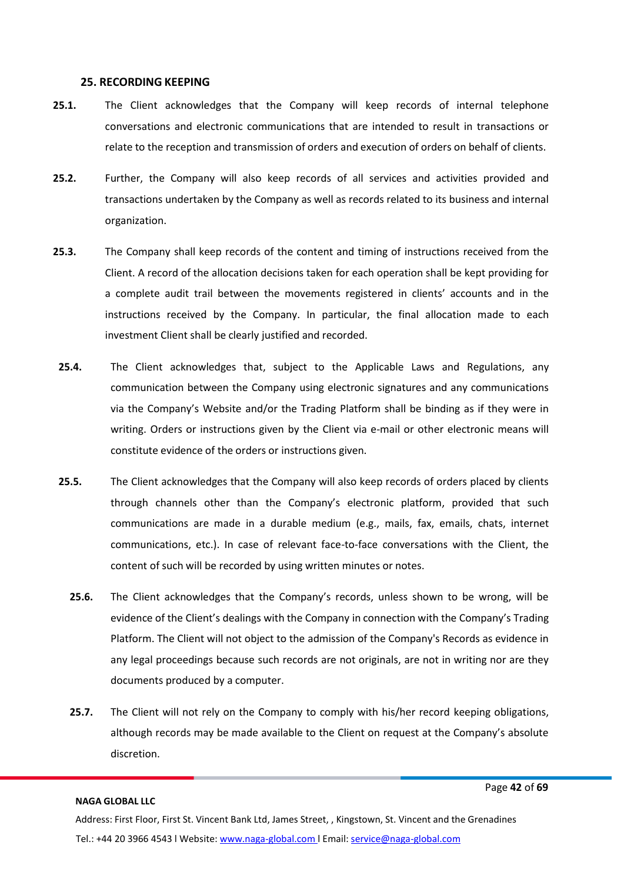#### **25. RECORDING KEEPING**

- **25.1.** The Client acknowledges that the Company will keep records of internal telephone conversations and electronic communications that are intended to result in transactions or relate to the reception and transmission of orders and execution of orders on behalf of clients.
- **25.2.** Further, the Company will also keep records of all services and activities provided and transactions undertaken by the Company as well as records related to its business and internal organization.
- **25.3.** The Company shall keep records of the content and timing of instructions received from the Client. A record of the allocation decisions taken for each operation shall be kept providing for a complete audit trail between the movements registered in clients' accounts and in the instructions received by the Company. In particular, the final allocation made to each investment Client shall be clearly justified and recorded.
- **25.4.** The Client acknowledges that, subject to the Applicable Laws and Regulations, any communication between the Company using electronic signatures and any communications via the Company's Website and/or the Trading Platform shall be binding as if they were in writing. Orders or instructions given by the Client via e-mail or other electronic means will constitute evidence of the orders or instructions given.
- **25.5.** The Client acknowledges that the Company will also keep records of orders placed by clients through channels other than the Company's electronic platform, provided that such communications are made in a durable medium (e.g., mails, fax, emails, chats, internet communications, etc.). In case of relevant face-to-face conversations with the Client, the content of such will be recorded by using written minutes or notes.
	- **25.6.** The Client acknowledges that the Company's records, unless shown to be wrong, will be evidence of the Client's dealings with the Company in connection with the Company's Trading Platform. The Client will not object to the admission of the Company's Records as evidence in any legal proceedings because such records are not originals, are not in writing nor are they documents produced by a computer.
	- **25.7.** The Client will not rely on the Company to comply with his/her record keeping obligations, although records may be made available to the Client on request at the Company's absolute discretion.

#### **NAGA GLOBAL LLC**

Page **42** of **69**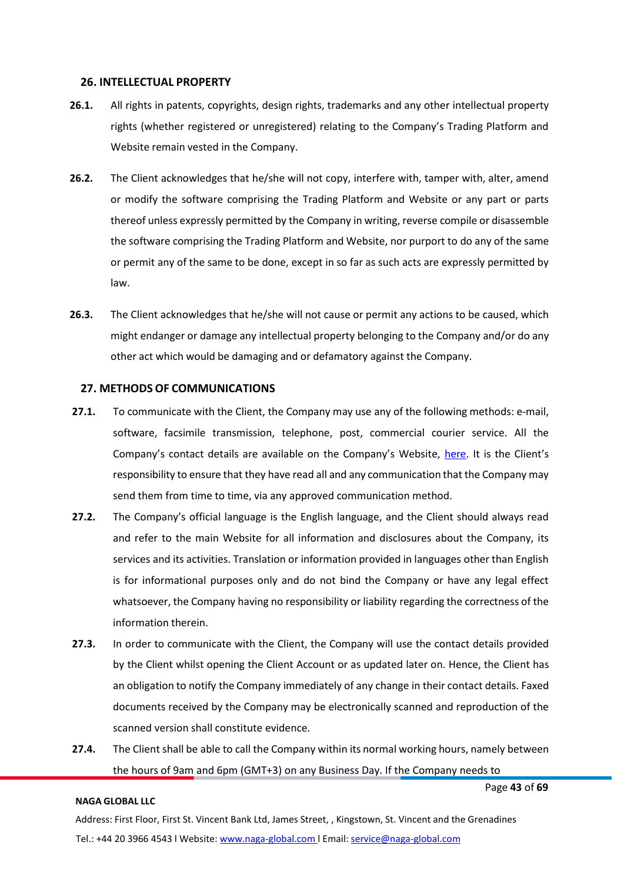#### **26. INTELLECTUAL PROPERTY**

- **26.1.** All rights in patents, copyrights, design rights, trademarks and any other intellectual property rights (whether registered or unregistered) relating to the Company's Trading Platform and Website remain vested in the Company.
- **26.2.** The Client acknowledges that he/she will not copy, interfere with, tamper with, alter, amend or modify the software comprising the Trading Platform and Website or any part or parts thereof unless expressly permitted by the Company in writing, reverse compile or disassemble the software comprising the Trading Platform and Website, nor purport to do any of the same or permit any of the same to be done, except in so far as such acts are expressly permitted by law.
- **26.3.** The Client acknowledges that he/she will not cause or permit any actions to be caused, which might endanger or damage any intellectual property belonging to the Company and/or do any other act which would be damaging and or defamatory against the Company.

#### **27. METHODSOF COMMUNICATIONS**

- **27.1.** To communicate with the Client, the Company may use any of the following methods: e-mail, software, facsimile transmission, telephone, post, commercial courier service. All the Company's contact details are available on the Company's Website, [here](https://naga.com/contact-us). It is the Client's responsibility to ensure that they have read all and any communication that the Company may send them from time to time, via any approved communication method.
- **27.2.** The Company's official language is the English language, and the Client should always read and refer to the main Website for all information and disclosures about the Company, its services and its activities. Translation or information provided in languages other than English is for informational purposes only and do not bind the Company or have any legal effect whatsoever, the Company having no responsibility or liability regarding the correctness of the information therein.
- **27.3.** In order to communicate with the Client, the Company will use the contact details provided by the Client whilst opening the Client Account or as updated later on. Hence, the Client has an obligation to notify the Company immediately of any change in their contact details. Faxed documents received by the Company may be electronically scanned and reproduction of the scanned version shall constitute evidence.
- **27.4.** The Client shall be able to call the Company within its normal working hours, namely between the hours of 9am and 6pm (GMT+3) on any Business Day. If the Company needs to

#### **NAGA GLOBAL LLC**

Page **43** of **69**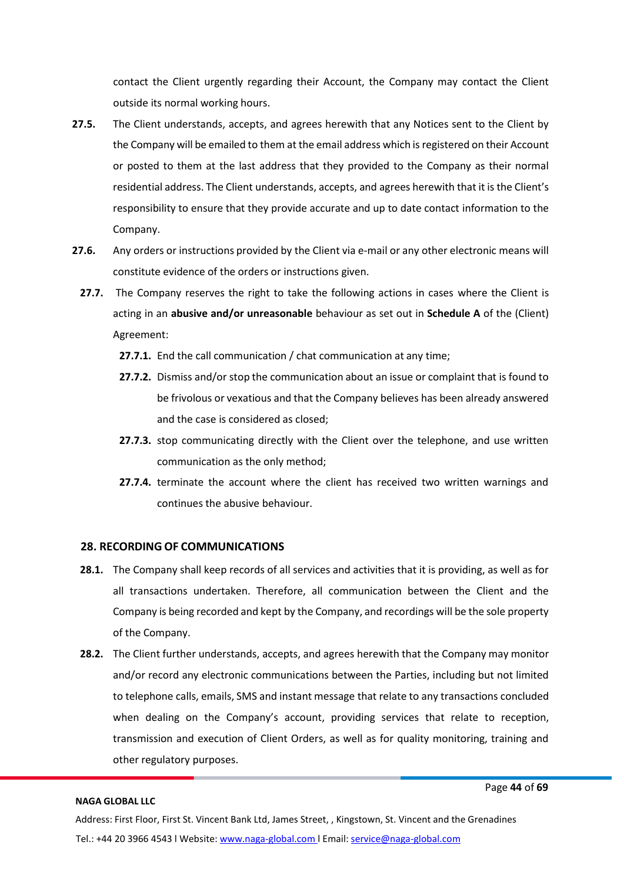contact the Client urgently regarding their Account, the Company may contact the Client outside its normal working hours.

- **27.5.** The Client understands, accepts, and agrees herewith that any Notices sent to the Client by the Company will be emailed to them at the email address which isregistered on their Account or posted to them at the last address that they provided to the Company as their normal residential address. The Client understands, accepts, and agrees herewith that it is the Client's responsibility to ensure that they provide accurate and up to date contact information to the Company.
- **27.6.** Any orders or instructions provided by the Client via e-mail or any other electronic means will constitute evidence of the orders or instructions given.
- **27.7.** The Company reserves the right to take the following actions in cases where the Client is acting in an **abusive and/or unreasonable** behaviour as set out in **Schedule A** of the (Client) Agreement:
	- **27.7.1.** End the call communication / chat communication at any time;
	- **27.7.2.** Dismiss and/or stop the communication about an issue or complaint that is found to be frivolous or vexatious and that the Company believes has been already answered and the case is considered as closed;
	- **27.7.3.** stop communicating directly with the Client over the telephone, and use written communication as the only method;
	- **27.7.4.** terminate the account where the client has received two written warnings and continues the abusive behaviour.

#### **28. RECORDING OF COMMUNICATIONS**

- **28.1.** The Company shall keep records of all services and activities that it is providing, as well as for all transactions undertaken. Therefore, all communication between the Client and the Company is being recorded and kept by the Company, and recordings will be the sole property of the Company.
- **28.2.** The Client further understands, accepts, and agrees herewith that the Company may monitor and/or record any electronic communications between the Parties, including but not limited to telephone calls, emails, SMS and instant message that relate to any transactions concluded when dealing on the Company's account, providing services that relate to reception, transmission and execution of Client Orders, as well as for quality monitoring, training and other regulatory purposes.

#### **NAGA GLOBAL LLC**

Page **44** of **69**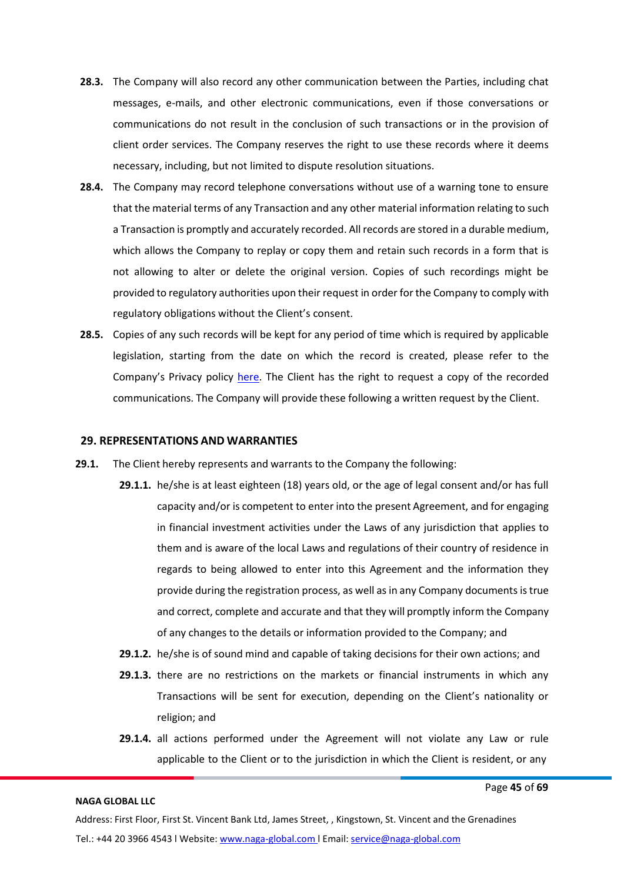- **28.3.** The Company will also record any other communication between the Parties, including chat messages, e-mails, and other electronic communications, even if those conversations or communications do not result in the conclusion of such transactions or in the provision of client order services. The Company reserves the right to use these records where it deems necessary, including, but not limited to dispute resolution situations.
- **28.4.** The Company may record telephone conversations without use of a warning tone to ensure that the material terms of any Transaction and any other material information relating to such a Transaction is promptly and accurately recorded. Allrecords are stored in a durable medium, which allows the Company to replay or copy them and retain such records in a form that is not allowing to alter or delete the original version. Copies of such recordings might be provided to regulatory authorities upon their request in order forthe Company to comply with regulatory obligations without the Client's consent.
- **28.5.** Copies of any such records will be kept for any period of time which is required by applicable legislation, starting from the date on which the record is created, please refer to the Company's Privacy policy [here. T](https://files.naga.com/Privary%20Policy_NG.pdf)he Client has the right to request a copy of the recorded communications. The Company will provide these following a written request by the Client.

#### **29. REPRESENTATIONS AND WARRANTIES**

- **29.1.** The Client hereby represents and warrants to the Company the following:
	- **29.1.1.** he/she is at least eighteen (18) years old, or the age of legal consent and/or has full capacity and/or is competent to enter into the present Agreement, and for engaging in financial investment activities under the Laws of any jurisdiction that applies to them and is aware of the local Laws and regulations of their country of residence in regards to being allowed to enter into this Agreement and the information they provide during the registration process, as well as in any Company documents istrue and correct, complete and accurate and that they will promptly inform the Company of any changes to the details or information provided to the Company; and
		- **29.1.2.** he/she is of sound mind and capable of taking decisions for their own actions; and
		- **29.1.3.** there are no restrictions on the markets or financial instruments in which any Transactions will be sent for execution, depending on the Client's nationality or religion; and
		- **29.1.4.** all actions performed under the Agreement will not violate any Law or rule applicable to the Client or to the jurisdiction in which the Client is resident, or any

#### **NAGA GLOBAL LLC**

Page **45** of **69**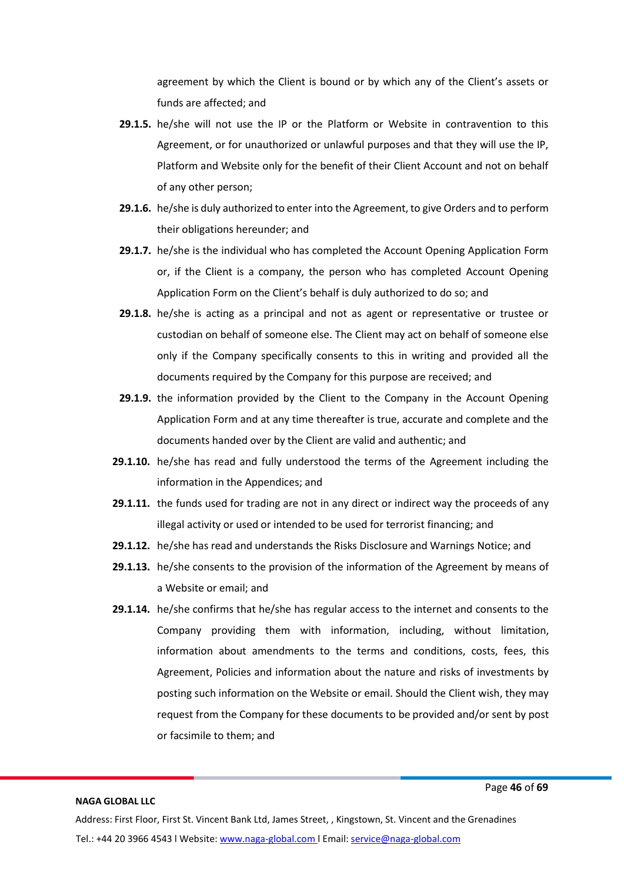agreement by which the Client is bound or by which any of the Client's assets or funds are affected; and

- **29.1.5.** he/she will not use the IP or the Platform or Website in contravention to this Agreement, or for unauthorized or unlawful purposes and that they will use the IP, Platform and Website only for the benefit of their Client Account and not on behalf of any other person;
- **29.1.6.** he/she is duly authorized to enter into the Agreement, to give Orders and to perform their obligations hereunder; and
- **29.1.7.** he/she is the individual who has completed the Account Opening Application Form or, if the Client is a company, the person who has completed Account Opening Application Form on the Client's behalf is duly authorized to do so; and
- **29.1.8.** he/she is acting as a principal and not as agent or representative or trustee or custodian on behalf of someone else. The Client may act on behalf of someone else only if the Company specifically consents to this in writing and provided all the documents required by the Company for this purpose are received; and
- **29.1.9.** the information provided by the Client to the Company in the Account Opening Application Form and at any time thereafter is true, accurate and complete and the documents handed over by the Client are valid and authentic; and
- **29.1.10.** he/she has read and fully understood the terms of the Agreement including the information in the Appendices; and
- **29.1.11.** the funds used for trading are not in any direct or indirect way the proceeds of any illegal activity or used or intended to be used for terrorist financing; and
- **29.1.12.** he/she has read and understands the Risks Disclosure and Warnings Notice; and
- **29.1.13.** he/she consents to the provision of the information of the Agreement by means of a Website or email; and
- **29.1.14.** he/she confirms that he/she has regular access to the internet and consents to the Company providing them with information, including, without limitation, information about amendments to the terms and conditions, costs, fees, this Agreement, Policies and information about the nature and risks of investments by posting such information on the Website or email. Should the Client wish, they may request from the Company for these documents to be provided and/or sent by post or facsimile to them; and

#### **NAGA GLOBAL LLC**

Page **46** of **69**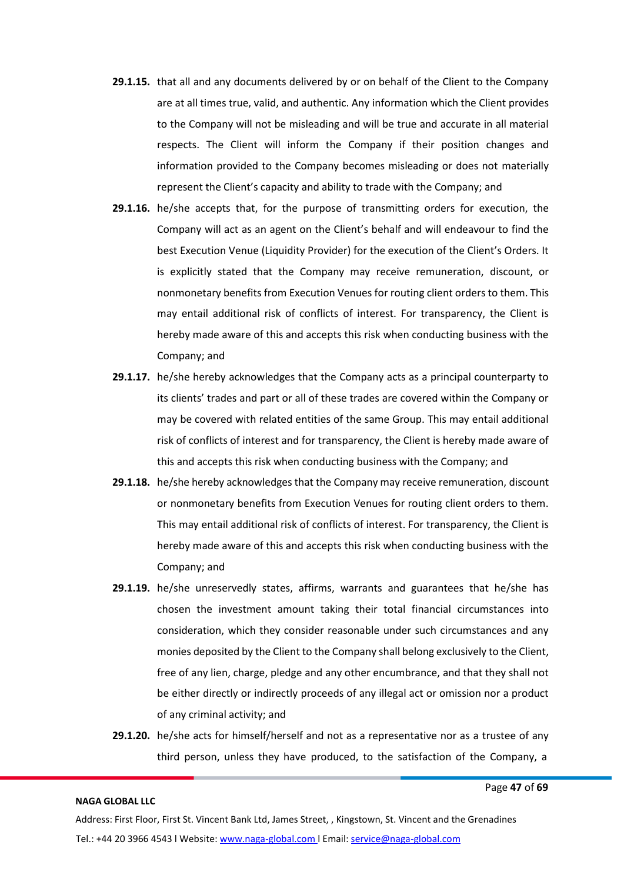- **29.1.15.** that all and any documents delivered by or on behalf of the Client to the Company are at all times true, valid, and authentic. Any information which the Client provides to the Company will not be misleading and will be true and accurate in all material respects. The Client will inform the Company if their position changes and information provided to the Company becomes misleading or does not materially represent the Client's capacity and ability to trade with the Company; and
- **29.1.16.** he/she accepts that, for the purpose of transmitting orders for execution, the Company will act as an agent on the Client's behalf and will endeavour to find the best Execution Venue (Liquidity Provider) for the execution of the Client's Orders. It is explicitly stated that the Company may receive remuneration, discount, or nonmonetary benefits from Execution Venues for routing client orders to them. This may entail additional risk of conflicts of interest. For transparency, the Client is hereby made aware of this and accepts this risk when conducting business with the Company; and
- **29.1.17.** he/she hereby acknowledges that the Company acts as a principal counterparty to its clients' trades and part or all of these trades are covered within the Company or may be covered with related entities of the same Group. This may entail additional risk of conflicts of interest and for transparency, the Client is hereby made aware of this and accepts this risk when conducting business with the Company; and
- **29.1.18.** he/she hereby acknowledges that the Company may receive remuneration, discount or nonmonetary benefits from Execution Venues for routing client orders to them. This may entail additional risk of conflicts of interest. For transparency, the Client is hereby made aware of this and accepts this risk when conducting business with the Company; and
- **29.1.19.** he/she unreservedly states, affirms, warrants and guarantees that he/she has chosen the investment amount taking their total financial circumstances into consideration, which they consider reasonable under such circumstances and any monies deposited by the Client to the Company shall belong exclusively to the Client, free of any lien, charge, pledge and any other encumbrance, and that they shall not be either directly or indirectly proceeds of any illegal act or omission nor a product of any criminal activity; and
- **29.1.20.** he/she acts for himself/herself and not as a representative nor as a trustee of any third person, unless they have produced, to the satisfaction of the Company, a

Page **47** of **69**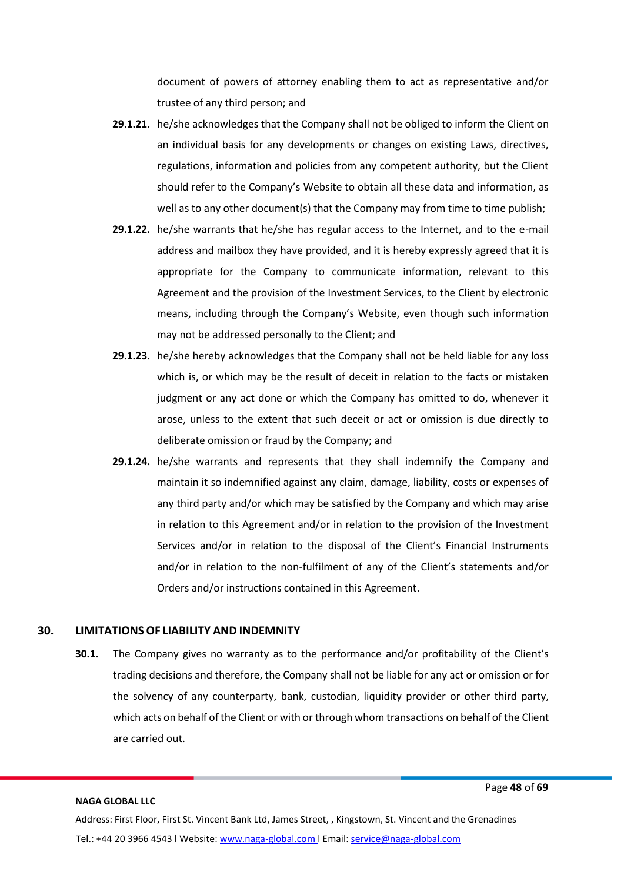document of powers of attorney enabling them to act as representative and/or trustee of any third person; and

- **29.1.21.** he/she acknowledges that the Company shall not be obliged to inform the Client on an individual basis for any developments or changes on existing Laws, directives, regulations, information and policies from any competent authority, but the Client should refer to the Company's Website to obtain all these data and information, as well as to any other document(s) that the Company may from time to time publish;
- **29.1.22.** he/she warrants that he/she has regular access to the Internet, and to the e-mail address and mailbox they have provided, and it is hereby expressly agreed that it is appropriate for the Company to communicate information, relevant to this Agreement and the provision of the Investment Services, to the Client by electronic means, including through the Company's Website, even though such information may not be addressed personally to the Client; and
- **29.1.23.** he/she hereby acknowledges that the Company shall not be held liable for any loss which is, or which may be the result of deceit in relation to the facts or mistaken judgment or any act done or which the Company has omitted to do, whenever it arose, unless to the extent that such deceit or act or omission is due directly to deliberate omission or fraud by the Company; and
- **29.1.24.** he/she warrants and represents that they shall indemnify the Company and maintain it so indemnified against any claim, damage, liability, costs or expenses of any third party and/or which may be satisfied by the Company and which may arise in relation to this Agreement and/or in relation to the provision of the Investment Services and/or in relation to the disposal of the Client's Financial Instruments and/or in relation to the non-fulfilment of any of the Client's statements and/or Orders and/or instructions contained in this Agreement.

#### **30. LIMITATIONS OF LIABILITY AND INDEMNITY**

**30.1.** The Company gives no warranty as to the performance and/or profitability of the Client's trading decisions and therefore, the Company shall not be liable for any act or omission or for the solvency of any counterparty, bank, custodian, liquidity provider or other third party, which acts on behalf of the Client or with or through whom transactions on behalf of the Client are carried out.

#### **NAGA GLOBAL LLC**

Page **48** of **69**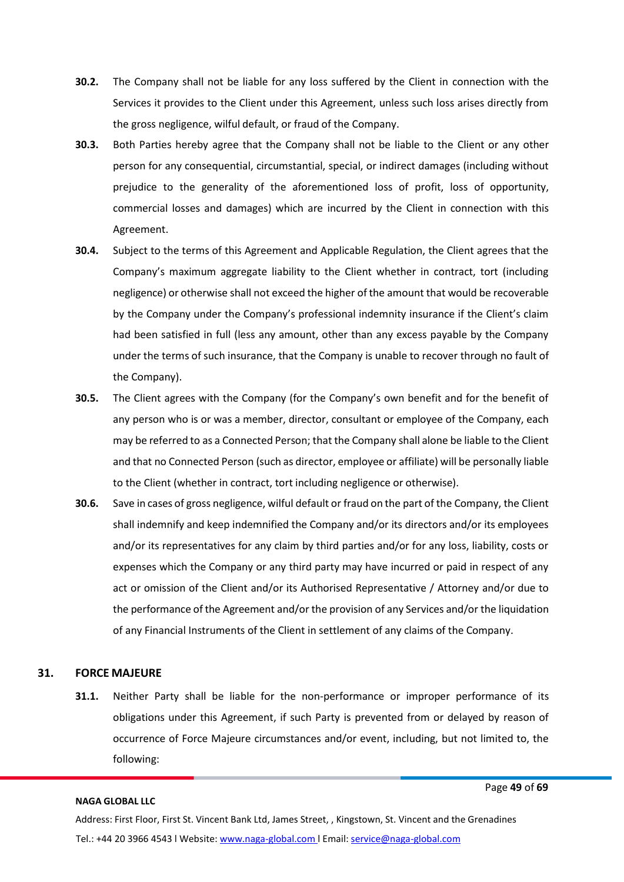- **30.2.** The Company shall not be liable for any loss suffered by the Client in connection with the Services it provides to the Client under this Agreement, unless such loss arises directly from the gross negligence, wilful default, or fraud of the Company.
- **30.3.** Both Parties hereby agree that the Company shall not be liable to the Client or any other person for any consequential, circumstantial, special, or indirect damages (including without prejudice to the generality of the aforementioned loss of profit, loss of opportunity, commercial losses and damages) which are incurred by the Client in connection with this Agreement.
- **30.4.** Subject to the terms of this Agreement and Applicable Regulation, the Client agrees that the Company's maximum aggregate liability to the Client whether in contract, tort (including negligence) or otherwise shall not exceed the higher of the amount that would be recoverable by the Company under the Company's professional indemnity insurance if the Client's claim had been satisfied in full (less any amount, other than any excess payable by the Company under the terms of such insurance, that the Company is unable to recover through no fault of the Company).
- **30.5.** The Client agrees with the Company (for the Company's own benefit and for the benefit of any person who is or was a member, director, consultant or employee of the Company, each may be referred to as a Connected Person; that the Company shall alone be liable to the Client and that no Connected Person (such as director, employee or affiliate) will be personally liable to the Client (whether in contract, tort including negligence or otherwise).
- **30.6.** Save in cases of gross negligence, wilful default or fraud on the part of the Company, the Client shall indemnify and keep indemnified the Company and/or its directors and/or its employees and/or its representatives for any claim by third parties and/or for any loss, liability, costs or expenses which the Company or any third party may have incurred or paid in respect of any act or omission of the Client and/or its Authorised Representative / Attorney and/or due to the performance of the Agreement and/or the provision of any Services and/or the liquidation of any Financial Instruments of the Client in settlement of any claims of the Company.

# **31. FORCE MAJEURE**

**31.1.** Neither Party shall be liable for the non-performance or improper performance of its obligations under this Agreement, if such Party is prevented from or delayed by reason of occurrence of Force Majeure circumstances and/or event, including, but not limited to, the following:

#### **NAGA GLOBAL LLC**

Page **49** of **69**

Address: First Floor, First St. Vincent Bank Ltd, James Street, , Kingstown, St. Vincent and the Grenadines Tel.: +44 20 3966 4543 l Website: www.naga-global.com | Email: [service@naga-global.com](mailto:service@naga-global.com)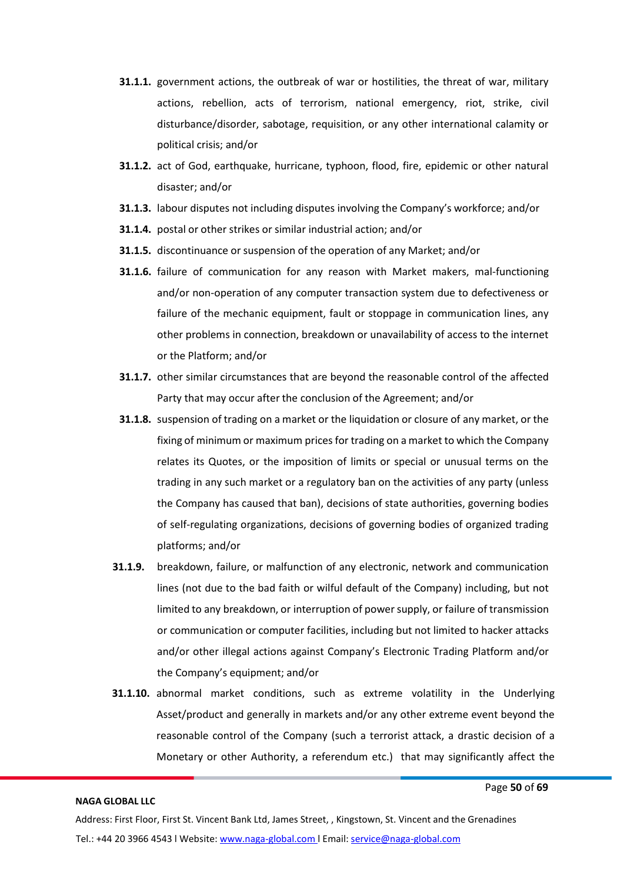- **31.1.1.** government actions, the outbreak of war or hostilities, the threat of war, military actions, rebellion, acts of terrorism, national emergency, riot, strike, civil disturbance/disorder, sabotage, requisition, or any other international calamity or political crisis; and/or
- **31.1.2.** act of God, earthquake, hurricane, typhoon, flood, fire, epidemic or other natural disaster; and/or
- **31.1.3.** labour disputes not including disputes involving the Company's workforce; and/or
- **31.1.4.** postal or other strikes or similar industrial action; and/or
- **31.1.5.** discontinuance or suspension of the operation of any Market; and/or
- **31.1.6.** failure of communication for any reason with Market makers, mal-functioning and/or non-operation of any computer transaction system due to defectiveness or failure of the mechanic equipment, fault or stoppage in communication lines, any other problems in connection, breakdown or unavailability of access to the internet or the Platform; and/or
- **31.1.7.** other similar circumstances that are beyond the reasonable control of the affected Party that may occur after the conclusion of the Agreement; and/or
- **31.1.8.** suspension of trading on a market or the liquidation or closure of any market, or the fixing of minimum or maximum pricesfor trading on a market to which the Company relates its Quotes, or the imposition of limits or special or unusual terms on the trading in any such market or a regulatory ban on the activities of any party (unless the Company has caused that ban), decisions of state authorities, governing bodies of self-regulating organizations, decisions of governing bodies of organized trading platforms; and/or
- **31.1.9.** breakdown, failure, or malfunction of any electronic, network and communication lines (not due to the bad faith or wilful default of the Company) including, but not limited to any breakdown, or interruption of power supply, or failure of transmission or communication or computer facilities, including but not limited to hacker attacks and/or other illegal actions against Company's Electronic Trading Platform and/or the Company's equipment; and/or
- **31.1.10.** abnormal market conditions, such as extreme volatility in the Underlying Asset/product and generally in markets and/or any other extreme event beyond the reasonable control of the Company (such a terrorist attack, a drastic decision of a Monetary or other Authority, a referendum etc.) that may significantly affect the

Page **50** of **69**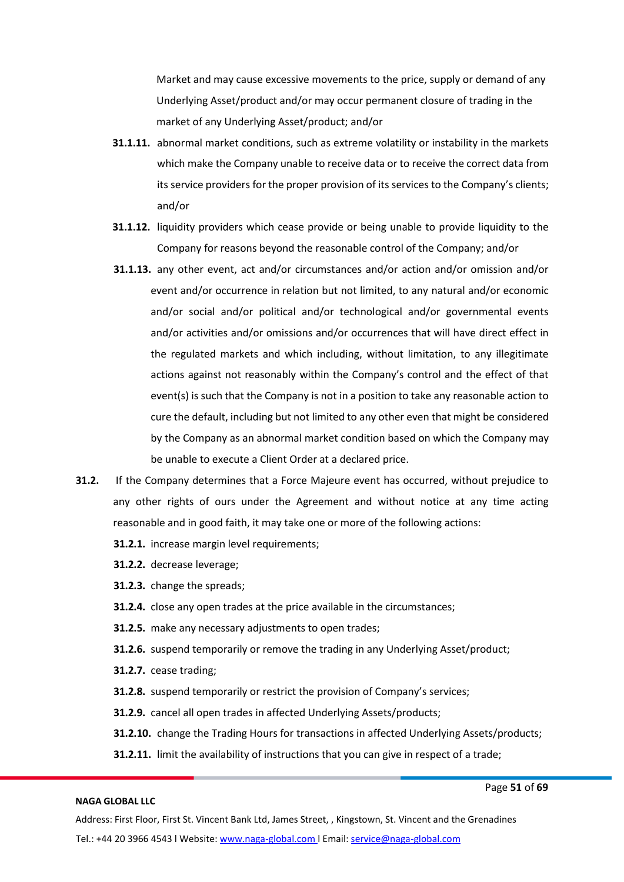Market and may cause excessive movements to the price, supply or demand of any Underlying Asset/product and/or may occur permanent closure of trading in the market of any Underlying Asset/product; and/or

- **31.1.11.** abnormal market conditions, such as extreme volatility or instability in the markets which make the Company unable to receive data or to receive the correct data from its service providers for the proper provision of its services to the Company's clients; and/or
- **31.1.12.** liquidity providers which cease provide or being unable to provide liquidity to the Company for reasons beyond the reasonable control of the Company; and/or
- **31.1.13.** any other event, act and/or circumstances and/or action and/or omission and/or event and/or occurrence in relation but not limited, to any natural and/or economic and/or social and/or political and/or technological and/or governmental events and/or activities and/or omissions and/or occurrences that will have direct effect in the regulated markets and which including, without limitation, to any illegitimate actions against not reasonably within the Company's control and the effect of that event(s) is such that the Company is not in a position to take any reasonable action to cure the default, including but not limited to any other even that might be considered by the Company as an abnormal market condition based on which the Company may be unable to execute a Client Order at a declared price.
- **31.2.** If the Company determines that a Force Majeure event has occurred, without prejudice to any other rights of ours under the Agreement and without notice at any time acting reasonable and in good faith, it may take one or more of the following actions:
	- **31.2.1.** increase margin level requirements;
	- **31.2.2.** decrease leverage;
	- **31.2.3.** change the spreads;
	- **31.2.4.** close any open trades at the price available in the circumstances;
	- **31.2.5.** make any necessary adjustments to open trades;
	- **31.2.6.** suspend temporarily or remove the trading in any Underlying Asset/product;
	- **31.2.7.** cease trading;
	- **31.2.8.** suspend temporarily or restrict the provision of Company's services;
	- **31.2.9.** cancel all open trades in affected Underlying Assets/products;
	- **31.2.10.** change the Trading Hours for transactions in affected Underlying Assets/products;
	- **31.2.11.** limit the availability of instructions that you can give in respect of a trade;

#### **NAGA GLOBAL LLC**

Page **51** of **69**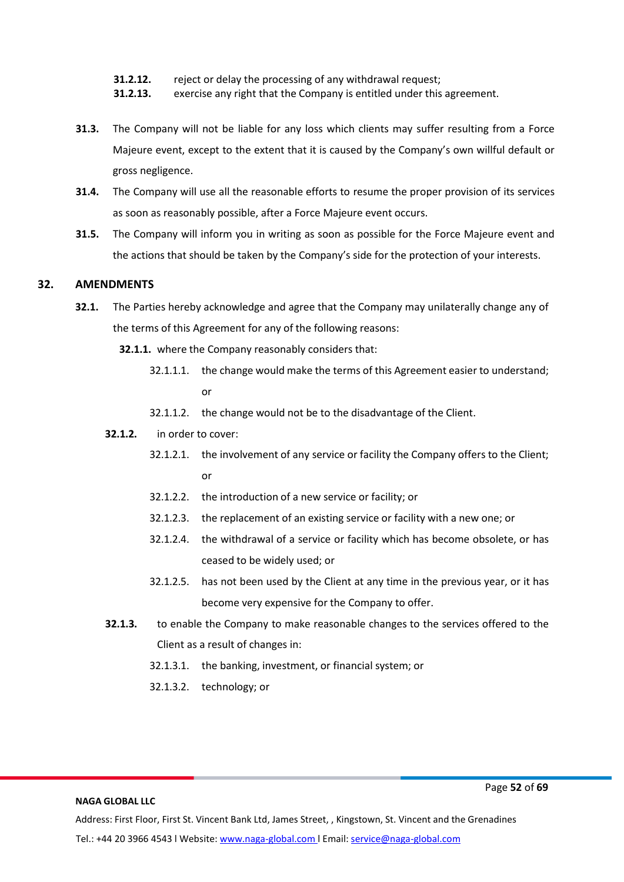- **31.2.12.** reject or delay the processing of any withdrawal request;
- **31.2.13.** exercise any right that the Company is entitled under this agreement.
- **31.3.** The Company will not be liable for any loss which clients may suffer resulting from a Force Majeure event, except to the extent that it is caused by the Company's own willful default or gross negligence.
- **31.4.** The Company will use all the reasonable efforts to resume the proper provision of its services as soon as reasonably possible, after a Force Majeure event occurs.
- **31.5.** The Company will inform you in writing as soon as possible for the Force Majeure event and the actions that should be taken by the Company's side for the protection of your interests.

# **32. AMENDMENTS**

- **32.1.** The Parties hereby acknowledge and agree that the Company may unilaterally change any of the terms of this Agreement for any of the following reasons:
	- **32.1.1.** where the Company reasonably considers that:
		- 32.1.1.1. the change would make the terms of this Agreement easier to understand; or
		- 32.1.1.2. the change would not be to the disadvantage of the Client.
	- **32.1.2.** in order to cover:
		- 32.1.2.1. the involvement of any service or facility the Company offers to the Client; or
		- 32.1.2.2. the introduction of a new service or facility; or
		- 32.1.2.3. the replacement of an existing service or facility with a new one; or
		- 32.1.2.4. the withdrawal of a service or facility which has become obsolete, or has ceased to be widely used; or
		- 32.1.2.5. has not been used by the Client at any time in the previous year, or it has become very expensive for the Company to offer.
	- **32.1.3.** to enable the Company to make reasonable changes to the services offered to the Client as a result of changes in:
		- 32.1.3.1. the banking, investment, or financial system; or
		- 32.1.3.2. technology; or

**NAGA GLOBAL LLC**

Page **52** of **69**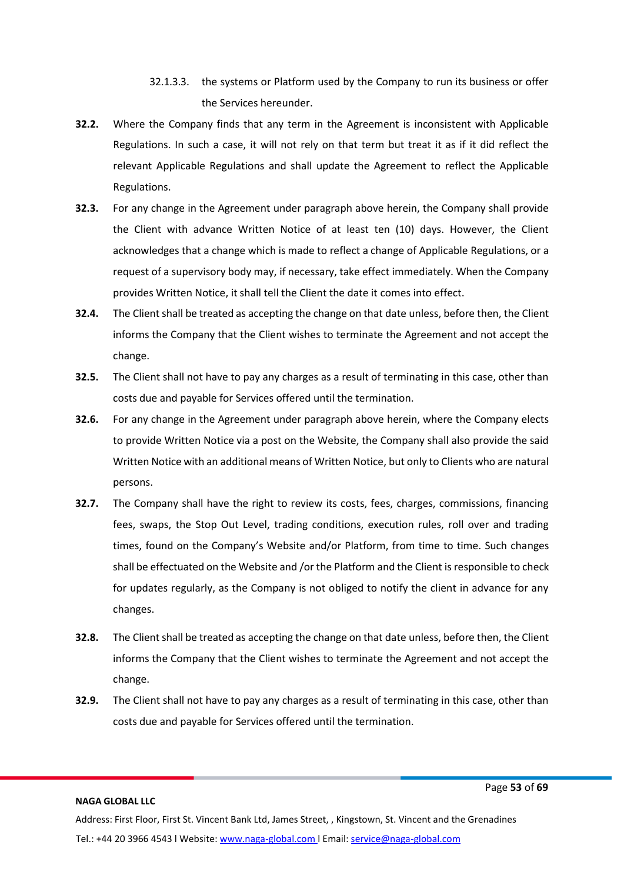- 32.1.3.3. the systems or Platform used by the Company to run its business or offer the Services hereunder.
- **32.2.** Where the Company finds that any term in the Agreement is inconsistent with Applicable Regulations. In such a case, it will not rely on that term but treat it as if it did reflect the relevant Applicable Regulations and shall update the Agreement to reflect the Applicable Regulations.
- **32.3.** For any change in the Agreement under paragraph above herein, the Company shall provide the Client with advance Written Notice of at least ten (10) days. However, the Client acknowledges that a change which is made to reflect a change of Applicable Regulations, or a request of a supervisory body may, if necessary, take effect immediately. When the Company provides Written Notice, it shall tell the Client the date it comes into effect.
- **32.4.** The Client shall be treated as accepting the change on that date unless, before then, the Client informs the Company that the Client wishes to terminate the Agreement and not accept the change.
- **32.5.** The Client shall not have to pay any charges as a result of terminating in this case, other than costs due and payable for Services offered until the termination.
- **32.6.** For any change in the Agreement under paragraph above herein, where the Company elects to provide Written Notice via a post on the Website, the Company shall also provide the said Written Notice with an additional means of Written Notice, but only to Clients who are natural persons.
- **32.7.** The Company shall have the right to review its costs, fees, charges, commissions, financing fees, swaps, the Stop Out Level, trading conditions, execution rules, roll over and trading times, found on the Company's Website and/or Platform, from time to time. Such changes shall be effectuated on the Website and /or the Platform and the Client is responsible to check for updates regularly, as the Company is not obliged to notify the client in advance for any changes.
- **32.8.** The Client shall be treated as accepting the change on that date unless, before then, the Client informs the Company that the Client wishes to terminate the Agreement and not accept the change.
- **32.9.** The Client shall not have to pay any charges as a result of terminating in this case, other than costs due and payable for Services offered until the termination.

Page **53** of **69**

Address: First Floor, First St. Vincent Bank Ltd, James Street, , Kingstown, St. Vincent and the Grenadines Tel.: +44 20 3966 4543 l Website: www.naga-global.com | Email: [service@naga-global.com](mailto:service@naga-global.com)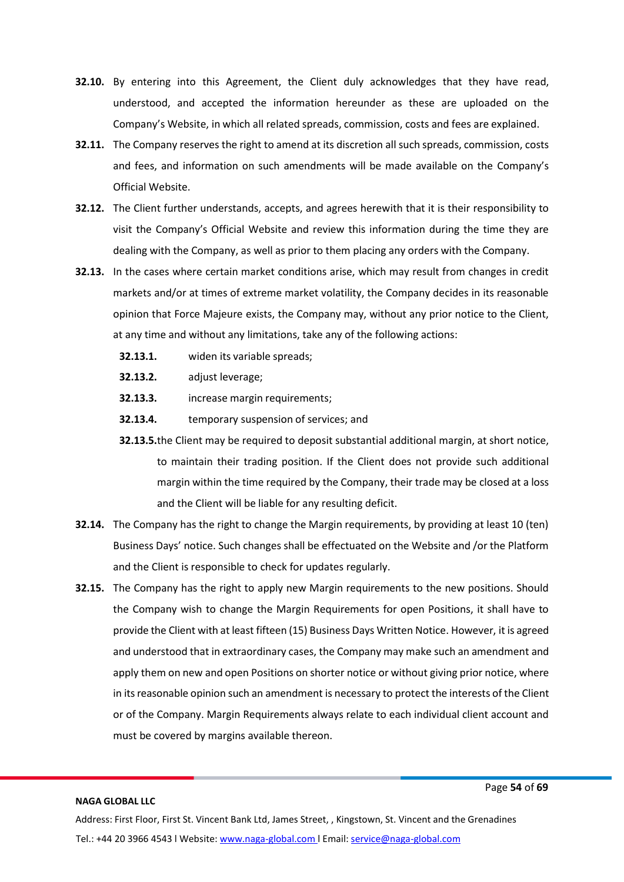- **32.10.** By entering into this Agreement, the Client duly acknowledges that they have read, understood, and accepted the information hereunder as these are uploaded on the Company's Website, in which all related spreads, commission, costs and fees are explained.
- **32.11.** The Company reserves the right to amend at its discretion all such spreads, commission, costs and fees, and information on such amendments will be made available on the Company's Official Website.
- **32.12.** The Client further understands, accepts, and agrees herewith that it is their responsibility to visit the Company's Official Website and review this information during the time they are dealing with the Company, as well as prior to them placing any orders with the Company.
- **32.13.** In the cases where certain market conditions arise, which may result from changes in credit markets and/or at times of extreme market volatility, the Company decides in its reasonable opinion that Force Majeure exists, the Company may, without any prior notice to the Client, at any time and without any limitations, take any of the following actions:
	- **32.13.1.** widen its variable spreads;
	- **32.13.2.** adjust leverage;
	- **32.13.3.** increase margin requirements;
	- **32.13.4.** temporary suspension of services; and
	- **32.13.5.**the Client may be required to deposit substantial additional margin, at short notice, to maintain their trading position. If the Client does not provide such additional margin within the time required by the Company, their trade may be closed at a loss and the Client will be liable for any resulting deficit.
- **32.14.** The Company has the right to change the Margin requirements, by providing at least 10 (ten) Business Days' notice. Such changes shall be effectuated on the Website and /or the Platform and the Client is responsible to check for updates regularly.
- **32.15.** The Company has the right to apply new Margin requirements to the new positions. Should the Company wish to change the Margin Requirements for open Positions, it shall have to provide the Client with at least fifteen (15) Business Days Written Notice. However, it is agreed and understood that in extraordinary cases, the Company may make such an amendment and apply them on new and open Positions on shorter notice or without giving prior notice, where in its reasonable opinion such an amendment is necessary to protect the interests of the Client or of the Company. Margin Requirements always relate to each individual client account and must be covered by margins available thereon.

Page **54** of **69**

Address: First Floor, First St. Vincent Bank Ltd, James Street, , Kingstown, St. Vincent and the Grenadines Tel.: +44 20 3966 4543 l Website: www.naga-global.com | Email: [service@naga-global.com](mailto:service@naga-global.com)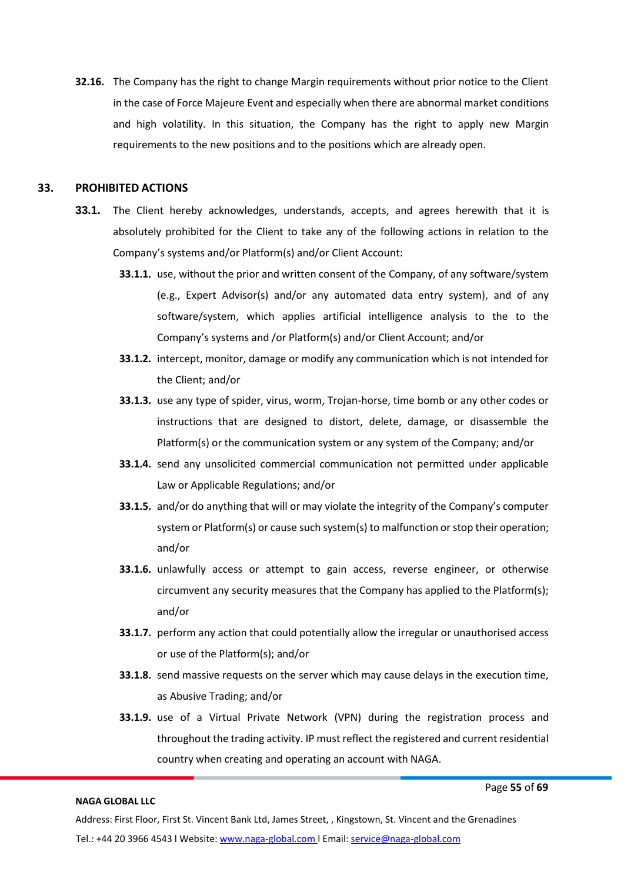**32.16.** The Company has the right to change Margin requirements without prior notice to the Client in the case of Force Majeure Event and especially when there are abnormal market conditions and high volatility. In this situation, the Company has the right to apply new Margin requirements to the new positions and to the positions which are already open.

#### **33. PROHIBITED ACTIONS**

- **33.1.** The Client hereby acknowledges, understands, accepts, and agrees herewith that it is absolutely prohibited for the Client to take any of the following actions in relation to the Company's systems and/or Platform(s) and/or Client Account:
	- **33.1.1.** use, without the prior and written consent of the Company, of any software/system (e.g., Expert Advisor(s) and/or any automated data entry system), and of any software/system, which applies artificial intelligence analysis to the to the Company's systems and /or Platform(s) and/or Client Account; and/or
	- **33.1.2.** intercept, monitor, damage or modify any communication which is not intended for the Client; and/or
	- **33.1.3.** use any type of spider, virus, worm, Trojan-horse, time bomb or any other codes or instructions that are designed to distort, delete, damage, or disassemble the Platform(s) or the communication system or any system of the Company; and/or
	- **33.1.4.** send any unsolicited commercial communication not permitted under applicable Law or Applicable Regulations; and/or
	- **33.1.5.** and/or do anything that will or may violate the integrity of the Company's computer system or Platform(s) or cause such system(s) to malfunction or stop their operation; and/or
	- **33.1.6.** unlawfully access or attempt to gain access, reverse engineer, or otherwise circumvent any security measures that the Company has applied to the Platform(s); and/or
	- **33.1.7.** perform any action that could potentially allow the irregular or unauthorised access or use of the Platform(s); and/or
	- **33.1.8.** send massive requests on the server which may cause delays in the execution time, as Abusive Trading; and/or
	- **33.1.9.** use of a Virtual Private Network (VPN) during the registration process and throughout the trading activity. IP must reflect the registered and current residential country when creating and operating an account with NAGA.

#### Page **55** of **69**

#### **NAGA GLOBAL LLC**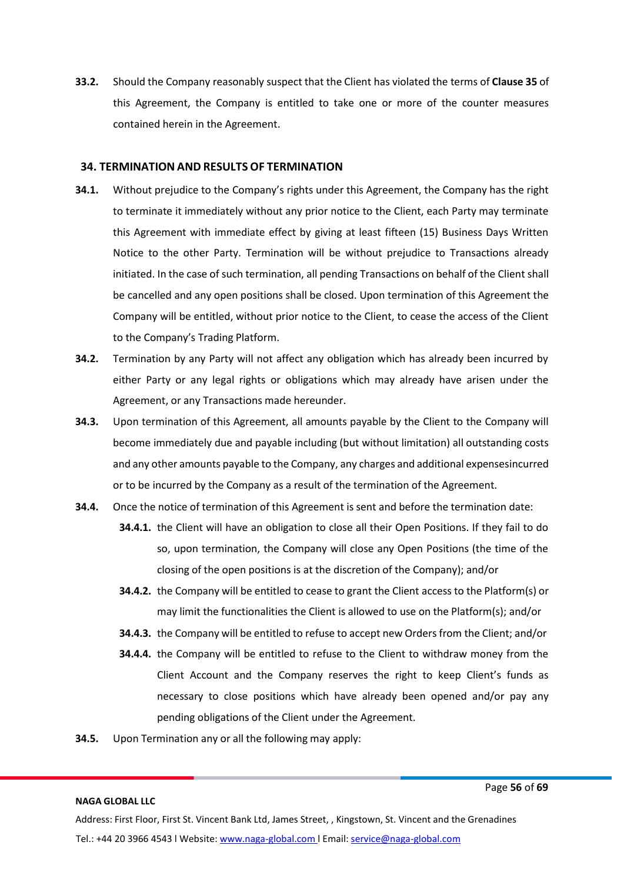**33.2.** Should the Company reasonably suspect that the Client has violated the terms of **Clause 35** of this Agreement, the Company is entitled to take one or more of the counter measures contained herein in the Agreement.

#### **34. TERMINATION AND RESULTS OF TERMINATION**

- **34.1.** Without prejudice to the Company's rights under this Agreement, the Company has the right to terminate it immediately without any prior notice to the Client, each Party may terminate this Agreement with immediate effect by giving at least fifteen (15) Business Days Written Notice to the other Party. Termination will be without prejudice to Transactions already initiated. In the case of such termination, all pending Transactions on behalf of the Client shall be cancelled and any open positions shall be closed. Upon termination of this Agreement the Company will be entitled, without prior notice to the Client, to cease the access of the Client to the Company's Trading Platform.
- **34.2.** Termination by any Party will not affect any obligation which has already been incurred by either Party or any legal rights or obligations which may already have arisen under the Agreement, or any Transactions made hereunder.
- **34.3.** Upon termination of this Agreement, all amounts payable by the Client to the Company will become immediately due and payable including (but without limitation) all outstanding costs and any other amounts payable to the Company, any charges and additional expensesincurred or to be incurred by the Company as a result of the termination of the Agreement.
- **34.4.** Once the notice of termination of this Agreement is sent and before the termination date:
	- **34.4.1.** the Client will have an obligation to close all their Open Positions. If they fail to do so, upon termination, the Company will close any Open Positions (the time of the closing of the open positions is at the discretion of the Company); and/or
	- **34.4.2.** the Company will be entitled to cease to grant the Client access to the Platform(s) or may limit the functionalities the Client is allowed to use on the Platform(s); and/or
	- **34.4.3.** the Company will be entitled to refuse to accept new Orders from the Client; and/or
	- **34.4.4.** the Company will be entitled to refuse to the Client to withdraw money from the Client Account and the Company reserves the right to keep Client's funds as necessary to close positions which have already been opened and/or pay any pending obligations of the Client under the Agreement.
- **34.5.** Upon Termination any or all the following may apply:

#### **NAGA GLOBAL LLC**

Page **56** of **69**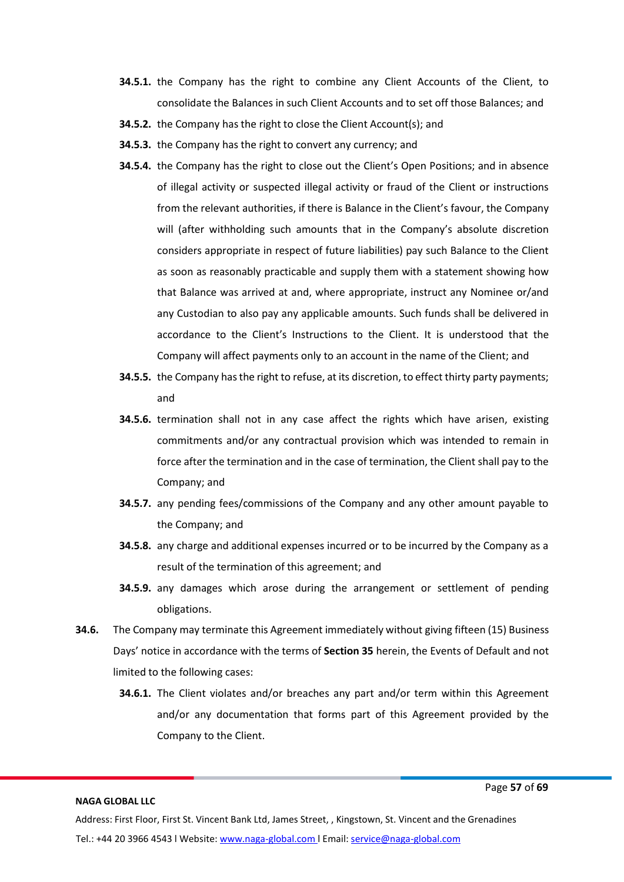- **34.5.1.** the Company has the right to combine any Client Accounts of the Client, to consolidate the Balances in such Client Accounts and to set off those Balances; and
- **34.5.2.** the Company has the right to close the Client Account(s); and
- **34.5.3.** the Company has the right to convert any currency; and
- **34.5.4.** the Company has the right to close out the Client's Open Positions; and in absence of illegal activity or suspected illegal activity or fraud of the Client or instructions from the relevant authorities, if there is Balance in the Client's favour, the Company will (after withholding such amounts that in the Company's absolute discretion considers appropriate in respect of future liabilities) pay such Balance to the Client as soon as reasonably practicable and supply them with a statement showing how that Balance was arrived at and, where appropriate, instruct any Nominee or/and any Custodian to also pay any applicable amounts. Such funds shall be delivered in accordance to the Client's Instructions to the Client. It is understood that the Company will affect payments only to an account in the name of the Client; and
- **34.5.5.** the Company has the right to refuse, at its discretion, to effect thirty party payments; and
- **34.5.6.** termination shall not in any case affect the rights which have arisen, existing commitments and/or any contractual provision which was intended to remain in force after the termination and in the case of termination, the Client shall pay to the Company; and
- **34.5.7.** any pending fees/commissions of the Company and any other amount payable to the Company; and
- **34.5.8.** any charge and additional expenses incurred or to be incurred by the Company as a result of the termination of this agreement; and
- **34.5.9.** any damages which arose during the arrangement or settlement of pending obligations.
- **34.6.** The Company may terminate this Agreement immediately without giving fifteen (15) Business Days' notice in accordance with the terms of **Section 35** herein, the Events of Default and not limited to the following cases:
	- **34.6.1.** The Client violates and/or breaches any part and/or term within this Agreement and/or any documentation that forms part of this Agreement provided by the Company to the Client.

Page **57** of **69**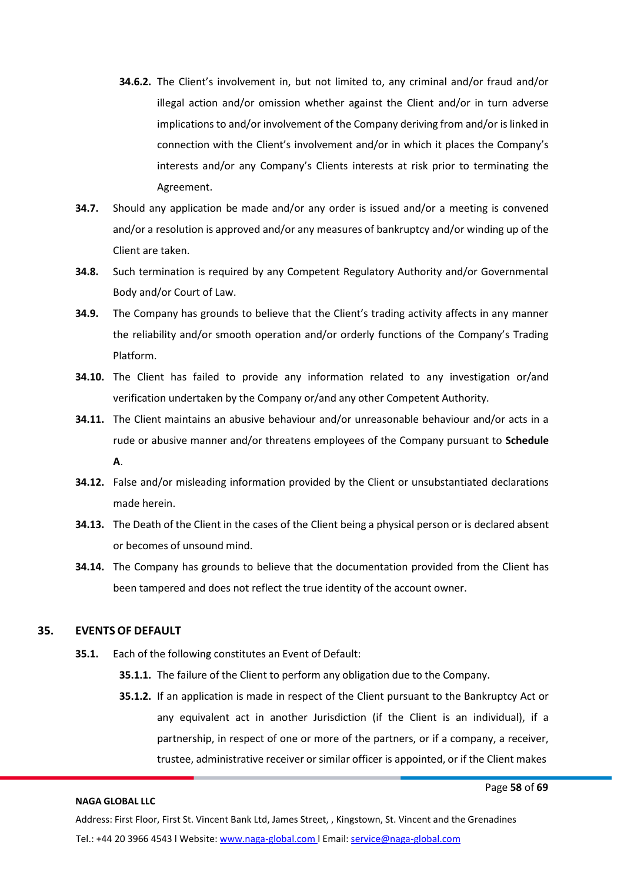- **34.6.2.** The Client's involvement in, but not limited to, any criminal and/or fraud and/or illegal action and/or omission whether against the Client and/or in turn adverse implications to and/or involvement of the Company deriving from and/or is linked in connection with the Client's involvement and/or in which it places the Company's interests and/or any Company's Clients interests at risk prior to terminating the Agreement.
- **34.7.** Should any application be made and/or any order is issued and/or a meeting is convened and/or a resolution is approved and/or any measures of bankruptcy and/or winding up of the Client are taken.
- **34.8.** Such termination is required by any Competent Regulatory Authority and/or Governmental Body and/or Court of Law.
- **34.9.** The Company has grounds to believe that the Client's trading activity affects in any manner the reliability and/or smooth operation and/or orderly functions of the Company's Trading Platform.
- **34.10.** The Client has failed to provide any information related to any investigation or/and verification undertaken by the Company or/and any other Competent Authority.
- **34.11.** The Client maintains an abusive behaviour and/or unreasonable behaviour and/or acts in a rude or abusive manner and/or threatens employees of the Company pursuant to **Schedule A**.
- **34.12.** False and/or misleading information provided by the Client or unsubstantiated declarations made herein.
- **34.13.** The Death of the Client in the cases of the Client being a physical person or is declared absent or becomes of unsound mind.
- **34.14.** The Company has grounds to believe that the documentation provided from the Client has been tampered and does not reflect the true identity of the account owner.

# **35. EVENTSOF DEFAULT**

- **35.1.** Each of the following constitutes an Event of Default:
	- **35.1.1.** The failure of the Client to perform any obligation due to the Company.
	- **35.1.2.** If an application is made in respect of the Client pursuant to the Bankruptcy Act or any equivalent act in another Jurisdiction (if the Client is an individual), if a partnership, in respect of one or more of the partners, or if a company, a receiver, trustee, administrative receiver or similar officer is appointed, or if the Client makes

#### **NAGA GLOBAL LLC**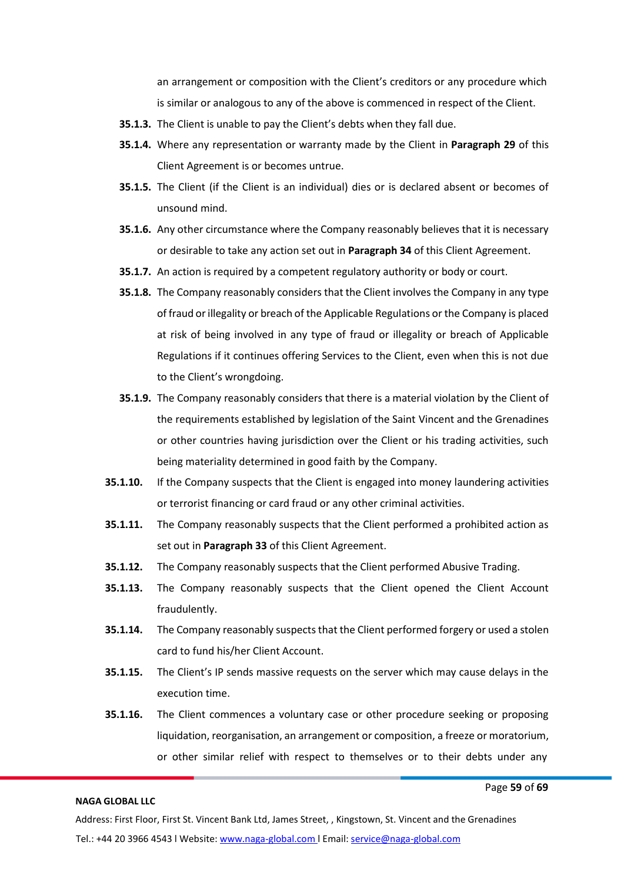an arrangement or composition with the Client's creditors or any procedure which is similar or analogous to any of the above is commenced in respect of the Client.

- **35.1.3.** The Client is unable to pay the Client's debts when they fall due.
- **35.1.4.** Where any representation or warranty made by the Client in **Paragraph 29** of this Client Agreement is or becomes untrue.
- **35.1.5.** The Client (if the Client is an individual) dies or is declared absent or becomes of unsound mind.
- **35.1.6.** Any other circumstance where the Company reasonably believes that it is necessary or desirable to take any action set out in **Paragraph 34** of this Client Agreement.
- **35.1.7.** An action is required by a competent regulatory authority or body or court.
- **35.1.8.** The Company reasonably considers that the Client involves the Company in any type of fraud or illegality or breach of the Applicable Regulations or the Company is placed at risk of being involved in any type of fraud or illegality or breach of Applicable Regulations if it continues offering Services to the Client, even when this is not due to the Client's wrongdoing.
- **35.1.9.** The Company reasonably considers that there is a material violation by the Client of the requirements established by legislation of the Saint Vincent and the Grenadines or other countries having jurisdiction over the Client or his trading activities, such being materiality determined in good faith by the Company.
- **35.1.10.** If the Company suspects that the Client is engaged into money laundering activities or terrorist financing or card fraud or any other criminal activities.
- **35.1.11.** The Company reasonably suspects that the Client performed a prohibited action as set out in **Paragraph 33** of this Client Agreement.
- **35.1.12.** The Company reasonably suspects that the Client performed Abusive Trading.
- **35.1.13.** The Company reasonably suspects that the Client opened the Client Account fraudulently.
- **35.1.14.** The Company reasonably suspects that the Client performed forgery or used a stolen card to fund his/her Client Account.
- **35.1.15.** The Client's IP sends massive requests on the server which may cause delays in the execution time.
- **35.1.16.** The Client commences a voluntary case or other procedure seeking or proposing liquidation, reorganisation, an arrangement or composition, a freeze or moratorium, or other similar relief with respect to themselves or to their debts under any

#### **NAGA GLOBAL LLC**

Page **59** of **69**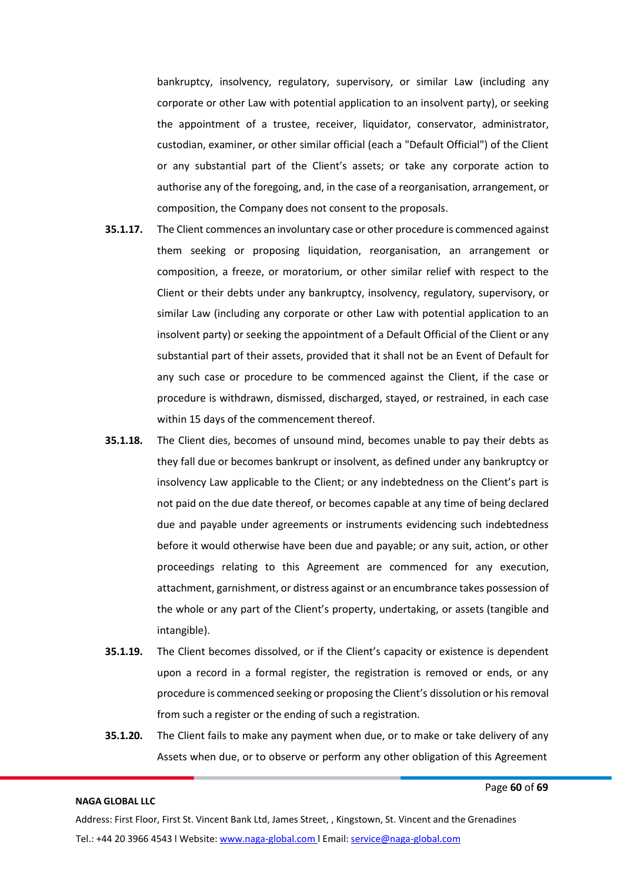bankruptcy, insolvency, regulatory, supervisory, or similar Law (including any corporate or other Law with potential application to an insolvent party), or seeking the appointment of a trustee, receiver, liquidator, conservator, administrator, custodian, examiner, or other similar official (each a "Default Official") of the Client or any substantial part of the Client's assets; or take any corporate action to authorise any of the foregoing, and, in the case of a reorganisation, arrangement, or composition, the Company does not consent to the proposals.

- **35.1.17.** The Client commences an involuntary case or other procedure is commenced against them seeking or proposing liquidation, reorganisation, an arrangement or composition, a freeze, or moratorium, or other similar relief with respect to the Client or their debts under any bankruptcy, insolvency, regulatory, supervisory, or similar Law (including any corporate or other Law with potential application to an insolvent party) or seeking the appointment of a Default Official of the Client or any substantial part of their assets, provided that it shall not be an Event of Default for any such case or procedure to be commenced against the Client, if the case or procedure is withdrawn, dismissed, discharged, stayed, or restrained, in each case within 15 days of the commencement thereof.
- **35.1.18.** The Client dies, becomes of unsound mind, becomes unable to pay their debts as they fall due or becomes bankrupt or insolvent, as defined under any bankruptcy or insolvency Law applicable to the Client; or any indebtedness on the Client's part is not paid on the due date thereof, or becomes capable at any time of being declared due and payable under agreements or instruments evidencing such indebtedness before it would otherwise have been due and payable; or any suit, action, or other proceedings relating to this Agreement are commenced for any execution, attachment, garnishment, or distress against or an encumbrance takes possession of the whole or any part of the Client's property, undertaking, or assets (tangible and intangible).
- **35.1.19.** The Client becomes dissolved, or if the Client's capacity or existence is dependent upon a record in a formal register, the registration is removed or ends, or any procedure is commenced seeking or proposing the Client's dissolution or hisremoval from such a register or the ending of such a registration.
- **35.1.20.** The Client fails to make any payment when due, or to make or take delivery of any Assets when due, or to observe or perform any other obligation of this Agreement

Page **60** of **69**

#### **NAGA GLOBAL LLC**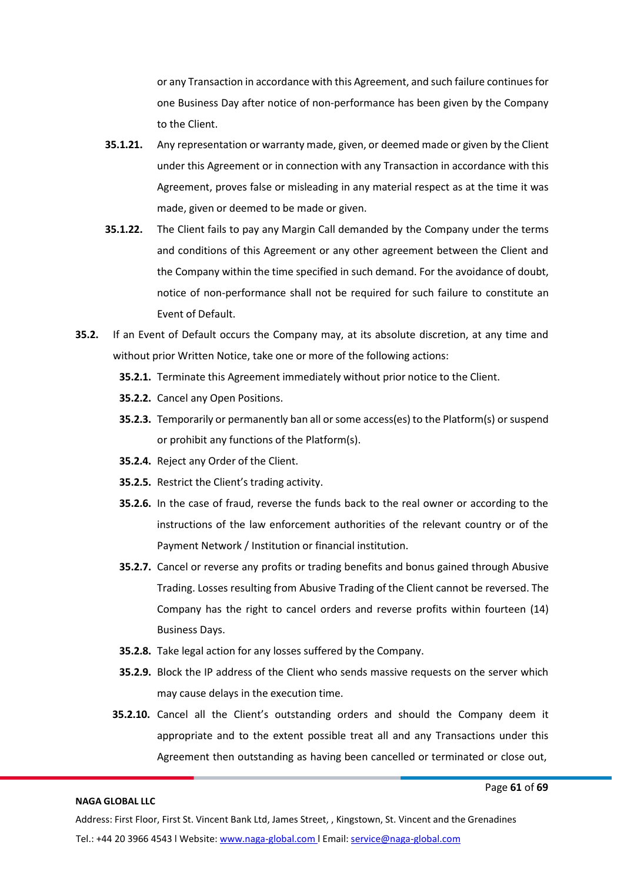or any Transaction in accordance with this Agreement, and such failure continuesfor one Business Day after notice of non-performance has been given by the Company to the Client.

- **35.1.21.** Any representation or warranty made, given, or deemed made or given by the Client under this Agreement or in connection with any Transaction in accordance with this Agreement, proves false or misleading in any material respect as at the time it was made, given or deemed to be made or given.
- **35.1.22.** The Client fails to pay any Margin Call demanded by the Company under the terms and conditions of this Agreement or any other agreement between the Client and the Company within the time specified in such demand. For the avoidance of doubt, notice of non-performance shall not be required for such failure to constitute an Event of Default.
- **35.2.** If an Event of Default occurs the Company may, at its absolute discretion, at any time and without prior Written Notice, take one or more of the following actions:
	- **35.2.1.** Terminate this Agreement immediately without prior notice to the Client.
	- **35.2.2.** Cancel any Open Positions.
	- **35.2.3.** Temporarily or permanently ban all or some access(es) to the Platform(s) or suspend or prohibit any functions of the Platform(s).
	- **35.2.4.** Reject any Order of the Client.
	- **35.2.5.** Restrict the Client's trading activity.
	- **35.2.6.** In the case of fraud, reverse the funds back to the real owner or according to the instructions of the law enforcement authorities of the relevant country or of the Payment Network / Institution or financial institution.
	- **35.2.7.** Cancel or reverse any profits or trading benefits and bonus gained through Abusive Trading. Losses resulting from Abusive Trading of the Client cannot be reversed. The Company has the right to cancel orders and reverse profits within fourteen (14) Business Days.
	- **35.2.8.** Take legal action for any losses suffered by the Company.
	- **35.2.9.** Block the IP address of the Client who sends massive requests on the server which may cause delays in the execution time.
	- **35.2.10.** Cancel all the Client's outstanding orders and should the Company deem it appropriate and to the extent possible treat all and any Transactions under this Agreement then outstanding as having been cancelled or terminated or close out,

#### **NAGA GLOBAL LLC**

Page **61** of **69**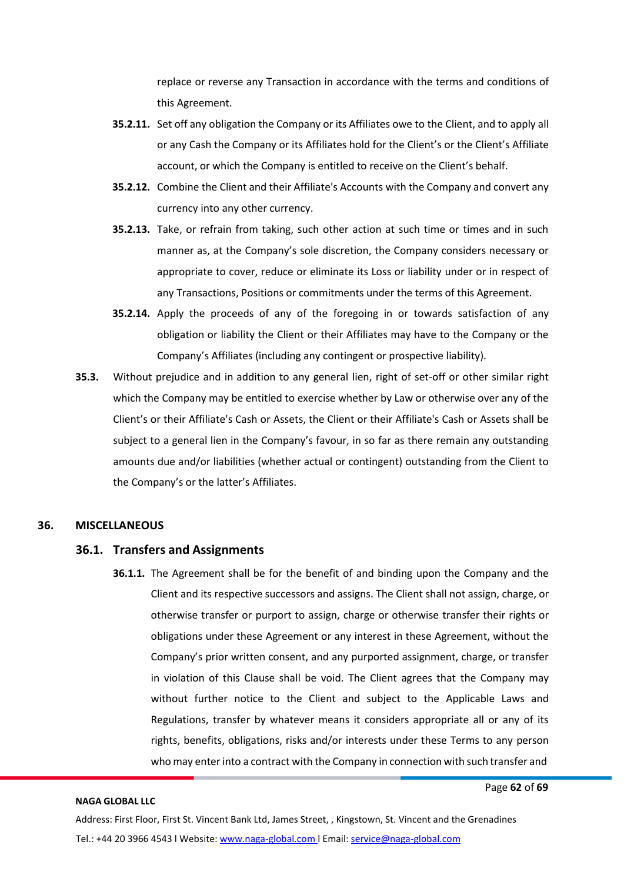replace or reverse any Transaction in accordance with the terms and conditions of this Agreement.

- **35.2.11.** Set off any obligation the Company or its Affiliates owe to the Client, and to apply all or any Cash the Company or its Affiliates hold for the Client's or the Client's Affiliate account, or which the Company is entitled to receive on the Client's behalf.
- **35.2.12.** Combine the Client and their Affiliate's Accounts with the Company and convert any currency into any other currency.
- **35.2.13.** Take, or refrain from taking, such other action at such time or times and in such manner as, at the Company's sole discretion, the Company considers necessary or appropriate to cover, reduce or eliminate its Loss or liability under or in respect of any Transactions, Positions or commitments under the terms of this Agreement.
- **35.2.14.** Apply the proceeds of any of the foregoing in or towards satisfaction of any obligation or liability the Client or their Affiliates may have to the Company or the Company's Affiliates (including any contingent or prospective liability).
- **35.3.** Without prejudice and in addition to any general lien, right of set-off or other similar right which the Company may be entitled to exercise whether by Law or otherwise over any of the Client's or their Affiliate's Cash or Assets, the Client or their Affiliate's Cash or Assets shall be subject to a general lien in the Company's favour, in so far as there remain any outstanding amounts due and/or liabilities (whether actual or contingent) outstanding from the Client to the Company's or the latter's Affiliates.

#### **36. MISCELLANEOUS**

#### **36.1. Transfers and Assignments**

**36.1.1.** The Agreement shall be for the benefit of and binding upon the Company and the Client and its respective successors and assigns. The Client shall not assign, charge, or otherwise transfer or purport to assign, charge or otherwise transfer their rights or obligations under these Agreement or any interest in these Agreement, without the Company's prior written consent, and any purported assignment, charge, or transfer in violation of this Clause shall be void. The Client agrees that the Company may without further notice to the Client and subject to the Applicable Laws and Regulations, transfer by whatever means it considers appropriate all or any of its rights, benefits, obligations, risks and/or interests under these Terms to any person who may enter into a contract with the Company in connection with such transfer and

#### **NAGA GLOBAL LLC**

Page **62** of **69**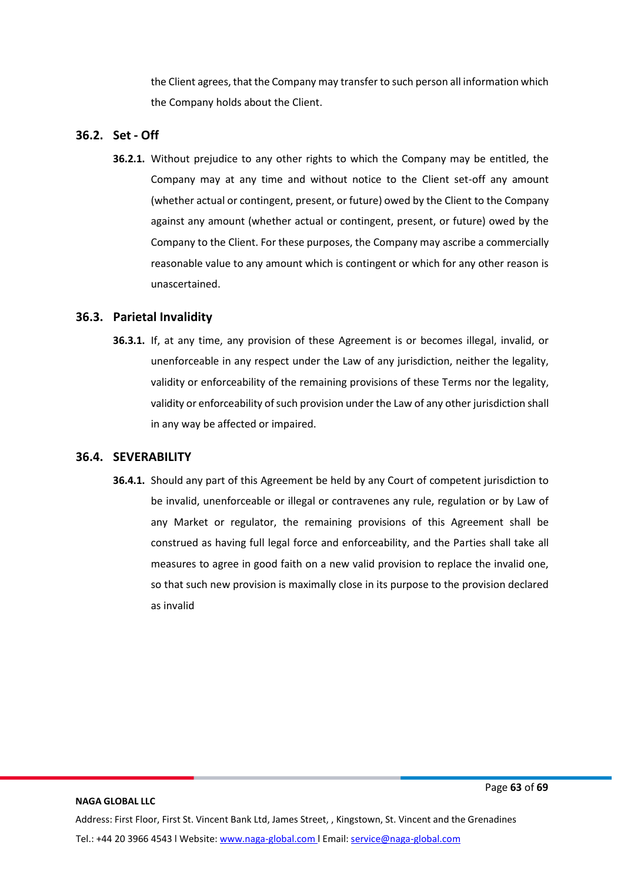the Client agrees, that the Company may transfer to such person all information which the Company holds about the Client.

# **36.2. Set - Off**

**36.2.1.** Without prejudice to any other rights to which the Company may be entitled, the Company may at any time and without notice to the Client set-off any amount (whether actual or contingent, present, or future) owed by the Client to the Company against any amount (whether actual or contingent, present, or future) owed by the Company to the Client. For these purposes, the Company may ascribe a commercially reasonable value to any amount which is contingent or which for any other reason is unascertained.

# **36.3. Parietal Invalidity**

**36.3.1.** If, at any time, any provision of these Agreement is or becomes illegal, invalid, or unenforceable in any respect under the Law of any jurisdiction, neither the legality, validity or enforceability of the remaining provisions of these Terms nor the legality, validity or enforceability of such provision under the Law of any other jurisdiction shall in any way be affected or impaired.

# **36.4. SEVERABILITY**

**36.4.1.** Should any part of this Agreement be held by any Court of competent jurisdiction to be invalid, unenforceable or illegal or contravenes any rule, regulation or by Law of any Market or regulator, the remaining provisions of this Agreement shall be construed as having full legal force and enforceability, and the Parties shall take all measures to agree in good faith on a new valid provision to replace the invalid one, so that such new provision is maximally close in its purpose to the provision declared as invalid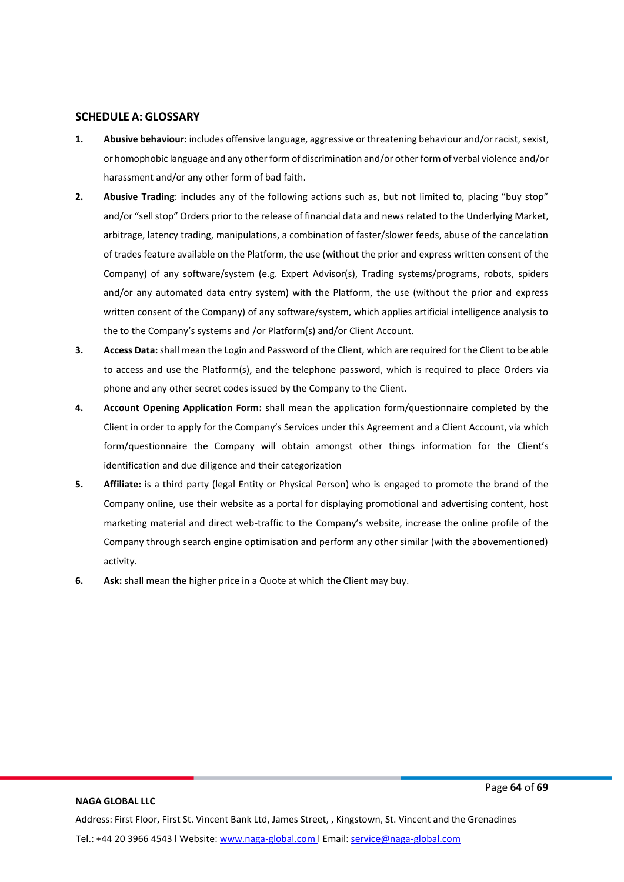#### **SCHEDULE A: GLOSSARY**

- **1. Abusive behaviour:** includes offensive language, aggressive or threatening behaviour and/or racist, sexist, or homophobic language and any other form of discrimination and/or other form of verbal violence and/or harassment and/or any other form of bad faith.
- **2. Abusive Trading**: includes any of the following actions such as, but not limited to, placing "buy stop" and/or "sell stop" Orders prior to the release of financial data and news related to the Underlying Market, arbitrage, latency trading, manipulations, a combination of faster/slower feeds, abuse of the cancelation of trades feature available on the Platform, the use (without the prior and express written consent of the Company) of any software/system (e.g. Expert Advisor(s), Trading systems/programs, robots, spiders and/or any automated data entry system) with the Platform, the use (without the prior and express written consent of the Company) of any software/system, which applies artificial intelligence analysis to the to the Company's systems and /or Platform(s) and/or Client Account.
- **3. Access Data:** shall mean the Login and Password of the Client, which are required for the Client to be able to access and use the Platform(s), and the telephone password, which is required to place Orders via phone and any other secret codes issued by the Company to the Client.
- **4. Account Opening Application Form:** shall mean the application form/questionnaire completed by the Client in order to apply for the Company's Services under this Agreement and a Client Account, via which form/questionnaire the Company will obtain amongst other things information for the Client's identification and due diligence and their categorization
- **5. Affiliate:** is a third party (legal Entity or Physical Person) who is engaged to promote the brand of the Company online, use their website as a portal for displaying promotional and advertising content, host marketing material and direct web-traffic to the Company's website, increase the online profile of the Company through search engine optimisation and perform any other similar (with the abovementioned) activity.
- **6. Ask:** shall mean the higher price in a Quote at which the Client may buy.

#### **NAGA GLOBAL LLC**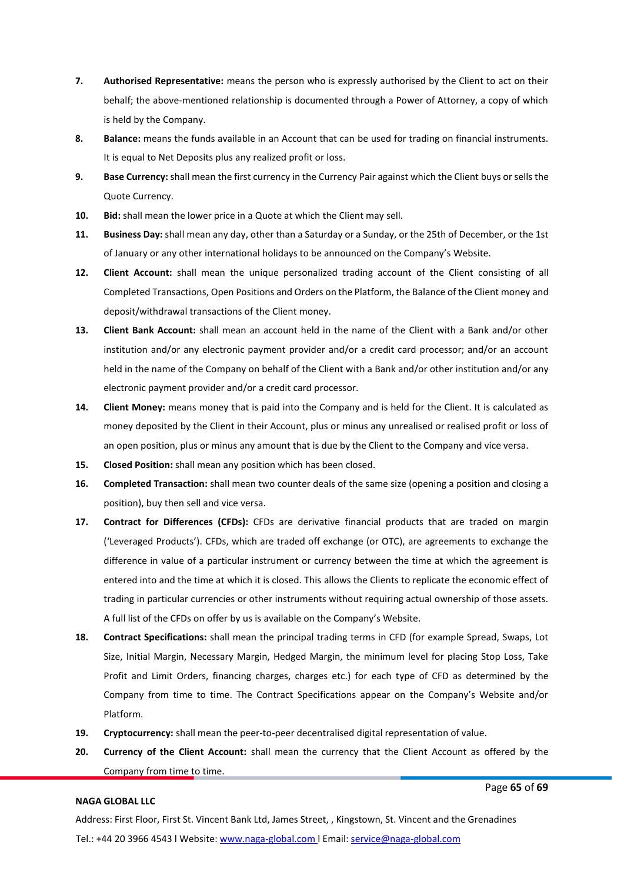- **7. Authorised Representative:** means the person who is expressly authorised by the Client to act on their behalf; the above-mentioned relationship is documented through a Power of Attorney, a copy of which is held by the Company.
- **8. Balance:** means the funds available in an Account that can be used for trading on financial instruments. It is equal to Net Deposits plus any realized profit or loss.
- **9. Base Currency:** shall mean the first currency in the Currency Pair against which the Client buys orsells the Quote Currency.
- **10. Bid:** shall mean the lower price in a Quote at which the Client may sell.
- **11. Business Day:** shall mean any day, other than a Saturday or a Sunday, or the 25th of December, or the 1st of January or any other international holidays to be announced on the Company's Website.
- **12. Client Account:** shall mean the unique personalized trading account of the Client consisting of all Completed Transactions, Open Positions and Orders on the Platform, the Balance of the Client money and deposit/withdrawal transactions of the Client money.
- **13. Client Bank Account:** shall mean an account held in the name of the Client with a Bank and/or other institution and/or any electronic payment provider and/or a credit card processor; and/or an account held in the name of the Company on behalf of the Client with a Bank and/or other institution and/or any electronic payment provider and/or a credit card processor.
- **14. Client Money:** means money that is paid into the Company and is held for the Client. It is calculated as money deposited by the Client in their Account, plus or minus any unrealised or realised profit or loss of an open position, plus or minus any amount that is due by the Client to the Company and vice versa.
- **15. Closed Position:** shall mean any position which has been closed.
- **16. Completed Transaction:** shall mean two counter deals of the same size (opening a position and closing a position), buy then sell and vice versa.
- **17. Contract for Differences (CFDs):** CFDs are derivative financial products that are traded on margin ('Leveraged Products'). CFDs, which are traded off exchange (or OTC), are agreements to exchange the difference in value of a particular instrument or currency between the time at which the agreement is entered into and the time at which it is closed. This allows the Clients to replicate the economic effect of trading in particular currencies or other instruments without requiring actual ownership of those assets. A full list of the CFDs on offer by us is available on the Company's Website.
- **18. Contract Specifications:** shall mean the principal trading terms in CFD (for example Spread, Swaps, Lot Size, Initial Margin, Necessary Margin, Hedged Margin, the minimum level for placing Stop Loss, Take Profit and Limit Orders, financing charges, charges etc.) for each type of CFD as determined by the Company from time to time. The Contract Specifications appear on the Company's Website and/or Platform.
- **19. Cryptocurrency:** shall mean the peer-to-peer decentralised digital representation of value.
- **20. Currency of the Client Account:** shall mean the currency that the Client Account as offered by the Company from time to time.

Page **65** of **69**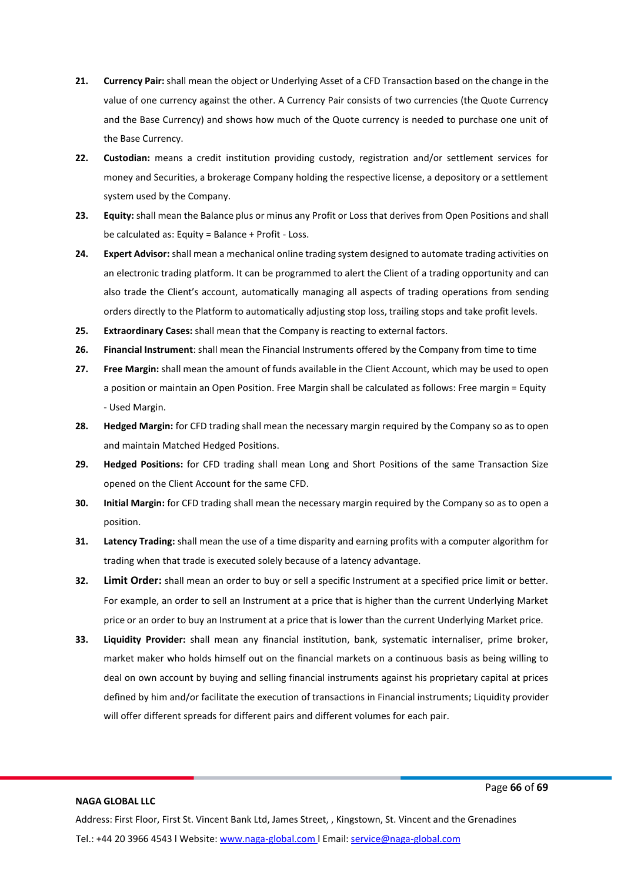- **21. Currency Pair:** shall mean the object or Underlying Asset of a CFD Transaction based on the change in the value of one currency against the other. A Currency Pair consists of two currencies (the Quote Currency and the Base Currency) and shows how much of the Quote currency is needed to purchase one unit of the Base Currency.
- **22. Custodian:** means a credit institution providing custody, registration and/or settlement services for money and Securities, a brokerage Company holding the respective license, a depository or a settlement system used by the Company.
- **23. Equity:** shall mean the Balance plus or minus any Profit or Loss that derives from Open Positions and shall be calculated as: Equity = Balance + Profit - Loss.
- **24. Expert Advisor:** shall mean a mechanical online trading system designed to automate trading activities on an electronic trading platform. It can be programmed to alert the Client of a trading opportunity and can also trade the Client's account, automatically managing all aspects of trading operations from sending orders directly to the Platform to automatically adjusting stop loss, trailing stops and take profit levels.
- **25. Extraordinary Cases:** shall mean that the Company is reacting to external factors.
- **26. Financial Instrument**: shall mean the Financial Instruments offered by the Company from time to time
- **27. Free Margin:** shall mean the amount of funds available in the Client Account, which may be used to open a position or maintain an Open Position. Free Margin shall be calculated as follows: Free margin = Equity - Used Margin.
- **28. Hedged Margin:** for CFD trading shall mean the necessary margin required by the Company so as to open and maintain Matched Hedged Positions.
- **29. Hedged Positions:** for CFD trading shall mean Long and Short Positions of the same Transaction Size opened on the Client Account for the same CFD.
- **30. Initial Margin:** for CFD trading shall mean the necessary margin required by the Company so as to open a position.
- **31. Latency Trading:** shall mean the use of a time disparity and earning profits with a computer algorithm for trading when that trade is executed solely because of a latency advantage.
- **32. Limit Order:** shall mean an order to buy or sell a specific Instrument at a specified price limit or better. For example, an order to sell an Instrument at a price that is higher than the current Underlying Market price or an order to buy an Instrument at a price that is lower than the current Underlying Market price.
- **33. Liquidity Provider:** shall mean any financial institution, bank, systematic internaliser, prime broker, market maker who holds himself out on the financial markets on a continuous basis as being willing to deal on own account by buying and selling financial instruments against his proprietary capital at prices defined by him and/or facilitate the execution of transactions in Financial instruments; Liquidity provider will offer different spreads for different pairs and different volumes for each pair.

#### Page **66** of **69**

#### **NAGA GLOBAL LLC**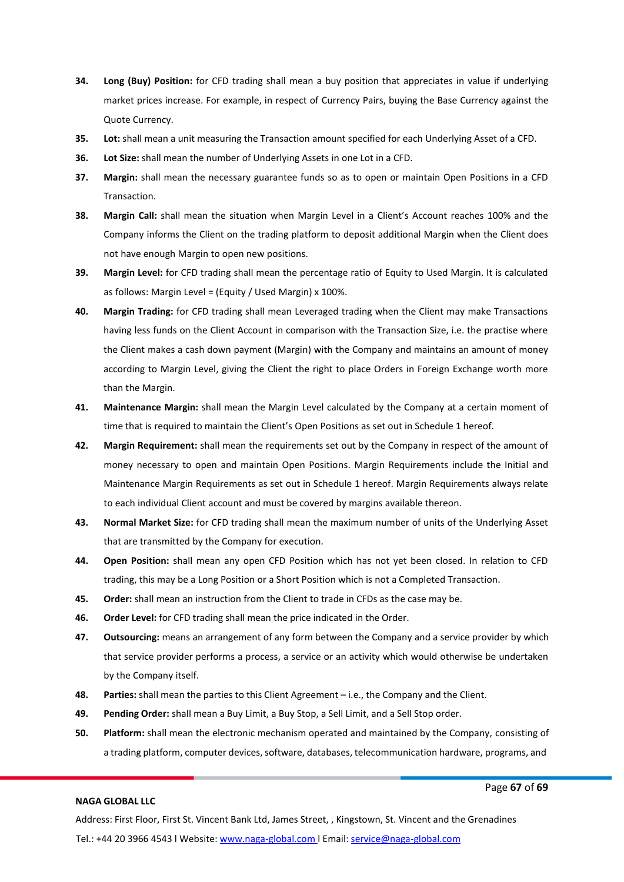- **34. Long (Buy) Position:** for CFD trading shall mean a buy position that appreciates in value if underlying market prices increase. For example, in respect of Currency Pairs, buying the Base Currency against the Quote Currency.
- **35. Lot:** shall mean a unit measuring the Transaction amount specified for each Underlying Asset of a CFD.
- **36. Lot Size:** shall mean the number of Underlying Assets in one Lot in a CFD.
- **37. Margin:** shall mean the necessary guarantee funds so as to open or maintain Open Positions in a CFD Transaction.
- **38. Margin Call:** shall mean the situation when Margin Level in a Client's Account reaches 100% and the Company informs the Client on the trading platform to deposit additional Margin when the Client does not have enough Margin to open new positions.
- **39. Margin Level:** for CFD trading shall mean the percentage ratio of Equity to Used Margin. It is calculated as follows: Margin Level = (Equity / Used Margin) x 100%.
- **40. Margin Trading:** for CFD trading shall mean Leveraged trading when the Client may make Transactions having less funds on the Client Account in comparison with the Transaction Size, i.e. the practise where the Client makes a cash down payment (Margin) with the Company and maintains an amount of money according to Margin Level, giving the Client the right to place Orders in Foreign Exchange worth more than the Margin.
- **41. Maintenance Margin:** shall mean the Margin Level calculated by the Company at a certain moment of time that is required to maintain the Client's Open Positions as set out in Schedule 1 hereof.
- **42. Margin Requirement:** shall mean the requirements set out by the Company in respect of the amount of money necessary to open and maintain Open Positions. Margin Requirements include the Initial and Maintenance Margin Requirements as set out in Schedule 1 hereof. Margin Requirements always relate to each individual Client account and must be covered by margins available thereon.
- **43. Normal Market Size:** for CFD trading shall mean the maximum number of units of the Underlying Asset that are transmitted by the Company for execution.
- **44. Open Position:** shall mean any open CFD Position which has not yet been closed. In relation to CFD trading, this may be a Long Position or a Short Position which is not a Completed Transaction.
- **45. Order:** shall mean an instruction from the Client to trade in CFDs as the case may be.
- **46. Order Level:** for CFD trading shall mean the price indicated in the Order.
- **47. Outsourcing:** means an arrangement of any form between the Company and a service provider by which that service provider performs a process, a service or an activity which would otherwise be undertaken by the Company itself.
- **48. Parties:** shall mean the parties to this Client Agreement i.e., the Company and the Client.
- **49. Pending Order:** shall mean a Buy Limit, a Buy Stop, a Sell Limit, and a Sell Stop order.
- **50. Platform:** shall mean the electronic mechanism operated and maintained by the Company, consisting of a trading platform, computer devices, software, databases, telecommunication hardware, programs, and

Page **67** of **69**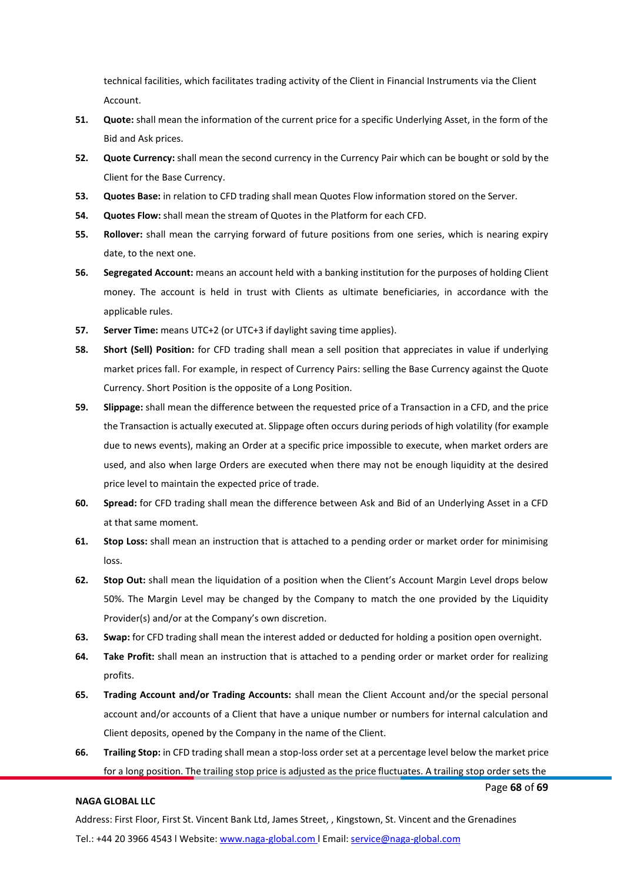technical facilities, which facilitates trading activity of the Client in Financial Instruments via the Client Account.

- **51. Quote:** shall mean the information of the current price for a specific Underlying Asset, in the form of the Bid and Ask prices.
- **52. Quote Currency:** shall mean the second currency in the Currency Pair which can be bought or sold by the Client for the Base Currency.
- **53. Quotes Base:** in relation to CFD trading shall mean Quotes Flow information stored on the Server.
- **54. Quotes Flow:** shall mean the stream of Quotes in the Platform for each CFD.
- **55. Rollover:** shall mean the carrying forward of future positions from one series, which is nearing expiry date, to the next one.
- **56. Segregated Account:** means an account held with a banking institution for the purposes of holding Client money. The account is held in trust with Clients as ultimate beneficiaries, in accordance with the applicable rules.
- **57. Server Time:** means UTC+2 (or UTC+3 if daylight saving time applies).
- **58. Short (Sell) Position:** for CFD trading shall mean a sell position that appreciates in value if underlying market prices fall. For example, in respect of Currency Pairs: selling the Base Currency against the Quote Currency. Short Position is the opposite of a Long Position.
- **59. Slippage:** shall mean the difference between the requested price of a Transaction in a CFD, and the price the Transaction is actually executed at. Slippage often occurs during periods of high volatility (for example due to news events), making an Order at a specific price impossible to execute, when market orders are used, and also when large Orders are executed when there may not be enough liquidity at the desired price level to maintain the expected price of trade.
- **60. Spread:** for CFD trading shall mean the difference between Ask and Bid of an Underlying Asset in a CFD at that same moment.
- **61. Stop Loss:** shall mean an instruction that is attached to a pending order or market order for minimising loss.
- **62. Stop Out:** shall mean the liquidation of a position when the Client's Account Margin Level drops below 50%. The Margin Level may be changed by the Company to match the one provided by the Liquidity Provider(s) and/or at the Company's own discretion.
- **63. Swap:** for CFD trading shall mean the interest added or deducted for holding a position open overnight.
- **64. Take Profit:** shall mean an instruction that is attached to a pending order or market order for realizing profits.
- **65. Trading Account and/or Trading Accounts:** shall mean the Client Account and/or the special personal account and/or accounts of a Client that have a unique number or numbers for internal calculation and Client deposits, opened by the Company in the name of the Client.
- **66. Trailing Stop:** in CFD trading shall mean a stop-loss order set at a percentage level below the market price for a long position. The trailing stop price is adjusted as the price fluctuates. A trailing stop order sets the

#### **NAGA GLOBAL LLC**

Page **68** of **69**